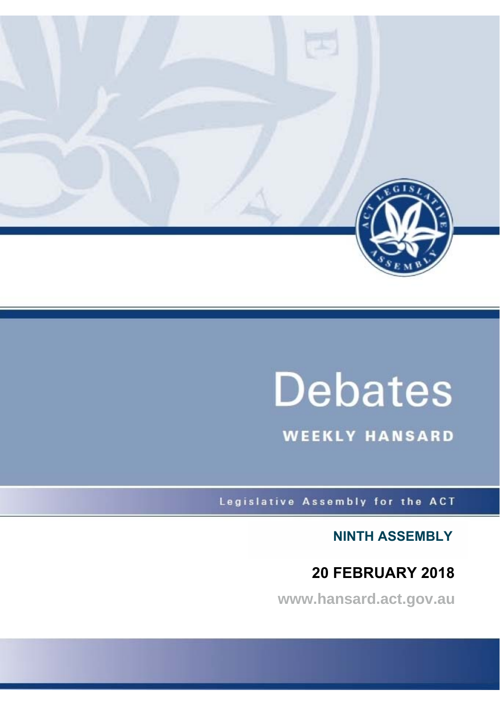

# **Debates**

**WEEKLY HANSARD** 

Legislative Assembly for the ACT

**NINTH ASSEMBLY**

## **20 FEBRUARY 2018**

**www.hansard.act.gov.au**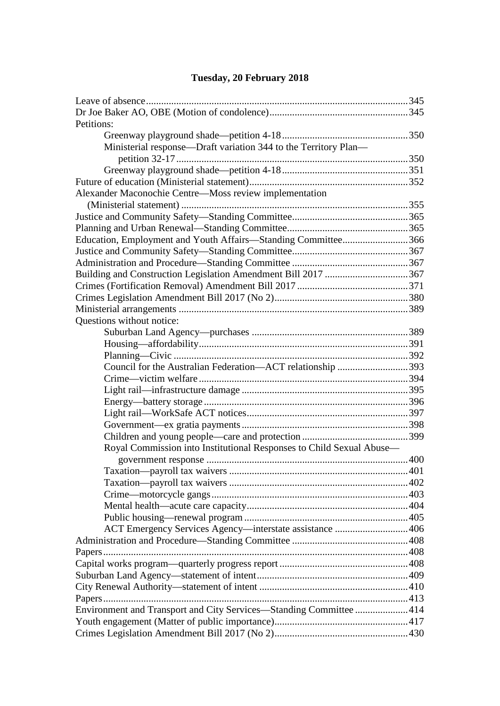## **[Tuesday, 20 February 2018](#page-3-0)**

| Petitions:                                                           |  |
|----------------------------------------------------------------------|--|
|                                                                      |  |
| Ministerial response—Draft variation 344 to the Territory Plan—      |  |
|                                                                      |  |
|                                                                      |  |
|                                                                      |  |
| Alexander Maconochie Centre—Moss review implementation               |  |
|                                                                      |  |
|                                                                      |  |
|                                                                      |  |
| Education, Employment and Youth Affairs-Standing Committee366        |  |
|                                                                      |  |
|                                                                      |  |
| Building and Construction Legislation Amendment Bill 2017 367        |  |
|                                                                      |  |
|                                                                      |  |
|                                                                      |  |
| Questions without notice:                                            |  |
|                                                                      |  |
|                                                                      |  |
|                                                                      |  |
| Council for the Australian Federation-ACT relationship 393           |  |
|                                                                      |  |
|                                                                      |  |
|                                                                      |  |
|                                                                      |  |
|                                                                      |  |
|                                                                      |  |
| Royal Commission into Institutional Responses to Child Sexual Abuse— |  |
|                                                                      |  |
|                                                                      |  |
|                                                                      |  |
|                                                                      |  |
|                                                                      |  |
|                                                                      |  |
| ACT Emergency Services Agency—interstate assistance  406             |  |
|                                                                      |  |
|                                                                      |  |
|                                                                      |  |
|                                                                      |  |
|                                                                      |  |
|                                                                      |  |
| Environment and Transport and City Services-Standing Committee  414  |  |
|                                                                      |  |
|                                                                      |  |
|                                                                      |  |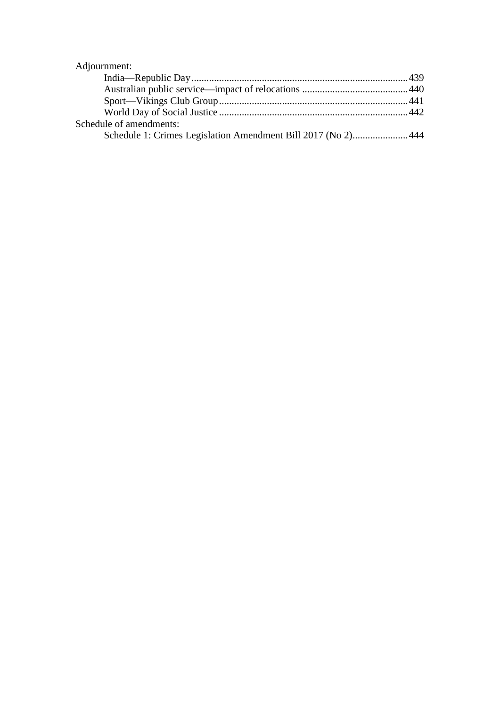## [Adjournment:](#page-97-0)

| Schedule of amendments:                                       |  |
|---------------------------------------------------------------|--|
| Schedule 1: Crimes Legislation Amendment Bill 2017 (No 2) 444 |  |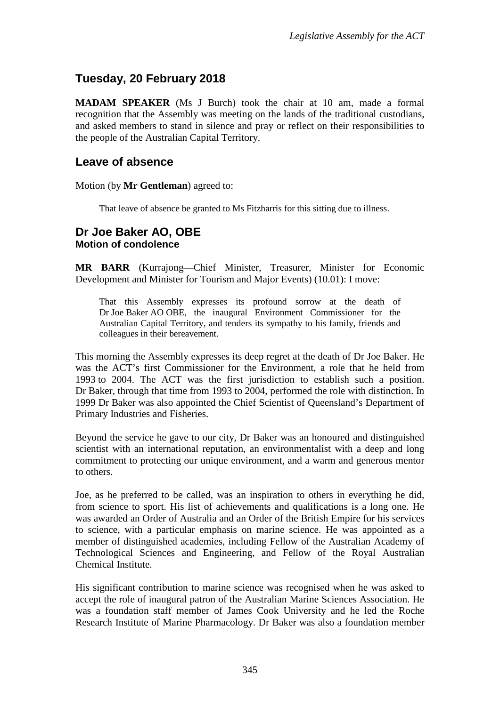## <span id="page-3-0"></span>**Tuesday, 20 February 2018**

**MADAM SPEAKER** (Ms J Burch) took the chair at 10 am, made a formal recognition that the Assembly was meeting on the lands of the traditional custodians, and asked members to stand in silence and pray or reflect on their responsibilities to the people of the Australian Capital Territory.

## <span id="page-3-1"></span>**Leave of absence**

Motion (by **Mr Gentleman**) agreed to:

That leave of absence be granted to Ms Fitzharris for this sitting due to illness.

## <span id="page-3-3"></span><span id="page-3-2"></span>**Dr Joe Baker AO, OBE Motion of condolence**

**MR BARR** (Kurrajong—Chief Minister, Treasurer, Minister for Economic Development and Minister for Tourism and Major Events) (10.01): I move:

That this Assembly expresses its profound sorrow at the death of Dr Joe Baker AO OBE, the inaugural Environment Commissioner for the Australian Capital Territory, and tenders its sympathy to his family, friends and colleagues in their bereavement.

This morning the Assembly expresses its deep regret at the death of Dr Joe Baker. He was the ACT's first Commissioner for the Environment, a role that he held from 1993 to 2004. The ACT was the first jurisdiction to establish such a position. Dr Baker, through that time from 1993 to 2004, performed the role with distinction. In 1999 Dr Baker was also appointed the Chief Scientist of Queensland's Department of Primary Industries and Fisheries.

Beyond the service he gave to our city, Dr Baker was an honoured and distinguished scientist with an international reputation, an environmentalist with a deep and long commitment to protecting our unique environment, and a warm and generous mentor to others.

Joe, as he preferred to be called, was an inspiration to others in everything he did, from science to sport. His list of achievements and qualifications is a long one. He was awarded an Order of Australia and an Order of the British Empire for his services to science, with a particular emphasis on marine science. He was appointed as a member of distinguished academies, including Fellow of the Australian Academy of Technological Sciences and Engineering, and Fellow of the Royal Australian Chemical Institute.

His significant contribution to marine science was recognised when he was asked to accept the role of inaugural patron of the Australian Marine Sciences Association. He was a foundation staff member of James Cook University and he led the Roche Research Institute of Marine Pharmacology. Dr Baker was also a foundation member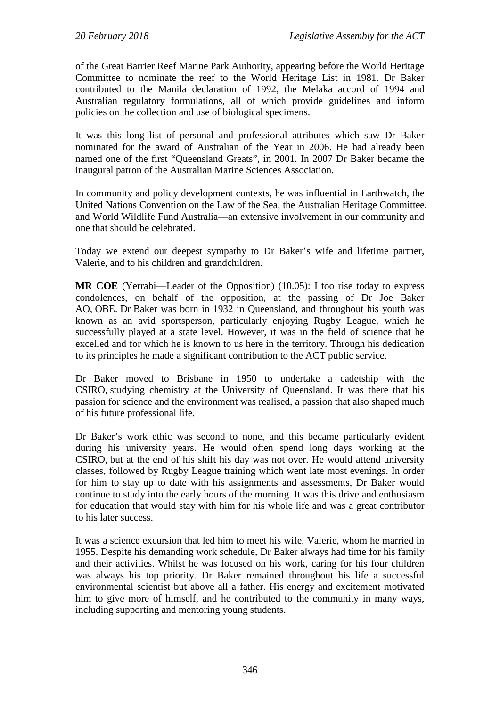of the Great Barrier Reef Marine Park Authority, appearing before the World Heritage Committee to nominate the reef to the World Heritage List in 1981. Dr Baker contributed to the Manila declaration of 1992, the Melaka accord of 1994 and Australian regulatory formulations, all of which provide guidelines and inform policies on the collection and use of biological specimens.

It was this long list of personal and professional attributes which saw Dr Baker nominated for the award of Australian of the Year in 2006. He had already been named one of the first "Queensland Greats", in 2001. In 2007 Dr Baker became the inaugural patron of the Australian Marine Sciences Association.

In community and policy development contexts, he was influential in Earthwatch, the United Nations Convention on the Law of the Sea, the Australian Heritage Committee, and World Wildlife Fund Australia—an extensive involvement in our community and one that should be celebrated.

Today we extend our deepest sympathy to Dr Baker's wife and lifetime partner, Valerie, and to his children and grandchildren.

**MR COE** (Yerrabi—Leader of the Opposition) (10.05): I too rise today to express condolences, on behalf of the opposition, at the passing of Dr Joe Baker AO, OBE. Dr Baker was born in 1932 in Queensland, and throughout his youth was known as an avid sportsperson, particularly enjoying Rugby League, which he successfully played at a state level. However, it was in the field of science that he excelled and for which he is known to us here in the territory. Through his dedication to its principles he made a significant contribution to the ACT public service.

Dr Baker moved to Brisbane in 1950 to undertake a cadetship with the CSIRO, studying chemistry at the University of Queensland. It was there that his passion for science and the environment was realised, a passion that also shaped much of his future professional life.

Dr Baker's work ethic was second to none, and this became particularly evident during his university years. He would often spend long days working at the CSIRO, but at the end of his shift his day was not over. He would attend university classes, followed by Rugby League training which went late most evenings. In order for him to stay up to date with his assignments and assessments, Dr Baker would continue to study into the early hours of the morning. It was this drive and enthusiasm for education that would stay with him for his whole life and was a great contributor to his later success.

It was a science excursion that led him to meet his wife, Valerie, whom he married in 1955. Despite his demanding work schedule, Dr Baker always had time for his family and their activities. Whilst he was focused on his work, caring for his four children was always his top priority. Dr Baker remained throughout his life a successful environmental scientist but above all a father. His energy and excitement motivated him to give more of himself, and he contributed to the community in many ways, including supporting and mentoring young students.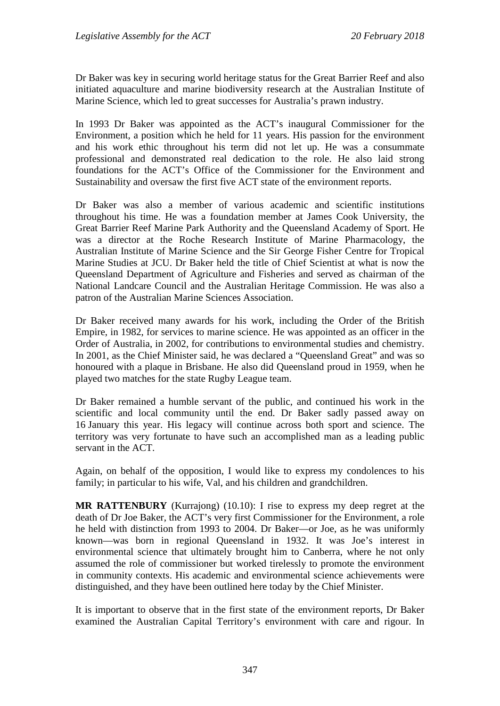Dr Baker was key in securing world heritage status for the Great Barrier Reef and also initiated aquaculture and marine biodiversity research at the Australian Institute of Marine Science, which led to great successes for Australia's prawn industry.

In 1993 Dr Baker was appointed as the ACT's inaugural Commissioner for the Environment, a position which he held for 11 years. His passion for the environment and his work ethic throughout his term did not let up. He was a consummate professional and demonstrated real dedication to the role. He also laid strong foundations for the ACT's Office of the Commissioner for the Environment and Sustainability and oversaw the first five ACT state of the environment reports.

Dr Baker was also a member of various academic and scientific institutions throughout his time. He was a foundation member at James Cook University, the Great Barrier Reef Marine Park Authority and the Queensland Academy of Sport. He was a director at the Roche Research Institute of Marine Pharmacology, the Australian Institute of Marine Science and the Sir George Fisher Centre for Tropical Marine Studies at JCU. Dr Baker held the title of Chief Scientist at what is now the Queensland Department of Agriculture and Fisheries and served as chairman of the National Landcare Council and the Australian Heritage Commission. He was also a patron of the Australian Marine Sciences Association.

Dr Baker received many awards for his work, including the Order of the British Empire, in 1982, for services to marine science. He was appointed as an officer in the Order of Australia, in 2002, for contributions to environmental studies and chemistry. In 2001, as the Chief Minister said, he was declared a "Queensland Great" and was so honoured with a plaque in Brisbane. He also did Queensland proud in 1959, when he played two matches for the state Rugby League team.

Dr Baker remained a humble servant of the public, and continued his work in the scientific and local community until the end. Dr Baker sadly passed away on 16 January this year. His legacy will continue across both sport and science. The territory was very fortunate to have such an accomplished man as a leading public servant in the ACT.

Again, on behalf of the opposition, I would like to express my condolences to his family; in particular to his wife, Val, and his children and grandchildren.

**MR RATTENBURY** (Kurrajong) (10.10): I rise to express my deep regret at the death of Dr Joe Baker, the ACT's very first Commissioner for the Environment, a role he held with distinction from 1993 to 2004. Dr Baker—or Joe, as he was uniformly known—was born in regional Queensland in 1932. It was Joe's interest in environmental science that ultimately brought him to Canberra, where he not only assumed the role of commissioner but worked tirelessly to promote the environment in community contexts. His academic and environmental science achievements were distinguished, and they have been outlined here today by the Chief Minister.

It is important to observe that in the first state of the environment reports, Dr Baker examined the Australian Capital Territory's environment with care and rigour. In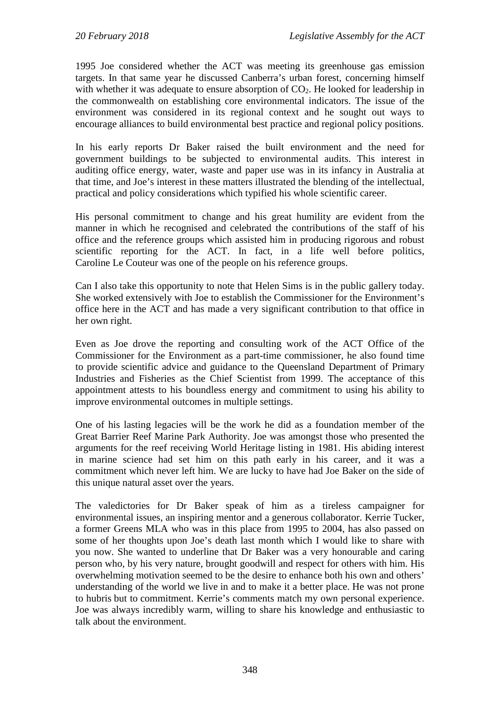1995 Joe considered whether the ACT was meeting its greenhouse gas emission targets. In that same year he discussed Canberra's urban forest, concerning himself with whether it was adequate to ensure absorption of  $CO<sub>2</sub>$ . He looked for leadership in the commonwealth on establishing core environmental indicators. The issue of the environment was considered in its regional context and he sought out ways to encourage alliances to build environmental best practice and regional policy positions.

In his early reports Dr Baker raised the built environment and the need for government buildings to be subjected to environmental audits. This interest in auditing office energy, water, waste and paper use was in its infancy in Australia at that time, and Joe's interest in these matters illustrated the blending of the intellectual, practical and policy considerations which typified his whole scientific career.

His personal commitment to change and his great humility are evident from the manner in which he recognised and celebrated the contributions of the staff of his office and the reference groups which assisted him in producing rigorous and robust scientific reporting for the ACT. In fact, in a life well before politics, Caroline Le Couteur was one of the people on his reference groups.

Can I also take this opportunity to note that Helen Sims is in the public gallery today. She worked extensively with Joe to establish the Commissioner for the Environment's office here in the ACT and has made a very significant contribution to that office in her own right.

Even as Joe drove the reporting and consulting work of the ACT Office of the Commissioner for the Environment as a part-time commissioner, he also found time to provide scientific advice and guidance to the Queensland Department of Primary Industries and Fisheries as the Chief Scientist from 1999. The acceptance of this appointment attests to his boundless energy and commitment to using his ability to improve environmental outcomes in multiple settings.

One of his lasting legacies will be the work he did as a foundation member of the Great Barrier Reef Marine Park Authority. Joe was amongst those who presented the arguments for the reef receiving World Heritage listing in 1981. His abiding interest in marine science had set him on this path early in his career, and it was a commitment which never left him. We are lucky to have had Joe Baker on the side of this unique natural asset over the years.

The valedictories for Dr Baker speak of him as a tireless campaigner for environmental issues, an inspiring mentor and a generous collaborator. Kerrie Tucker, a former Greens MLA who was in this place from 1995 to 2004, has also passed on some of her thoughts upon Joe's death last month which I would like to share with you now. She wanted to underline that Dr Baker was a very honourable and caring person who, by his very nature, brought goodwill and respect for others with him. His overwhelming motivation seemed to be the desire to enhance both his own and others' understanding of the world we live in and to make it a better place. He was not prone to hubris but to commitment. Kerrie's comments match my own personal experience. Joe was always incredibly warm, willing to share his knowledge and enthusiastic to talk about the environment.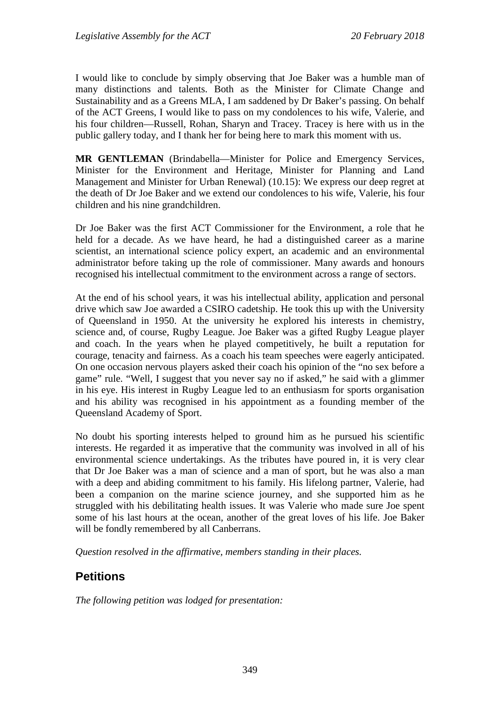I would like to conclude by simply observing that Joe Baker was a humble man of many distinctions and talents. Both as the Minister for Climate Change and Sustainability and as a Greens MLA, I am saddened by Dr Baker's passing. On behalf of the ACT Greens, I would like to pass on my condolences to his wife, Valerie, and his four children—Russell, Rohan, Sharyn and Tracey. Tracey is here with us in the public gallery today, and I thank her for being here to mark this moment with us.

**MR GENTLEMAN** (Brindabella—Minister for Police and Emergency Services, Minister for the Environment and Heritage, Minister for Planning and Land Management and Minister for Urban Renewal) (10.15): We express our deep regret at the death of Dr Joe Baker and we extend our condolences to his wife, Valerie, his four children and his nine grandchildren.

Dr Joe Baker was the first ACT Commissioner for the Environment, a role that he held for a decade. As we have heard, he had a distinguished career as a marine scientist, an international science policy expert, an academic and an environmental administrator before taking up the role of commissioner. Many awards and honours recognised his intellectual commitment to the environment across a range of sectors.

At the end of his school years, it was his intellectual ability, application and personal drive which saw Joe awarded a CSIRO cadetship. He took this up with the University of Queensland in 1950. At the university he explored his interests in chemistry, science and, of course, Rugby League. Joe Baker was a gifted Rugby League player and coach. In the years when he played competitively, he built a reputation for courage, tenacity and fairness. As a coach his team speeches were eagerly anticipated. On one occasion nervous players asked their coach his opinion of the "no sex before a game" rule. "Well, I suggest that you never say no if asked," he said with a glimmer in his eye. His interest in Rugby League led to an enthusiasm for sports organisation and his ability was recognised in his appointment as a founding member of the Queensland Academy of Sport.

No doubt his sporting interests helped to ground him as he pursued his scientific interests. He regarded it as imperative that the community was involved in all of his environmental science undertakings. As the tributes have poured in, it is very clear that Dr Joe Baker was a man of science and a man of sport, but he was also a man with a deep and abiding commitment to his family. His lifelong partner, Valerie, had been a companion on the marine science journey, and she supported him as he struggled with his debilitating health issues. It was Valerie who made sure Joe spent some of his last hours at the ocean, another of the great loves of his life. Joe Baker will be fondly remembered by all Canberrans.

*Question resolved in the affirmative, members standing in their places.*

## <span id="page-7-0"></span>**Petitions**

*The following petition was lodged for presentation:*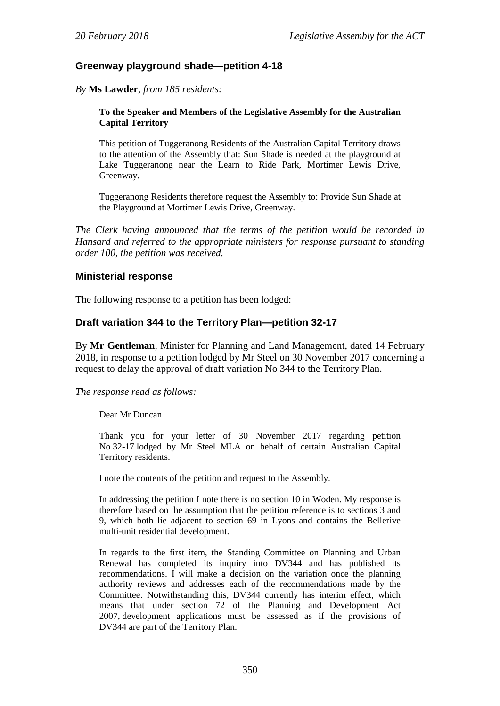#### <span id="page-8-0"></span>**Greenway playground shade—petition 4-18**

*By* **Ms Lawder**, *from 185 residents:*

#### **To the Speaker and Members of the Legislative Assembly for the Australian Capital Territory**

This petition of Tuggeranong Residents of the Australian Capital Territory draws to the attention of the Assembly that: Sun Shade is needed at the playground at Lake Tuggeranong near the Learn to Ride Park, Mortimer Lewis Drive, Greenway.

Tuggeranong Residents therefore request the Assembly to: Provide Sun Shade at the Playground at Mortimer Lewis Drive, Greenway.

*The Clerk having announced that the terms of the petition would be recorded in Hansard and referred to the appropriate ministers for response pursuant to standing order 100, the petition was received.*

#### <span id="page-8-1"></span>**Ministerial response**

The following response to a petition has been lodged:

#### <span id="page-8-2"></span>**Draft variation 344 to the Territory Plan—petition 32-17**

By **Mr Gentleman**, Minister for Planning and Land Management, dated 14 February 2018, in response to a petition lodged by Mr Steel on 30 November 2017 concerning a request to delay the approval of draft variation No 344 to the Territory Plan.

#### *The response read as follows:*

Dear Mr Duncan

Thank you for your letter of 30 November 2017 regarding petition No 32-17 lodged by Mr Steel MLA on behalf of certain Australian Capital Territory residents.

I note the contents of the petition and request to the Assembly.

In addressing the petition I note there is no section 10 in Woden. My response is therefore based on the assumption that the petition reference is to sections 3 and 9, which both lie adjacent to section 69 in Lyons and contains the Bellerive multi-unit residential development.

In regards to the first item, the Standing Committee on Planning and Urban Renewal has completed its inquiry into DV344 and has published its recommendations. I will make a decision on the variation once the planning authority reviews and addresses each of the recommendations made by the Committee. Notwithstanding this, DV344 currently has interim effect, which means that under section 72 of the Planning and Development Act 2007, development applications must be assessed as if the provisions of DV344 are part of the Territory Plan.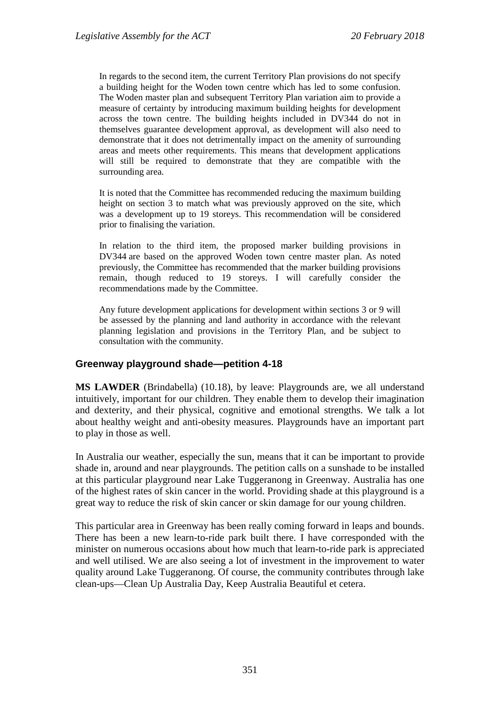In regards to the second item, the current Territory Plan provisions do not specify a building height for the Woden town centre which has led to some confusion. The Woden master plan and subsequent Territory Plan variation aim to provide a measure of certainty by introducing maximum building heights for development across the town centre. The building heights included in DV344 do not in themselves guarantee development approval, as development will also need to demonstrate that it does not detrimentally impact on the amenity of surrounding areas and meets other requirements. This means that development applications will still be required to demonstrate that they are compatible with the surrounding area.

It is noted that the Committee has recommended reducing the maximum building height on section 3 to match what was previously approved on the site, which was a development up to 19 storeys. This recommendation will be considered prior to finalising the variation.

In relation to the third item, the proposed marker building provisions in DV344 are based on the approved Woden town centre master plan. As noted previously, the Committee has recommended that the marker building provisions remain, though reduced to 19 storeys. I will carefully consider the recommendations made by the Committee.

Any future development applications for development within sections 3 or 9 will be assessed by the planning and land authority in accordance with the relevant planning legislation and provisions in the Territory Plan, and be subject to consultation with the community.

#### <span id="page-9-0"></span>**Greenway playground shade—petition 4-18**

**MS LAWDER** (Brindabella) (10.18), by leave: Playgrounds are, we all understand intuitively, important for our children. They enable them to develop their imagination and dexterity, and their physical, cognitive and emotional strengths. We talk a lot about healthy weight and anti-obesity measures. Playgrounds have an important part to play in those as well.

In Australia our weather, especially the sun, means that it can be important to provide shade in, around and near playgrounds. The petition calls on a sunshade to be installed at this particular playground near Lake Tuggeranong in Greenway. Australia has one of the highest rates of skin cancer in the world. Providing shade at this playground is a great way to reduce the risk of skin cancer or skin damage for our young children.

This particular area in Greenway has been really coming forward in leaps and bounds. There has been a new learn-to-ride park built there. I have corresponded with the minister on numerous occasions about how much that learn-to-ride park is appreciated and well utilised. We are also seeing a lot of investment in the improvement to water quality around Lake Tuggeranong. Of course, the community contributes through lake clean-ups—Clean Up Australia Day, Keep Australia Beautiful et cetera.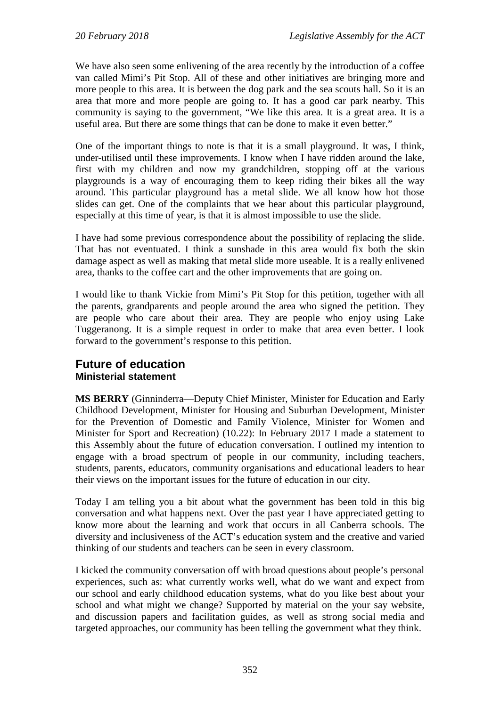We have also seen some enlivening of the area recently by the introduction of a coffee van called Mimi's Pit Stop. All of these and other initiatives are bringing more and more people to this area. It is between the dog park and the sea scouts hall. So it is an area that more and more people are going to. It has a good car park nearby. This community is saying to the government, "We like this area. It is a great area. It is a useful area. But there are some things that can be done to make it even better."

One of the important things to note is that it is a small playground. It was, I think, under-utilised until these improvements. I know when I have ridden around the lake, first with my children and now my grandchildren, stopping off at the various playgrounds is a way of encouraging them to keep riding their bikes all the way around. This particular playground has a metal slide. We all know how hot those slides can get. One of the complaints that we hear about this particular playground, especially at this time of year, is that it is almost impossible to use the slide.

I have had some previous correspondence about the possibility of replacing the slide. That has not eventuated. I think a sunshade in this area would fix both the skin damage aspect as well as making that metal slide more useable. It is a really enlivened area, thanks to the coffee cart and the other improvements that are going on.

I would like to thank Vickie from Mimi's Pit Stop for this petition, together with all the parents, grandparents and people around the area who signed the petition. They are people who care about their area. They are people who enjoy using Lake Tuggeranong. It is a simple request in order to make that area even better. I look forward to the government's response to this petition.

## <span id="page-10-1"></span><span id="page-10-0"></span>**Future of education Ministerial statement**

**MS BERRY** (Ginninderra—Deputy Chief Minister, Minister for Education and Early Childhood Development, Minister for Housing and Suburban Development, Minister for the Prevention of Domestic and Family Violence, Minister for Women and Minister for Sport and Recreation) (10.22): In February 2017 I made a statement to this Assembly about the future of education conversation. I outlined my intention to engage with a broad spectrum of people in our community, including teachers, students, parents, educators, community organisations and educational leaders to hear their views on the important issues for the future of education in our city.

Today I am telling you a bit about what the government has been told in this big conversation and what happens next. Over the past year I have appreciated getting to know more about the learning and work that occurs in all Canberra schools. The diversity and inclusiveness of the ACT's education system and the creative and varied thinking of our students and teachers can be seen in every classroom.

I kicked the community conversation off with broad questions about people's personal experiences, such as: what currently works well, what do we want and expect from our school and early childhood education systems, what do you like best about your school and what might we change? Supported by material on the your say website, and discussion papers and facilitation guides, as well as strong social media and targeted approaches, our community has been telling the government what they think.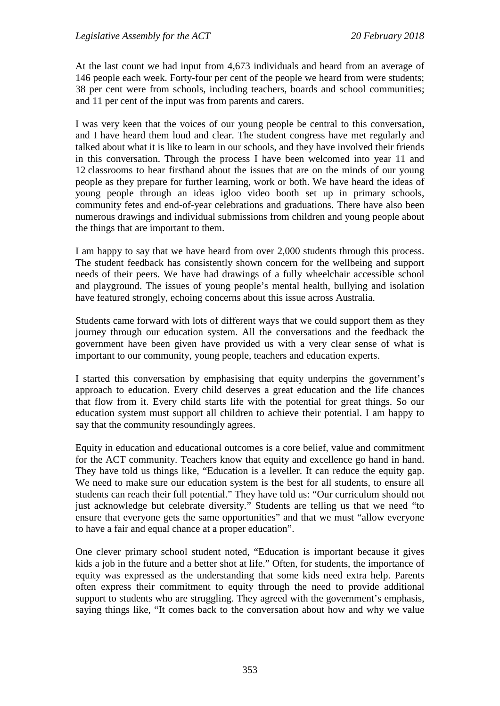At the last count we had input from 4,673 individuals and heard from an average of 146 people each week. Forty-four per cent of the people we heard from were students; 38 per cent were from schools, including teachers, boards and school communities; and 11 per cent of the input was from parents and carers.

I was very keen that the voices of our young people be central to this conversation, and I have heard them loud and clear. The student congress have met regularly and talked about what it is like to learn in our schools, and they have involved their friends in this conversation. Through the process I have been welcomed into year 11 and 12 classrooms to hear firsthand about the issues that are on the minds of our young people as they prepare for further learning, work or both. We have heard the ideas of young people through an ideas igloo video booth set up in primary schools, community fetes and end-of-year celebrations and graduations. There have also been numerous drawings and individual submissions from children and young people about the things that are important to them.

I am happy to say that we have heard from over 2,000 students through this process. The student feedback has consistently shown concern for the wellbeing and support needs of their peers. We have had drawings of a fully wheelchair accessible school and playground. The issues of young people's mental health, bullying and isolation have featured strongly, echoing concerns about this issue across Australia.

Students came forward with lots of different ways that we could support them as they journey through our education system. All the conversations and the feedback the government have been given have provided us with a very clear sense of what is important to our community, young people, teachers and education experts.

I started this conversation by emphasising that equity underpins the government's approach to education. Every child deserves a great education and the life chances that flow from it. Every child starts life with the potential for great things. So our education system must support all children to achieve their potential. I am happy to say that the community resoundingly agrees.

Equity in education and educational outcomes is a core belief, value and commitment for the ACT community. Teachers know that equity and excellence go hand in hand. They have told us things like, "Education is a leveller. It can reduce the equity gap. We need to make sure our education system is the best for all students, to ensure all students can reach their full potential." They have told us: "Our curriculum should not just acknowledge but celebrate diversity." Students are telling us that we need "to ensure that everyone gets the same opportunities" and that we must "allow everyone to have a fair and equal chance at a proper education".

One clever primary school student noted, "Education is important because it gives kids a job in the future and a better shot at life." Often, for students, the importance of equity was expressed as the understanding that some kids need extra help. Parents often express their commitment to equity through the need to provide additional support to students who are struggling. They agreed with the government's emphasis, saying things like, "It comes back to the conversation about how and why we value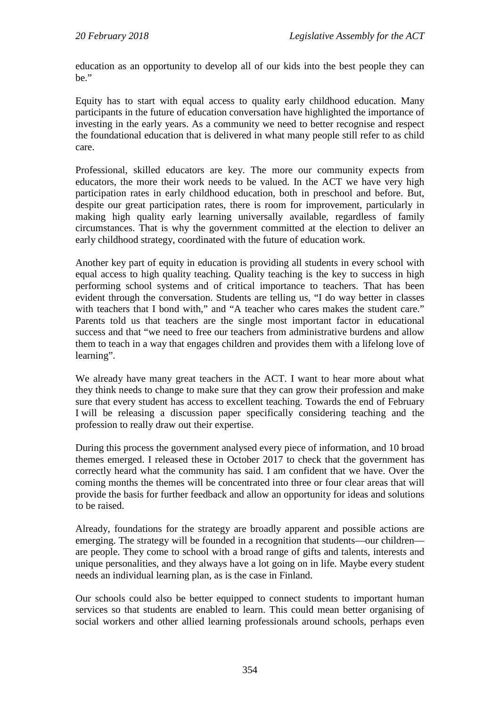education as an opportunity to develop all of our kids into the best people they can be."

Equity has to start with equal access to quality early childhood education. Many participants in the future of education conversation have highlighted the importance of investing in the early years. As a community we need to better recognise and respect the foundational education that is delivered in what many people still refer to as child care.

Professional, skilled educators are key. The more our community expects from educators, the more their work needs to be valued. In the ACT we have very high participation rates in early childhood education, both in preschool and before. But, despite our great participation rates, there is room for improvement, particularly in making high quality early learning universally available, regardless of family circumstances. That is why the government committed at the election to deliver an early childhood strategy, coordinated with the future of education work.

Another key part of equity in education is providing all students in every school with equal access to high quality teaching. Quality teaching is the key to success in high performing school systems and of critical importance to teachers. That has been evident through the conversation. Students are telling us, "I do way better in classes with teachers that I bond with," and "A teacher who cares makes the student care." Parents told us that teachers are the single most important factor in educational success and that "we need to free our teachers from administrative burdens and allow them to teach in a way that engages children and provides them with a lifelong love of learning".

We already have many great teachers in the ACT. I want to hear more about what they think needs to change to make sure that they can grow their profession and make sure that every student has access to excellent teaching. Towards the end of February I will be releasing a discussion paper specifically considering teaching and the profession to really draw out their expertise.

During this process the government analysed every piece of information, and 10 broad themes emerged. I released these in October 2017 to check that the government has correctly heard what the community has said. I am confident that we have. Over the coming months the themes will be concentrated into three or four clear areas that will provide the basis for further feedback and allow an opportunity for ideas and solutions to be raised.

Already, foundations for the strategy are broadly apparent and possible actions are emerging. The strategy will be founded in a recognition that students—our children are people. They come to school with a broad range of gifts and talents, interests and unique personalities, and they always have a lot going on in life. Maybe every student needs an individual learning plan, as is the case in Finland.

Our schools could also be better equipped to connect students to important human services so that students are enabled to learn. This could mean better organising of social workers and other allied learning professionals around schools, perhaps even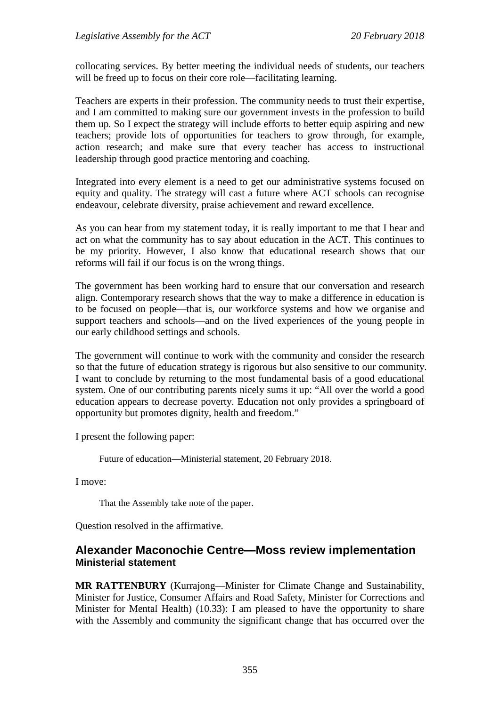collocating services. By better meeting the individual needs of students, our teachers will be freed up to focus on their core role—facilitating learning.

Teachers are experts in their profession. The community needs to trust their expertise, and I am committed to making sure our government invests in the profession to build them up. So I expect the strategy will include efforts to better equip aspiring and new teachers; provide lots of opportunities for teachers to grow through, for example, action research; and make sure that every teacher has access to instructional leadership through good practice mentoring and coaching.

Integrated into every element is a need to get our administrative systems focused on equity and quality. The strategy will cast a future where ACT schools can recognise endeavour, celebrate diversity, praise achievement and reward excellence.

As you can hear from my statement today, it is really important to me that I hear and act on what the community has to say about education in the ACT. This continues to be my priority. However, I also know that educational research shows that our reforms will fail if our focus is on the wrong things.

The government has been working hard to ensure that our conversation and research align. Contemporary research shows that the way to make a difference in education is to be focused on people—that is, our workforce systems and how we organise and support teachers and schools—and on the lived experiences of the young people in our early childhood settings and schools.

The government will continue to work with the community and consider the research so that the future of education strategy is rigorous but also sensitive to our community. I want to conclude by returning to the most fundamental basis of a good educational system. One of our contributing parents nicely sums it up: "All over the world a good education appears to decrease poverty. Education not only provides a springboard of opportunity but promotes dignity, health and freedom."

I present the following paper:

Future of education—Ministerial statement, 20 February 2018.

I move:

That the Assembly take note of the paper.

Question resolved in the affirmative.

## <span id="page-13-1"></span><span id="page-13-0"></span>**Alexander Maconochie Centre—Moss review implementation Ministerial statement**

**MR RATTENBURY** (Kurrajong—Minister for Climate Change and Sustainability, Minister for Justice, Consumer Affairs and Road Safety, Minister for Corrections and Minister for Mental Health) (10.33): I am pleased to have the opportunity to share with the Assembly and community the significant change that has occurred over the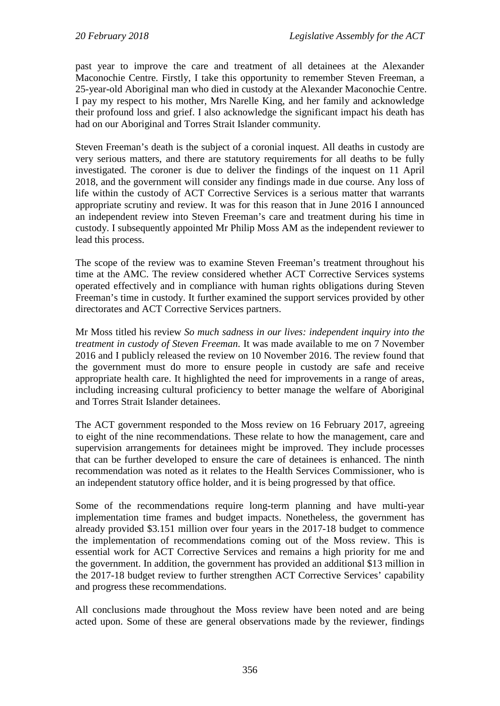past year to improve the care and treatment of all detainees at the Alexander Maconochie Centre. Firstly, I take this opportunity to remember Steven Freeman, a 25-year-old Aboriginal man who died in custody at the Alexander Maconochie Centre. I pay my respect to his mother, Mrs Narelle King, and her family and acknowledge their profound loss and grief. I also acknowledge the significant impact his death has had on our Aboriginal and Torres Strait Islander community.

Steven Freeman's death is the subject of a coronial inquest. All deaths in custody are very serious matters, and there are statutory requirements for all deaths to be fully investigated. The coroner is due to deliver the findings of the inquest on 11 April 2018, and the government will consider any findings made in due course. Any loss of life within the custody of ACT Corrective Services is a serious matter that warrants appropriate scrutiny and review. It was for this reason that in June 2016 I announced an independent review into Steven Freeman's care and treatment during his time in custody. I subsequently appointed Mr Philip Moss AM as the independent reviewer to lead this process.

The scope of the review was to examine Steven Freeman's treatment throughout his time at the AMC. The review considered whether ACT Corrective Services systems operated effectively and in compliance with human rights obligations during Steven Freeman's time in custody. It further examined the support services provided by other directorates and ACT Corrective Services partners.

Mr Moss titled his review *So much sadness in our lives: independent inquiry into the treatment in custody of Steven Freeman*. It was made available to me on 7 November 2016 and I publicly released the review on 10 November 2016. The review found that the government must do more to ensure people in custody are safe and receive appropriate health care. It highlighted the need for improvements in a range of areas, including increasing cultural proficiency to better manage the welfare of Aboriginal and Torres Strait Islander detainees.

The ACT government responded to the Moss review on 16 February 2017, agreeing to eight of the nine recommendations. These relate to how the management, care and supervision arrangements for detainees might be improved. They include processes that can be further developed to ensure the care of detainees is enhanced. The ninth recommendation was noted as it relates to the Health Services Commissioner, who is an independent statutory office holder, and it is being progressed by that office.

Some of the recommendations require long-term planning and have multi-year implementation time frames and budget impacts. Nonetheless, the government has already provided \$3.151 million over four years in the 2017-18 budget to commence the implementation of recommendations coming out of the Moss review. This is essential work for ACT Corrective Services and remains a high priority for me and the government. In addition, the government has provided an additional \$13 million in the 2017-18 budget review to further strengthen ACT Corrective Services' capability and progress these recommendations.

All conclusions made throughout the Moss review have been noted and are being acted upon. Some of these are general observations made by the reviewer, findings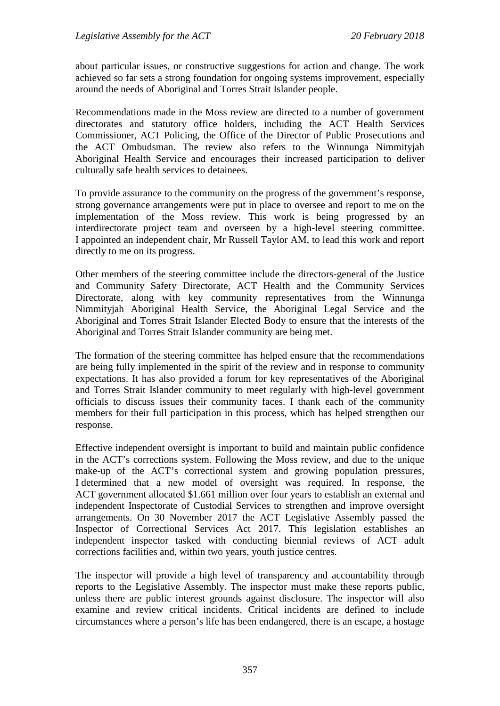about particular issues, or constructive suggestions for action and change. The work achieved so far sets a strong foundation for ongoing systems improvement, especially around the needs of Aboriginal and Torres Strait Islander people.

Recommendations made in the Moss review are directed to a number of government directorates and statutory office holders, including the ACT Health Services Commissioner, ACT Policing, the Office of the Director of Public Prosecutions and the ACT Ombudsman. The review also refers to the Winnunga Nimmityjah Aboriginal Health Service and encourages their increased participation to deliver culturally safe health services to detainees.

To provide assurance to the community on the progress of the government's response, strong governance arrangements were put in place to oversee and report to me on the implementation of the Moss review. This work is being progressed by an interdirectorate project team and overseen by a high-level steering committee. I appointed an independent chair, Mr Russell Taylor AM, to lead this work and report directly to me on its progress.

Other members of the steering committee include the directors-general of the Justice and Community Safety Directorate, ACT Health and the Community Services Directorate, along with key community representatives from the Winnunga Nimmityjah Aboriginal Health Service, the Aboriginal Legal Service and the Aboriginal and Torres Strait Islander Elected Body to ensure that the interests of the Aboriginal and Torres Strait Islander community are being met.

The formation of the steering committee has helped ensure that the recommendations are being fully implemented in the spirit of the review and in response to community expectations. It has also provided a forum for key representatives of the Aboriginal and Torres Strait Islander community to meet regularly with high-level government officials to discuss issues their community faces. I thank each of the community members for their full participation in this process, which has helped strengthen our response.

Effective independent oversight is important to build and maintain public confidence in the ACT's corrections system. Following the Moss review, and due to the unique make-up of the ACT's correctional system and growing population pressures, I determined that a new model of oversight was required. In response, the ACT government allocated \$1.661 million over four years to establish an external and independent Inspectorate of Custodial Services to strengthen and improve oversight arrangements. On 30 November 2017 the ACT Legislative Assembly passed the Inspector of Correctional Services Act 2017. This legislation establishes an independent inspector tasked with conducting biennial reviews of ACT adult corrections facilities and, within two years, youth justice centres.

The inspector will provide a high level of transparency and accountability through reports to the Legislative Assembly. The inspector must make these reports public, unless there are public interest grounds against disclosure. The inspector will also examine and review critical incidents. Critical incidents are defined to include circumstances where a person's life has been endangered, there is an escape, a hostage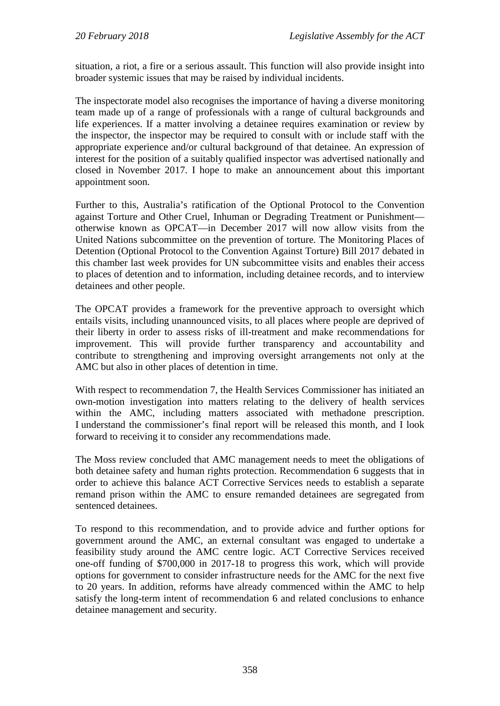situation, a riot, a fire or a serious assault. This function will also provide insight into broader systemic issues that may be raised by individual incidents.

The inspectorate model also recognises the importance of having a diverse monitoring team made up of a range of professionals with a range of cultural backgrounds and life experiences. If a matter involving a detainee requires examination or review by the inspector, the inspector may be required to consult with or include staff with the appropriate experience and/or cultural background of that detainee. An expression of interest for the position of a suitably qualified inspector was advertised nationally and closed in November 2017. I hope to make an announcement about this important appointment soon.

Further to this, Australia's ratification of the Optional Protocol to the Convention against Torture and Other Cruel, Inhuman or Degrading Treatment or Punishment otherwise known as OPCAT—in December 2017 will now allow visits from the United Nations subcommittee on the prevention of torture. The Monitoring Places of Detention (Optional Protocol to the Convention Against Torture) Bill 2017 debated in this chamber last week provides for UN subcommittee visits and enables their access to places of detention and to information, including detainee records, and to interview detainees and other people.

The OPCAT provides a framework for the preventive approach to oversight which entails visits, including unannounced visits, to all places where people are deprived of their liberty in order to assess risks of ill-treatment and make recommendations for improvement. This will provide further transparency and accountability and contribute to strengthening and improving oversight arrangements not only at the AMC but also in other places of detention in time.

With respect to recommendation 7, the Health Services Commissioner has initiated an own-motion investigation into matters relating to the delivery of health services within the AMC, including matters associated with methadone prescription. I understand the commissioner's final report will be released this month, and I look forward to receiving it to consider any recommendations made.

The Moss review concluded that AMC management needs to meet the obligations of both detainee safety and human rights protection. Recommendation 6 suggests that in order to achieve this balance ACT Corrective Services needs to establish a separate remand prison within the AMC to ensure remanded detainees are segregated from sentenced detainees.

To respond to this recommendation, and to provide advice and further options for government around the AMC, an external consultant was engaged to undertake a feasibility study around the AMC centre logic. ACT Corrective Services received one-off funding of \$700,000 in 2017-18 to progress this work, which will provide options for government to consider infrastructure needs for the AMC for the next five to 20 years. In addition, reforms have already commenced within the AMC to help satisfy the long-term intent of recommendation 6 and related conclusions to enhance detainee management and security.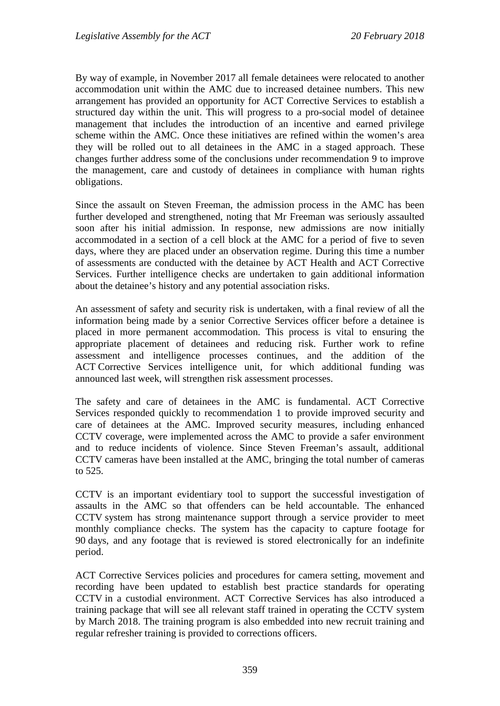By way of example, in November 2017 all female detainees were relocated to another accommodation unit within the AMC due to increased detainee numbers. This new arrangement has provided an opportunity for ACT Corrective Services to establish a structured day within the unit. This will progress to a pro-social model of detainee management that includes the introduction of an incentive and earned privilege scheme within the AMC. Once these initiatives are refined within the women's area they will be rolled out to all detainees in the AMC in a staged approach. These changes further address some of the conclusions under recommendation 9 to improve the management, care and custody of detainees in compliance with human rights obligations.

Since the assault on Steven Freeman, the admission process in the AMC has been further developed and strengthened, noting that Mr Freeman was seriously assaulted soon after his initial admission. In response, new admissions are now initially accommodated in a section of a cell block at the AMC for a period of five to seven days, where they are placed under an observation regime. During this time a number of assessments are conducted with the detainee by ACT Health and ACT Corrective Services. Further intelligence checks are undertaken to gain additional information about the detainee's history and any potential association risks.

An assessment of safety and security risk is undertaken, with a final review of all the information being made by a senior Corrective Services officer before a detainee is placed in more permanent accommodation. This process is vital to ensuring the appropriate placement of detainees and reducing risk. Further work to refine assessment and intelligence processes continues, and the addition of the ACT Corrective Services intelligence unit, for which additional funding was announced last week, will strengthen risk assessment processes.

The safety and care of detainees in the AMC is fundamental. ACT Corrective Services responded quickly to recommendation 1 to provide improved security and care of detainees at the AMC. Improved security measures, including enhanced CCTV coverage, were implemented across the AMC to provide a safer environment and to reduce incidents of violence. Since Steven Freeman's assault, additional CCTV cameras have been installed at the AMC, bringing the total number of cameras to 525.

CCTV is an important evidentiary tool to support the successful investigation of assaults in the AMC so that offenders can be held accountable. The enhanced CCTV system has strong maintenance support through a service provider to meet monthly compliance checks. The system has the capacity to capture footage for 90 days, and any footage that is reviewed is stored electronically for an indefinite period.

ACT Corrective Services policies and procedures for camera setting, movement and recording have been updated to establish best practice standards for operating CCTV in a custodial environment. ACT Corrective Services has also introduced a training package that will see all relevant staff trained in operating the CCTV system by March 2018. The training program is also embedded into new recruit training and regular refresher training is provided to corrections officers.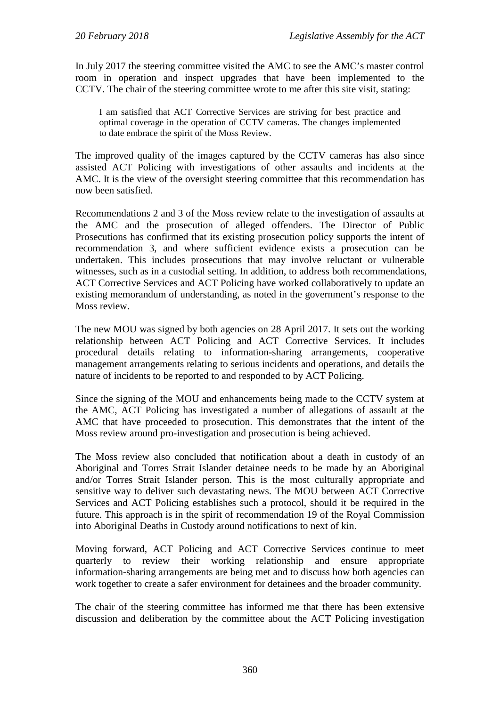In July 2017 the steering committee visited the AMC to see the AMC's master control room in operation and inspect upgrades that have been implemented to the CCTV. The chair of the steering committee wrote to me after this site visit, stating:

I am satisfied that ACT Corrective Services are striving for best practice and optimal coverage in the operation of CCTV cameras. The changes implemented to date embrace the spirit of the Moss Review.

The improved quality of the images captured by the CCTV cameras has also since assisted ACT Policing with investigations of other assaults and incidents at the AMC. It is the view of the oversight steering committee that this recommendation has now been satisfied.

Recommendations 2 and 3 of the Moss review relate to the investigation of assaults at the AMC and the prosecution of alleged offenders. The Director of Public Prosecutions has confirmed that its existing prosecution policy supports the intent of recommendation 3, and where sufficient evidence exists a prosecution can be undertaken. This includes prosecutions that may involve reluctant or vulnerable witnesses, such as in a custodial setting. In addition, to address both recommendations, ACT Corrective Services and ACT Policing have worked collaboratively to update an existing memorandum of understanding, as noted in the government's response to the Moss review.

The new MOU was signed by both agencies on 28 April 2017. It sets out the working relationship between ACT Policing and ACT Corrective Services. It includes procedural details relating to information-sharing arrangements, cooperative management arrangements relating to serious incidents and operations, and details the nature of incidents to be reported to and responded to by ACT Policing.

Since the signing of the MOU and enhancements being made to the CCTV system at the AMC, ACT Policing has investigated a number of allegations of assault at the AMC that have proceeded to prosecution. This demonstrates that the intent of the Moss review around pro-investigation and prosecution is being achieved.

The Moss review also concluded that notification about a death in custody of an Aboriginal and Torres Strait Islander detainee needs to be made by an Aboriginal and/or Torres Strait Islander person. This is the most culturally appropriate and sensitive way to deliver such devastating news. The MOU between ACT Corrective Services and ACT Policing establishes such a protocol, should it be required in the future. This approach is in the spirit of recommendation 19 of the Royal Commission into Aboriginal Deaths in Custody around notifications to next of kin.

Moving forward, ACT Policing and ACT Corrective Services continue to meet quarterly to review their working relationship and ensure appropriate information-sharing arrangements are being met and to discuss how both agencies can work together to create a safer environment for detainees and the broader community.

The chair of the steering committee has informed me that there has been extensive discussion and deliberation by the committee about the ACT Policing investigation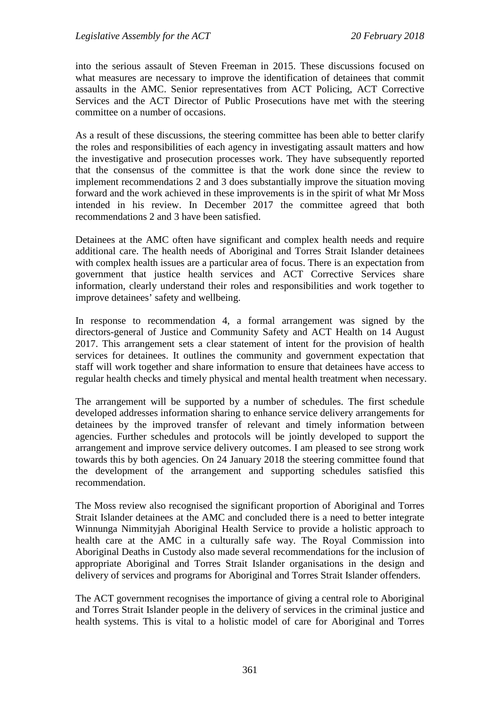into the serious assault of Steven Freeman in 2015. These discussions focused on what measures are necessary to improve the identification of detainees that commit assaults in the AMC. Senior representatives from ACT Policing, ACT Corrective Services and the ACT Director of Public Prosecutions have met with the steering committee on a number of occasions.

As a result of these discussions, the steering committee has been able to better clarify the roles and responsibilities of each agency in investigating assault matters and how the investigative and prosecution processes work. They have subsequently reported that the consensus of the committee is that the work done since the review to implement recommendations 2 and 3 does substantially improve the situation moving forward and the work achieved in these improvements is in the spirit of what Mr Moss intended in his review. In December 2017 the committee agreed that both recommendations 2 and 3 have been satisfied.

Detainees at the AMC often have significant and complex health needs and require additional care. The health needs of Aboriginal and Torres Strait Islander detainees with complex health issues are a particular area of focus. There is an expectation from government that justice health services and ACT Corrective Services share information, clearly understand their roles and responsibilities and work together to improve detainees' safety and wellbeing.

In response to recommendation 4, a formal arrangement was signed by the directors-general of Justice and Community Safety and ACT Health on 14 August 2017. This arrangement sets a clear statement of intent for the provision of health services for detainees. It outlines the community and government expectation that staff will work together and share information to ensure that detainees have access to regular health checks and timely physical and mental health treatment when necessary.

The arrangement will be supported by a number of schedules. The first schedule developed addresses information sharing to enhance service delivery arrangements for detainees by the improved transfer of relevant and timely information between agencies. Further schedules and protocols will be jointly developed to support the arrangement and improve service delivery outcomes. I am pleased to see strong work towards this by both agencies. On 24 January 2018 the steering committee found that the development of the arrangement and supporting schedules satisfied this recommendation.

The Moss review also recognised the significant proportion of Aboriginal and Torres Strait Islander detainees at the AMC and concluded there is a need to better integrate Winnunga Nimmityjah Aboriginal Health Service to provide a holistic approach to health care at the AMC in a culturally safe way. The Royal Commission into Aboriginal Deaths in Custody also made several recommendations for the inclusion of appropriate Aboriginal and Torres Strait Islander organisations in the design and delivery of services and programs for Aboriginal and Torres Strait Islander offenders.

The ACT government recognises the importance of giving a central role to Aboriginal and Torres Strait Islander people in the delivery of services in the criminal justice and health systems. This is vital to a holistic model of care for Aboriginal and Torres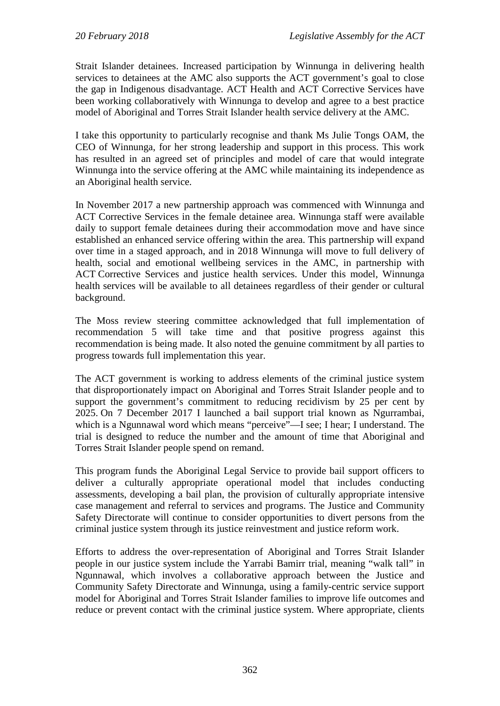Strait Islander detainees. Increased participation by Winnunga in delivering health services to detainees at the AMC also supports the ACT government's goal to close the gap in Indigenous disadvantage. ACT Health and ACT Corrective Services have been working collaboratively with Winnunga to develop and agree to a best practice model of Aboriginal and Torres Strait Islander health service delivery at the AMC.

I take this opportunity to particularly recognise and thank Ms Julie Tongs OAM, the CEO of Winnunga, for her strong leadership and support in this process. This work has resulted in an agreed set of principles and model of care that would integrate Winnunga into the service offering at the AMC while maintaining its independence as an Aboriginal health service.

In November 2017 a new partnership approach was commenced with Winnunga and ACT Corrective Services in the female detainee area. Winnunga staff were available daily to support female detainees during their accommodation move and have since established an enhanced service offering within the area. This partnership will expand over time in a staged approach, and in 2018 Winnunga will move to full delivery of health, social and emotional wellbeing services in the AMC, in partnership with ACT Corrective Services and justice health services. Under this model, Winnunga health services will be available to all detainees regardless of their gender or cultural background.

The Moss review steering committee acknowledged that full implementation of recommendation 5 will take time and that positive progress against this recommendation is being made. It also noted the genuine commitment by all parties to progress towards full implementation this year.

The ACT government is working to address elements of the criminal justice system that disproportionately impact on Aboriginal and Torres Strait Islander people and to support the government's commitment to reducing recidivism by 25 per cent by 2025. On 7 December 2017 I launched a bail support trial known as Ngurrambai, which is a Ngunnawal word which means "perceive"—I see; I hear; I understand. The trial is designed to reduce the number and the amount of time that Aboriginal and Torres Strait Islander people spend on remand.

This program funds the Aboriginal Legal Service to provide bail support officers to deliver a culturally appropriate operational model that includes conducting assessments, developing a bail plan, the provision of culturally appropriate intensive case management and referral to services and programs. The Justice and Community Safety Directorate will continue to consider opportunities to divert persons from the criminal justice system through its justice reinvestment and justice reform work.

Efforts to address the over-representation of Aboriginal and Torres Strait Islander people in our justice system include the Yarrabi Bamirr trial, meaning "walk tall" in Ngunnawal, which involves a collaborative approach between the Justice and Community Safety Directorate and Winnunga, using a family-centric service support model for Aboriginal and Torres Strait Islander families to improve life outcomes and reduce or prevent contact with the criminal justice system. Where appropriate, clients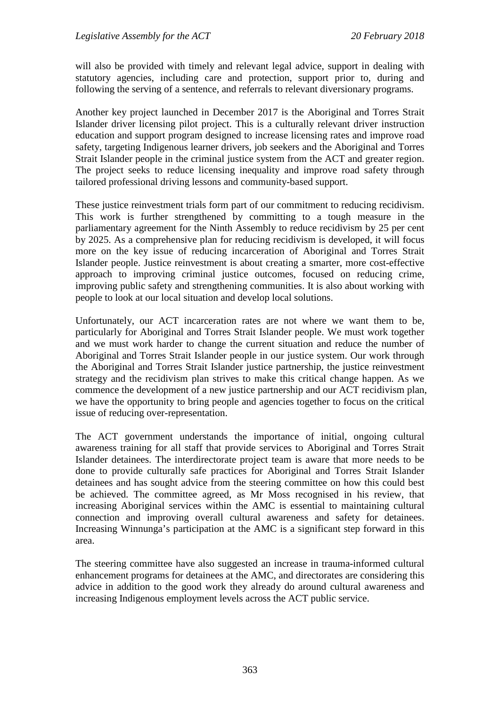will also be provided with timely and relevant legal advice, support in dealing with statutory agencies, including care and protection, support prior to, during and following the serving of a sentence, and referrals to relevant diversionary programs.

Another key project launched in December 2017 is the Aboriginal and Torres Strait Islander driver licensing pilot project. This is a culturally relevant driver instruction education and support program designed to increase licensing rates and improve road safety, targeting Indigenous learner drivers, job seekers and the Aboriginal and Torres Strait Islander people in the criminal justice system from the ACT and greater region. The project seeks to reduce licensing inequality and improve road safety through tailored professional driving lessons and community-based support.

These justice reinvestment trials form part of our commitment to reducing recidivism. This work is further strengthened by committing to a tough measure in the parliamentary agreement for the Ninth Assembly to reduce recidivism by 25 per cent by 2025. As a comprehensive plan for reducing recidivism is developed, it will focus more on the key issue of reducing incarceration of Aboriginal and Torres Strait Islander people. Justice reinvestment is about creating a smarter, more cost-effective approach to improving criminal justice outcomes, focused on reducing crime, improving public safety and strengthening communities. It is also about working with people to look at our local situation and develop local solutions.

Unfortunately, our ACT incarceration rates are not where we want them to be, particularly for Aboriginal and Torres Strait Islander people. We must work together and we must work harder to change the current situation and reduce the number of Aboriginal and Torres Strait Islander people in our justice system. Our work through the Aboriginal and Torres Strait Islander justice partnership, the justice reinvestment strategy and the recidivism plan strives to make this critical change happen. As we commence the development of a new justice partnership and our ACT recidivism plan, we have the opportunity to bring people and agencies together to focus on the critical issue of reducing over-representation.

The ACT government understands the importance of initial, ongoing cultural awareness training for all staff that provide services to Aboriginal and Torres Strait Islander detainees. The interdirectorate project team is aware that more needs to be done to provide culturally safe practices for Aboriginal and Torres Strait Islander detainees and has sought advice from the steering committee on how this could best be achieved. The committee agreed, as Mr Moss recognised in his review, that increasing Aboriginal services within the AMC is essential to maintaining cultural connection and improving overall cultural awareness and safety for detainees. Increasing Winnunga's participation at the AMC is a significant step forward in this area.

The steering committee have also suggested an increase in trauma-informed cultural enhancement programs for detainees at the AMC, and directorates are considering this advice in addition to the good work they already do around cultural awareness and increasing Indigenous employment levels across the ACT public service.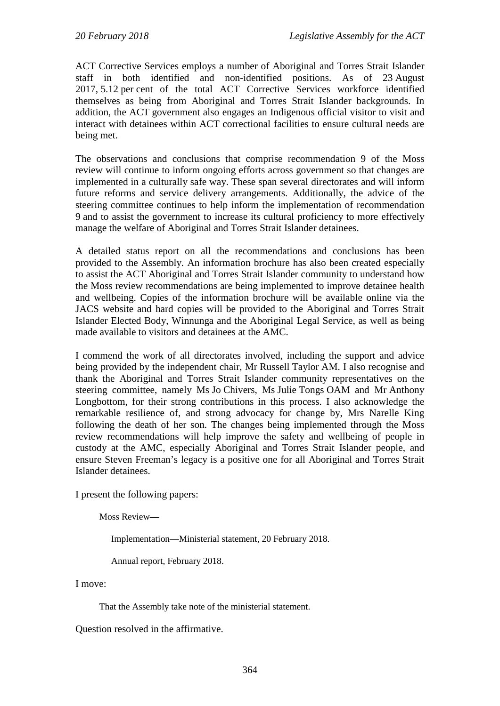ACT Corrective Services employs a number of Aboriginal and Torres Strait Islander staff in both identified and non-identified positions. As of 23 August 2017, 5.12 per cent of the total ACT Corrective Services workforce identified themselves as being from Aboriginal and Torres Strait Islander backgrounds. In addition, the ACT government also engages an Indigenous official visitor to visit and interact with detainees within ACT correctional facilities to ensure cultural needs are being met.

The observations and conclusions that comprise recommendation 9 of the Moss review will continue to inform ongoing efforts across government so that changes are implemented in a culturally safe way. These span several directorates and will inform future reforms and service delivery arrangements. Additionally, the advice of the steering committee continues to help inform the implementation of recommendation 9 and to assist the government to increase its cultural proficiency to more effectively manage the welfare of Aboriginal and Torres Strait Islander detainees.

A detailed status report on all the recommendations and conclusions has been provided to the Assembly. An information brochure has also been created especially to assist the ACT Aboriginal and Torres Strait Islander community to understand how the Moss review recommendations are being implemented to improve detainee health and wellbeing. Copies of the information brochure will be available online via the JACS website and hard copies will be provided to the Aboriginal and Torres Strait Islander Elected Body, Winnunga and the Aboriginal Legal Service, as well as being made available to visitors and detainees at the AMC.

I commend the work of all directorates involved, including the support and advice being provided by the independent chair, Mr Russell Taylor AM. I also recognise and thank the Aboriginal and Torres Strait Islander community representatives on the steering committee, namely Ms Jo Chivers, Ms Julie Tongs OAM and Mr Anthony Longbottom, for their strong contributions in this process. I also acknowledge the remarkable resilience of, and strong advocacy for change by, Mrs Narelle King following the death of her son. The changes being implemented through the Moss review recommendations will help improve the safety and wellbeing of people in custody at the AMC, especially Aboriginal and Torres Strait Islander people, and ensure Steven Freeman's legacy is a positive one for all Aboriginal and Torres Strait Islander detainees.

I present the following papers:

Moss Review—

Implementation—Ministerial statement, 20 February 2018.

Annual report, February 2018.

I move:

That the Assembly take note of the ministerial statement.

Question resolved in the affirmative.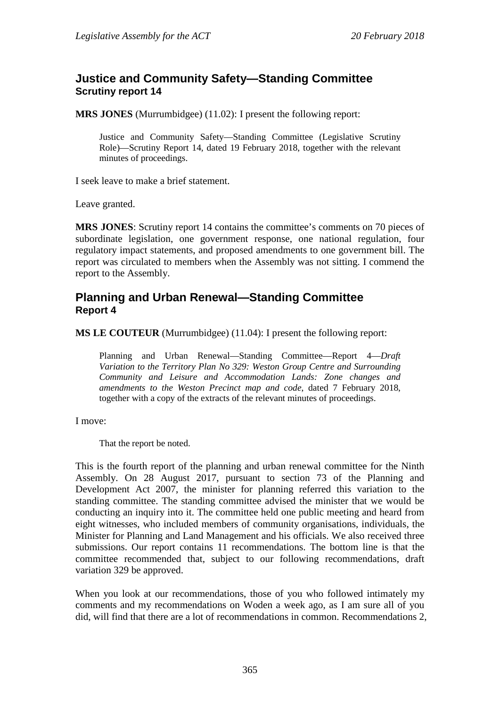## <span id="page-23-0"></span>**Justice and Community Safety—Standing Committee Scrutiny report 14**

**MRS JONES** (Murrumbidgee) (11.02): I present the following report:

Justice and Community Safety—Standing Committee (Legislative Scrutiny Role)—Scrutiny Report 14*,* dated 19 February 2018, together with the relevant minutes of proceedings.

I seek leave to make a brief statement.

Leave granted.

**MRS JONES**: Scrutiny report 14 contains the committee's comments on 70 pieces of subordinate legislation, one government response, one national regulation, four regulatory impact statements, and proposed amendments to one government bill. The report was circulated to members when the Assembly was not sitting. I commend the report to the Assembly.

## <span id="page-23-1"></span>**Planning and Urban Renewal—Standing Committee Report 4**

**MS LE COUTEUR** (Murrumbidgee) (11.04): I present the following report:

Planning and Urban Renewal—Standing Committee—Report 4—*Draft Variation to the Territory Plan No 329: Weston Group Centre and Surrounding Community and Leisure and Accommodation Lands: Zone changes and amendments to the Weston Precinct map and code*, dated 7 February 2018, together with a copy of the extracts of the relevant minutes of proceedings.

I move:

That the report be noted.

This is the fourth report of the planning and urban renewal committee for the Ninth Assembly. On 28 August 2017, pursuant to section 73 of the Planning and Development Act 2007, the minister for planning referred this variation to the standing committee. The standing committee advised the minister that we would be conducting an inquiry into it. The committee held one public meeting and heard from eight witnesses, who included members of community organisations, individuals, the Minister for Planning and Land Management and his officials. We also received three submissions. Our report contains 11 recommendations. The bottom line is that the committee recommended that, subject to our following recommendations, draft variation 329 be approved.

When you look at our recommendations, those of you who followed intimately my comments and my recommendations on Woden a week ago, as I am sure all of you did, will find that there are a lot of recommendations in common. Recommendations 2,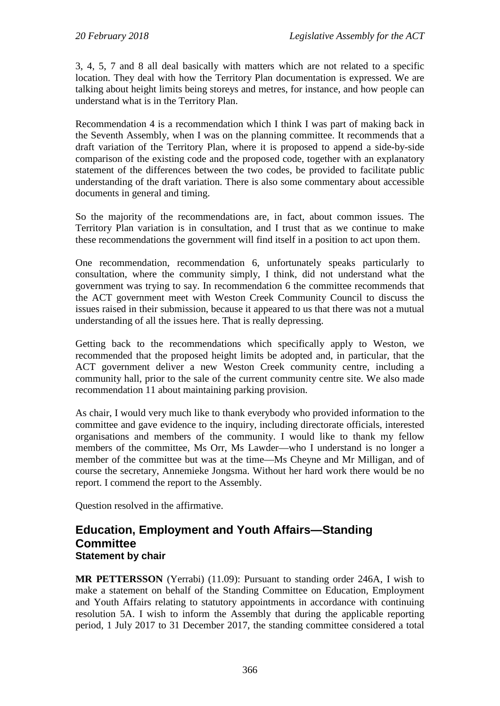3, 4, 5, 7 and 8 all deal basically with matters which are not related to a specific location. They deal with how the Territory Plan documentation is expressed. We are talking about height limits being storeys and metres, for instance, and how people can understand what is in the Territory Plan.

Recommendation 4 is a recommendation which I think I was part of making back in the Seventh Assembly, when I was on the planning committee. It recommends that a draft variation of the Territory Plan, where it is proposed to append a side-by-side comparison of the existing code and the proposed code, together with an explanatory statement of the differences between the two codes, be provided to facilitate public understanding of the draft variation. There is also some commentary about accessible documents in general and timing.

So the majority of the recommendations are, in fact, about common issues. The Territory Plan variation is in consultation, and I trust that as we continue to make these recommendations the government will find itself in a position to act upon them.

One recommendation, recommendation 6, unfortunately speaks particularly to consultation, where the community simply, I think, did not understand what the government was trying to say. In recommendation 6 the committee recommends that the ACT government meet with Weston Creek Community Council to discuss the issues raised in their submission, because it appeared to us that there was not a mutual understanding of all the issues here. That is really depressing.

Getting back to the recommendations which specifically apply to Weston, we recommended that the proposed height limits be adopted and, in particular, that the ACT government deliver a new Weston Creek community centre, including a community hall, prior to the sale of the current community centre site. We also made recommendation 11 about maintaining parking provision.

As chair, I would very much like to thank everybody who provided information to the committee and gave evidence to the inquiry, including directorate officials, interested organisations and members of the community. I would like to thank my fellow members of the committee, Ms Orr, Ms Lawder—who I understand is no longer a member of the committee but was at the time—Ms Cheyne and Mr Milligan, and of course the secretary, Annemieke Jongsma. Without her hard work there would be no report. I commend the report to the Assembly.

Question resolved in the affirmative.

## <span id="page-24-0"></span>**Education, Employment and Youth Affairs—Standing Committee Statement by chair**

**MR PETTERSSON** (Yerrabi) (11.09): Pursuant to standing order 246A, I wish to make a statement on behalf of the Standing Committee on Education, Employment and Youth Affairs relating to statutory appointments in accordance with continuing resolution 5A. I wish to inform the Assembly that during the applicable reporting period, 1 July 2017 to 31 December 2017, the standing committee considered a total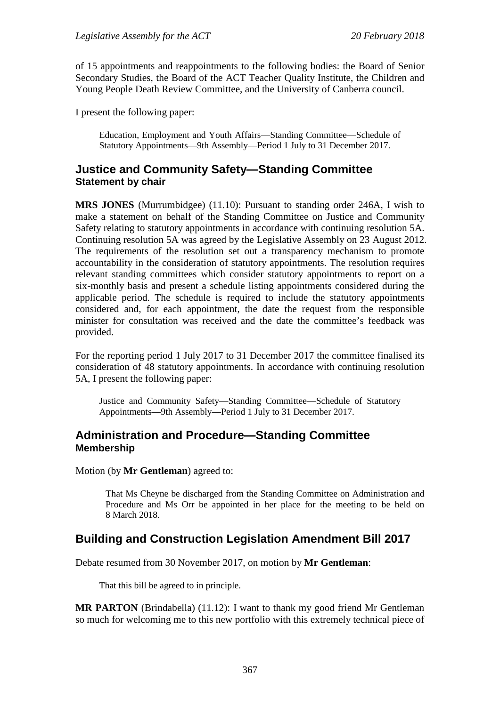of 15 appointments and reappointments to the following bodies: the Board of Senior Secondary Studies, the Board of the ACT Teacher Quality Institute, the Children and Young People Death Review Committee, and the University of Canberra council.

I present the following paper:

Education, Employment and Youth Affairs—Standing Committee—Schedule of Statutory Appointments—9th Assembly—Period 1 July to 31 December 2017.

## <span id="page-25-0"></span>**Justice and Community Safety—Standing Committee Statement by chair**

**MRS JONES** (Murrumbidgee) (11.10): Pursuant to standing order 246A, I wish to make a statement on behalf of the Standing Committee on Justice and Community Safety relating to statutory appointments in accordance with continuing resolution 5A. Continuing resolution 5A was agreed by the Legislative Assembly on 23 August 2012. The requirements of the resolution set out a transparency mechanism to promote accountability in the consideration of statutory appointments. The resolution requires relevant standing committees which consider statutory appointments to report on a six-monthly basis and present a schedule listing appointments considered during the applicable period. The schedule is required to include the statutory appointments considered and, for each appointment, the date the request from the responsible minister for consultation was received and the date the committee's feedback was provided.

For the reporting period 1 July 2017 to 31 December 2017 the committee finalised its consideration of 48 statutory appointments. In accordance with continuing resolution 5A, I present the following paper:

Justice and Community Safety—Standing Committee—Schedule of Statutory Appointments—9th Assembly—Period 1 July to 31 December 2017.

#### <span id="page-25-1"></span>**Administration and Procedure—Standing Committee Membership**

Motion (by **Mr Gentleman**) agreed to:

That Ms Cheyne be discharged from the Standing Committee on Administration and Procedure and Ms Orr be appointed in her place for the meeting to be held on 8 March 2018.

## <span id="page-25-2"></span>**Building and Construction Legislation Amendment Bill 2017**

Debate resumed from 30 November 2017, on motion by **Mr Gentleman**:

That this bill be agreed to in principle.

**MR PARTON** (Brindabella) (11.12): I want to thank my good friend Mr Gentleman so much for welcoming me to this new portfolio with this extremely technical piece of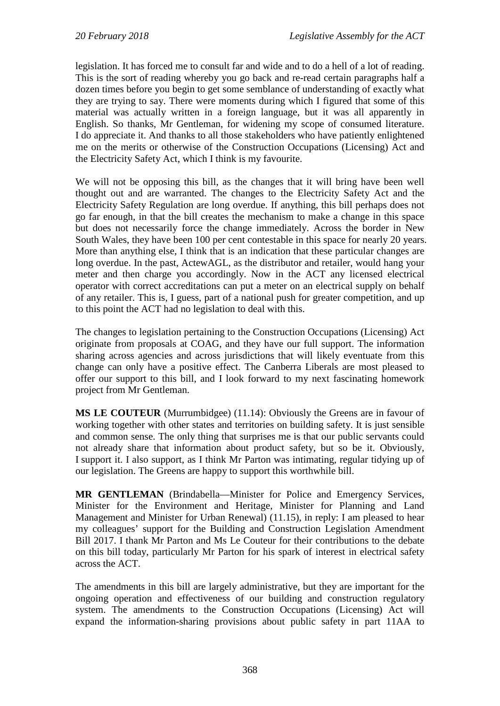legislation. It has forced me to consult far and wide and to do a hell of a lot of reading. This is the sort of reading whereby you go back and re-read certain paragraphs half a dozen times before you begin to get some semblance of understanding of exactly what they are trying to say. There were moments during which I figured that some of this material was actually written in a foreign language, but it was all apparently in English. So thanks, Mr Gentleman, for widening my scope of consumed literature. I do appreciate it. And thanks to all those stakeholders who have patiently enlightened me on the merits or otherwise of the Construction Occupations (Licensing) Act and the Electricity Safety Act, which I think is my favourite.

We will not be opposing this bill, as the changes that it will bring have been well thought out and are warranted. The changes to the Electricity Safety Act and the Electricity Safety Regulation are long overdue. If anything, this bill perhaps does not go far enough, in that the bill creates the mechanism to make a change in this space but does not necessarily force the change immediately. Across the border in New South Wales, they have been 100 per cent contestable in this space for nearly 20 years. More than anything else, I think that is an indication that these particular changes are long overdue. In the past, ActewAGL, as the distributor and retailer, would hang your meter and then charge you accordingly. Now in the ACT any licensed electrical operator with correct accreditations can put a meter on an electrical supply on behalf of any retailer. This is, I guess, part of a national push for greater competition, and up to this point the ACT had no legislation to deal with this.

The changes to legislation pertaining to the Construction Occupations (Licensing) Act originate from proposals at COAG, and they have our full support. The information sharing across agencies and across jurisdictions that will likely eventuate from this change can only have a positive effect. The Canberra Liberals are most pleased to offer our support to this bill, and I look forward to my next fascinating homework project from Mr Gentleman.

**MS LE COUTEUR** (Murrumbidgee) (11.14): Obviously the Greens are in favour of working together with other states and territories on building safety. It is just sensible and common sense. The only thing that surprises me is that our public servants could not already share that information about product safety, but so be it. Obviously, I support it. I also support, as I think Mr Parton was intimating, regular tidying up of our legislation. The Greens are happy to support this worthwhile bill.

**MR GENTLEMAN** (Brindabella—Minister for Police and Emergency Services, Minister for the Environment and Heritage, Minister for Planning and Land Management and Minister for Urban Renewal) (11.15), in reply: I am pleased to hear my colleagues' support for the Building and Construction Legislation Amendment Bill 2017. I thank Mr Parton and Ms Le Couteur for their contributions to the debate on this bill today, particularly Mr Parton for his spark of interest in electrical safety across the ACT.

The amendments in this bill are largely administrative, but they are important for the ongoing operation and effectiveness of our building and construction regulatory system. The amendments to the Construction Occupations (Licensing) Act will expand the information-sharing provisions about public safety in part 11AA to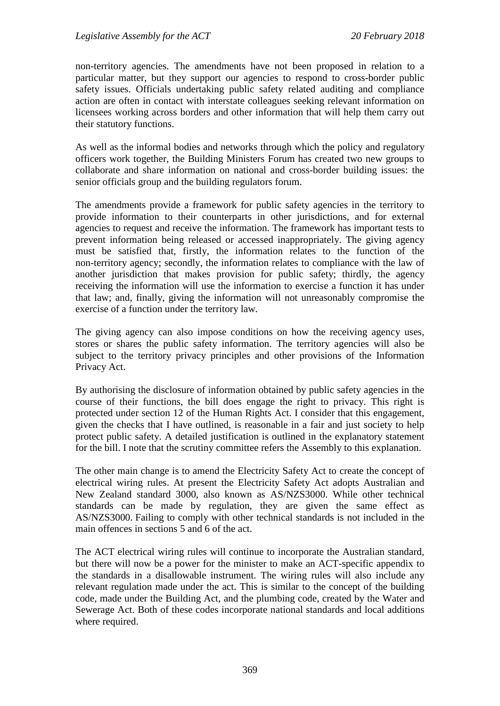non-territory agencies. The amendments have not been proposed in relation to a particular matter, but they support our agencies to respond to cross-border public safety issues. Officials undertaking public safety related auditing and compliance action are often in contact with interstate colleagues seeking relevant information on licensees working across borders and other information that will help them carry out their statutory functions.

As well as the informal bodies and networks through which the policy and regulatory officers work together, the Building Ministers Forum has created two new groups to collaborate and share information on national and cross-border building issues: the senior officials group and the building regulators forum.

The amendments provide a framework for public safety agencies in the territory to provide information to their counterparts in other jurisdictions, and for external agencies to request and receive the information. The framework has important tests to prevent information being released or accessed inappropriately. The giving agency must be satisfied that, firstly, the information relates to the function of the non-territory agency; secondly, the information relates to compliance with the law of another jurisdiction that makes provision for public safety; thirdly, the agency receiving the information will use the information to exercise a function it has under that law; and, finally, giving the information will not unreasonably compromise the exercise of a function under the territory law.

The giving agency can also impose conditions on how the receiving agency uses, stores or shares the public safety information. The territory agencies will also be subject to the territory privacy principles and other provisions of the Information Privacy Act.

By authorising the disclosure of information obtained by public safety agencies in the course of their functions, the bill does engage the right to privacy. This right is protected under section 12 of the Human Rights Act. I consider that this engagement, given the checks that I have outlined, is reasonable in a fair and just society to help protect public safety. A detailed justification is outlined in the explanatory statement for the bill. I note that the scrutiny committee refers the Assembly to this explanation.

The other main change is to amend the Electricity Safety Act to create the concept of electrical wiring rules. At present the Electricity Safety Act adopts Australian and New Zealand standard 3000, also known as AS/NZS3000. While other technical standards can be made by regulation, they are given the same effect as AS/NZS3000. Failing to comply with other technical standards is not included in the main offences in sections 5 and 6 of the act.

The ACT electrical wiring rules will continue to incorporate the Australian standard, but there will now be a power for the minister to make an ACT-specific appendix to the standards in a disallowable instrument. The wiring rules will also include any relevant regulation made under the act. This is similar to the concept of the building code, made under the Building Act, and the plumbing code, created by the Water and Sewerage Act. Both of these codes incorporate national standards and local additions where required.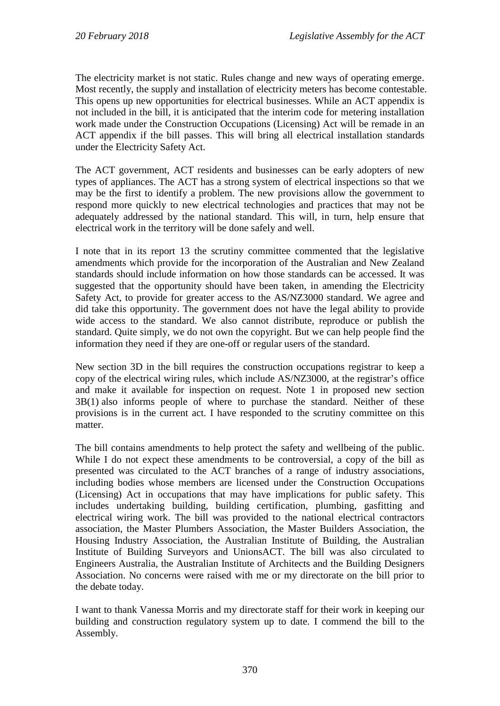The electricity market is not static. Rules change and new ways of operating emerge. Most recently, the supply and installation of electricity meters has become contestable. This opens up new opportunities for electrical businesses. While an ACT appendix is not included in the bill, it is anticipated that the interim code for metering installation work made under the Construction Occupations (Licensing) Act will be remade in an ACT appendix if the bill passes. This will bring all electrical installation standards under the Electricity Safety Act.

The ACT government, ACT residents and businesses can be early adopters of new types of appliances. The ACT has a strong system of electrical inspections so that we may be the first to identify a problem. The new provisions allow the government to respond more quickly to new electrical technologies and practices that may not be adequately addressed by the national standard. This will, in turn, help ensure that electrical work in the territory will be done safely and well.

I note that in its report 13 the scrutiny committee commented that the legislative amendments which provide for the incorporation of the Australian and New Zealand standards should include information on how those standards can be accessed. It was suggested that the opportunity should have been taken, in amending the Electricity Safety Act, to provide for greater access to the AS/NZ3000 standard. We agree and did take this opportunity. The government does not have the legal ability to provide wide access to the standard. We also cannot distribute, reproduce or publish the standard. Quite simply, we do not own the copyright. But we can help people find the information they need if they are one-off or regular users of the standard.

New section 3D in the bill requires the construction occupations registrar to keep a copy of the electrical wiring rules, which include AS/NZ3000, at the registrar's office and make it available for inspection on request. Note 1 in proposed new section 3B(1) also informs people of where to purchase the standard. Neither of these provisions is in the current act. I have responded to the scrutiny committee on this matter.

The bill contains amendments to help protect the safety and wellbeing of the public. While I do not expect these amendments to be controversial, a copy of the bill as presented was circulated to the ACT branches of a range of industry associations, including bodies whose members are licensed under the Construction Occupations (Licensing) Act in occupations that may have implications for public safety. This includes undertaking building, building certification, plumbing, gasfitting and electrical wiring work. The bill was provided to the national electrical contractors association, the Master Plumbers Association, the Master Builders Association, the Housing Industry Association, the Australian Institute of Building, the Australian Institute of Building Surveyors and UnionsACT. The bill was also circulated to Engineers Australia, the Australian Institute of Architects and the Building Designers Association. No concerns were raised with me or my directorate on the bill prior to the debate today.

I want to thank Vanessa Morris and my directorate staff for their work in keeping our building and construction regulatory system up to date. I commend the bill to the Assembly.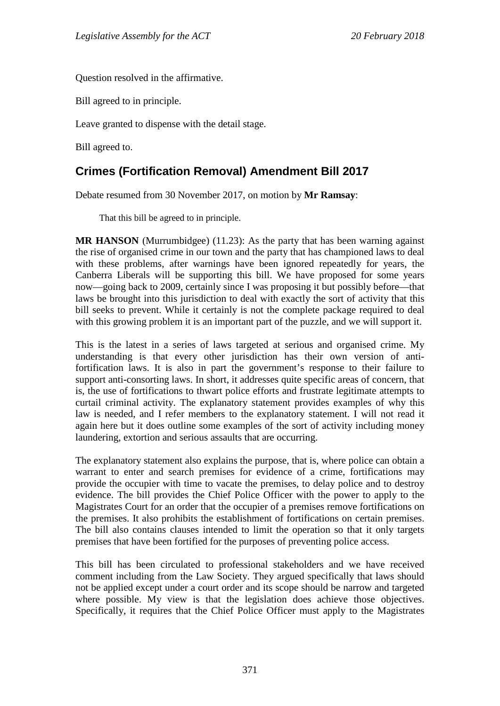Question resolved in the affirmative.

Bill agreed to in principle.

Leave granted to dispense with the detail stage.

Bill agreed to.

## <span id="page-29-0"></span>**Crimes (Fortification Removal) Amendment Bill 2017**

Debate resumed from 30 November 2017, on motion by **Mr Ramsay**:

That this bill be agreed to in principle.

**MR HANSON** (Murrumbidgee) (11.23): As the party that has been warning against the rise of organised crime in our town and the party that has championed laws to deal with these problems, after warnings have been ignored repeatedly for years, the Canberra Liberals will be supporting this bill. We have proposed for some years now—going back to 2009, certainly since I was proposing it but possibly before—that laws be brought into this jurisdiction to deal with exactly the sort of activity that this bill seeks to prevent. While it certainly is not the complete package required to deal with this growing problem it is an important part of the puzzle, and we will support it.

This is the latest in a series of laws targeted at serious and organised crime. My understanding is that every other jurisdiction has their own version of antifortification laws. It is also in part the government's response to their failure to support anti-consorting laws. In short, it addresses quite specific areas of concern, that is, the use of fortifications to thwart police efforts and frustrate legitimate attempts to curtail criminal activity. The explanatory statement provides examples of why this law is needed, and I refer members to the explanatory statement. I will not read it again here but it does outline some examples of the sort of activity including money laundering, extortion and serious assaults that are occurring.

The explanatory statement also explains the purpose, that is, where police can obtain a warrant to enter and search premises for evidence of a crime, fortifications may provide the occupier with time to vacate the premises, to delay police and to destroy evidence. The bill provides the Chief Police Officer with the power to apply to the Magistrates Court for an order that the occupier of a premises remove fortifications on the premises. It also prohibits the establishment of fortifications on certain premises. The bill also contains clauses intended to limit the operation so that it only targets premises that have been fortified for the purposes of preventing police access.

This bill has been circulated to professional stakeholders and we have received comment including from the Law Society. They argued specifically that laws should not be applied except under a court order and its scope should be narrow and targeted where possible. My view is that the legislation does achieve those objectives. Specifically, it requires that the Chief Police Officer must apply to the Magistrates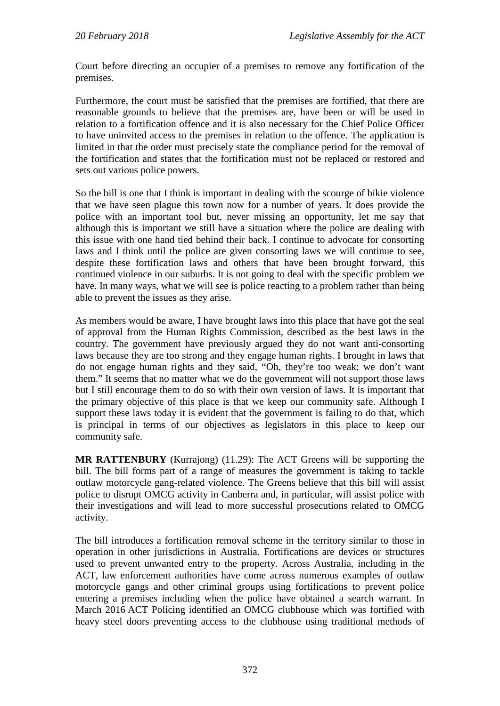Court before directing an occupier of a premises to remove any fortification of the premises.

Furthermore, the court must be satisfied that the premises are fortified, that there are reasonable grounds to believe that the premises are, have been or will be used in relation to a fortification offence and it is also necessary for the Chief Police Officer to have uninvited access to the premises in relation to the offence. The application is limited in that the order must precisely state the compliance period for the removal of the fortification and states that the fortification must not be replaced or restored and sets out various police powers.

So the bill is one that I think is important in dealing with the scourge of bikie violence that we have seen plague this town now for a number of years. It does provide the police with an important tool but, never missing an opportunity, let me say that although this is important we still have a situation where the police are dealing with this issue with one hand tied behind their back. I continue to advocate for consorting laws and I think until the police are given consorting laws we will continue to see, despite these fortification laws and others that have been brought forward, this continued violence in our suburbs. It is not going to deal with the specific problem we have. In many ways, what we will see is police reacting to a problem rather than being able to prevent the issues as they arise.

As members would be aware, I have brought laws into this place that have got the seal of approval from the Human Rights Commission, described as the best laws in the country. The government have previously argued they do not want anti-consorting laws because they are too strong and they engage human rights. I brought in laws that do not engage human rights and they said, "Oh, they're too weak; we don't want them." It seems that no matter what we do the government will not support those laws but I still encourage them to do so with their own version of laws. It is important that the primary objective of this place is that we keep our community safe. Although I support these laws today it is evident that the government is failing to do that, which is principal in terms of our objectives as legislators in this place to keep our community safe.

**MR RATTENBURY** (Kurrajong) (11.29): The ACT Greens will be supporting the bill. The bill forms part of a range of measures the government is taking to tackle outlaw motorcycle gang-related violence. The Greens believe that this bill will assist police to disrupt OMCG activity in Canberra and, in particular, will assist police with their investigations and will lead to more successful prosecutions related to OMCG activity.

The bill introduces a fortification removal scheme in the territory similar to those in operation in other jurisdictions in Australia. Fortifications are devices or structures used to prevent unwanted entry to the property. Across Australia, including in the ACT, law enforcement authorities have come across numerous examples of outlaw motorcycle gangs and other criminal groups using fortifications to prevent police entering a premises including when the police have obtained a search warrant. In March 2016 ACT Policing identified an OMCG clubhouse which was fortified with heavy steel doors preventing access to the clubhouse using traditional methods of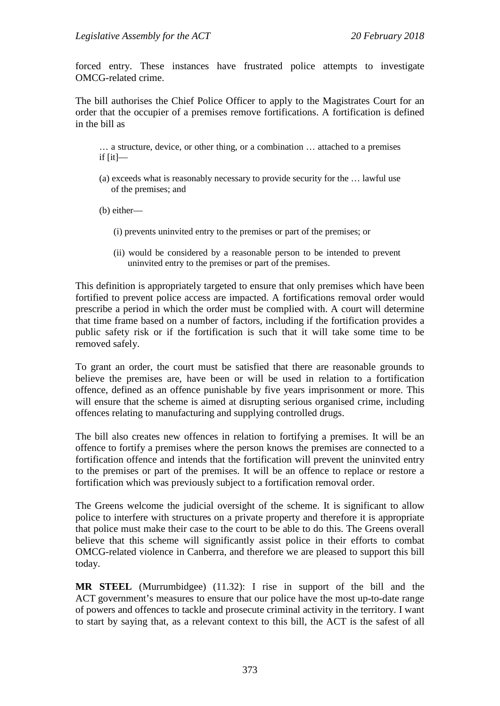forced entry. These instances have frustrated police attempts to investigate OMCG-related crime.

The bill authorises the Chief Police Officer to apply to the Magistrates Court for an order that the occupier of a premises remove fortifications. A fortification is defined in the bill as

… a structure, device, or other thing, or a combination … attached to a premises if  $[it]$ —

(a) exceeds what is reasonably necessary to provide security for the … lawful use of the premises; and

(b) either—

- (i) prevents uninvited entry to the premises or part of the premises; or
- (ii) would be considered by a reasonable person to be intended to prevent uninvited entry to the premises or part of the premises.

This definition is appropriately targeted to ensure that only premises which have been fortified to prevent police access are impacted. A fortifications removal order would prescribe a period in which the order must be complied with. A court will determine that time frame based on a number of factors, including if the fortification provides a public safety risk or if the fortification is such that it will take some time to be removed safely.

To grant an order, the court must be satisfied that there are reasonable grounds to believe the premises are, have been or will be used in relation to a fortification offence, defined as an offence punishable by five years imprisonment or more. This will ensure that the scheme is aimed at disrupting serious organised crime, including offences relating to manufacturing and supplying controlled drugs.

The bill also creates new offences in relation to fortifying a premises. It will be an offence to fortify a premises where the person knows the premises are connected to a fortification offence and intends that the fortification will prevent the uninvited entry to the premises or part of the premises. It will be an offence to replace or restore a fortification which was previously subject to a fortification removal order.

The Greens welcome the judicial oversight of the scheme. It is significant to allow police to interfere with structures on a private property and therefore it is appropriate that police must make their case to the court to be able to do this. The Greens overall believe that this scheme will significantly assist police in their efforts to combat OMCG-related violence in Canberra, and therefore we are pleased to support this bill today.

**MR STEEL** (Murrumbidgee) (11.32): I rise in support of the bill and the ACT government's measures to ensure that our police have the most up-to-date range of powers and offences to tackle and prosecute criminal activity in the territory. I want to start by saying that, as a relevant context to this bill, the ACT is the safest of all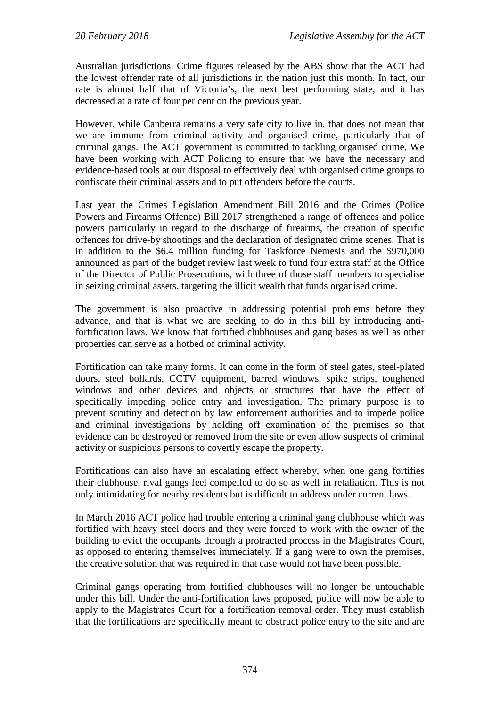Australian jurisdictions. Crime figures released by the ABS show that the ACT had the lowest offender rate of all jurisdictions in the nation just this month. In fact, our rate is almost half that of Victoria's, the next best performing state, and it has decreased at a rate of four per cent on the previous year.

However, while Canberra remains a very safe city to live in, that does not mean that we are immune from criminal activity and organised crime, particularly that of criminal gangs. The ACT government is committed to tackling organised crime. We have been working with ACT Policing to ensure that we have the necessary and evidence-based tools at our disposal to effectively deal with organised crime groups to confiscate their criminal assets and to put offenders before the courts.

Last year the Crimes Legislation Amendment Bill 2016 and the Crimes (Police Powers and Firearms Offence) Bill 2017 strengthened a range of offences and police powers particularly in regard to the discharge of firearms, the creation of specific offences for drive-by shootings and the declaration of designated crime scenes. That is in addition to the \$6.4 million funding for Taskforce Nemesis and the \$970,000 announced as part of the budget review last week to fund four extra staff at the Office of the Director of Public Prosecutions, with three of those staff members to specialise in seizing criminal assets, targeting the illicit wealth that funds organised crime.

The government is also proactive in addressing potential problems before they advance, and that is what we are seeking to do in this bill by introducing antifortification laws. We know that fortified clubhouses and gang bases as well as other properties can serve as a hotbed of criminal activity.

Fortification can take many forms. It can come in the form of steel gates, steel-plated doors, steel bollards, CCTV equipment, barred windows, spike strips, toughened windows and other devices and objects or structures that have the effect of specifically impeding police entry and investigation. The primary purpose is to prevent scrutiny and detection by law enforcement authorities and to impede police and criminal investigations by holding off examination of the premises so that evidence can be destroyed or removed from the site or even allow suspects of criminal activity or suspicious persons to covertly escape the property.

Fortifications can also have an escalating effect whereby, when one gang fortifies their clubhouse, rival gangs feel compelled to do so as well in retaliation. This is not only intimidating for nearby residents but is difficult to address under current laws.

In March 2016 ACT police had trouble entering a criminal gang clubhouse which was fortified with heavy steel doors and they were forced to work with the owner of the building to evict the occupants through a protracted process in the Magistrates Court, as opposed to entering themselves immediately. If a gang were to own the premises, the creative solution that was required in that case would not have been possible.

Criminal gangs operating from fortified clubhouses will no longer be untouchable under this bill. Under the anti-fortification laws proposed, police will now be able to apply to the Magistrates Court for a fortification removal order. They must establish that the fortifications are specifically meant to obstruct police entry to the site and are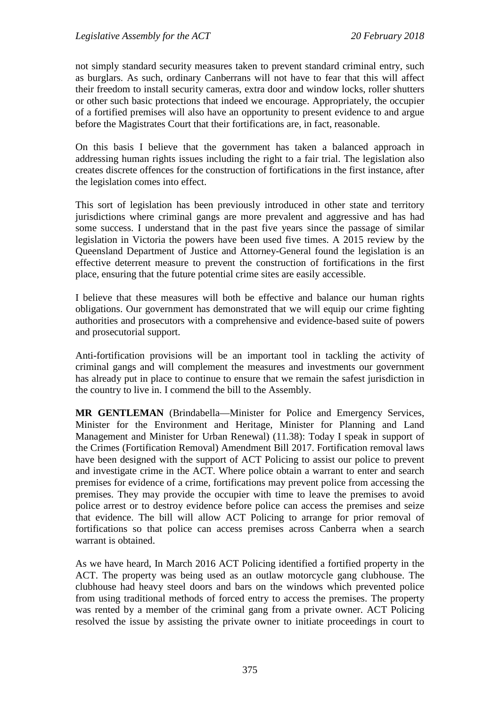not simply standard security measures taken to prevent standard criminal entry, such as burglars. As such, ordinary Canberrans will not have to fear that this will affect their freedom to install security cameras, extra door and window locks, roller shutters or other such basic protections that indeed we encourage. Appropriately, the occupier of a fortified premises will also have an opportunity to present evidence to and argue before the Magistrates Court that their fortifications are, in fact, reasonable.

On this basis I believe that the government has taken a balanced approach in addressing human rights issues including the right to a fair trial. The legislation also creates discrete offences for the construction of fortifications in the first instance, after the legislation comes into effect.

This sort of legislation has been previously introduced in other state and territory jurisdictions where criminal gangs are more prevalent and aggressive and has had some success. I understand that in the past five years since the passage of similar legislation in Victoria the powers have been used five times. A 2015 review by the Queensland Department of Justice and Attorney-General found the legislation is an effective deterrent measure to prevent the construction of fortifications in the first place, ensuring that the future potential crime sites are easily accessible.

I believe that these measures will both be effective and balance our human rights obligations. Our government has demonstrated that we will equip our crime fighting authorities and prosecutors with a comprehensive and evidence-based suite of powers and prosecutorial support.

Anti-fortification provisions will be an important tool in tackling the activity of criminal gangs and will complement the measures and investments our government has already put in place to continue to ensure that we remain the safest jurisdiction in the country to live in. I commend the bill to the Assembly.

**MR GENTLEMAN** (Brindabella—Minister for Police and Emergency Services, Minister for the Environment and Heritage, Minister for Planning and Land Management and Minister for Urban Renewal) (11.38): Today I speak in support of the Crimes (Fortification Removal) Amendment Bill 2017. Fortification removal laws have been designed with the support of ACT Policing to assist our police to prevent and investigate crime in the ACT. Where police obtain a warrant to enter and search premises for evidence of a crime, fortifications may prevent police from accessing the premises. They may provide the occupier with time to leave the premises to avoid police arrest or to destroy evidence before police can access the premises and seize that evidence. The bill will allow ACT Policing to arrange for prior removal of fortifications so that police can access premises across Canberra when a search warrant is obtained.

As we have heard, In March 2016 ACT Policing identified a fortified property in the ACT. The property was being used as an outlaw motorcycle gang clubhouse. The clubhouse had heavy steel doors and bars on the windows which prevented police from using traditional methods of forced entry to access the premises. The property was rented by a member of the criminal gang from a private owner. ACT Policing resolved the issue by assisting the private owner to initiate proceedings in court to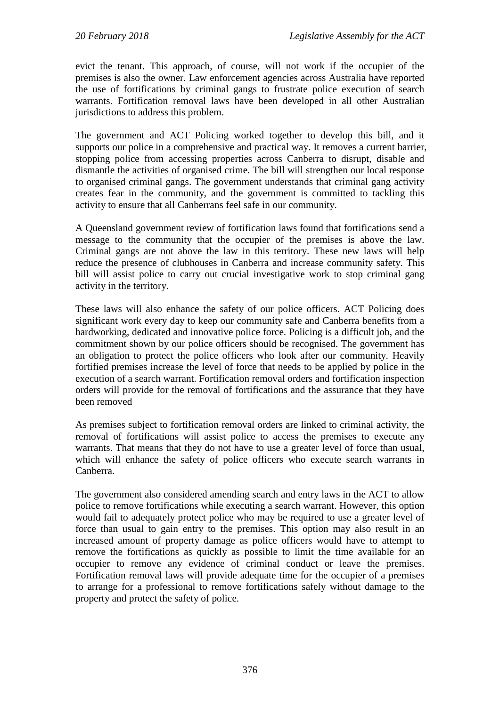evict the tenant. This approach, of course, will not work if the occupier of the premises is also the owner. Law enforcement agencies across Australia have reported the use of fortifications by criminal gangs to frustrate police execution of search warrants. Fortification removal laws have been developed in all other Australian jurisdictions to address this problem.

The government and ACT Policing worked together to develop this bill, and it supports our police in a comprehensive and practical way. It removes a current barrier, stopping police from accessing properties across Canberra to disrupt, disable and dismantle the activities of organised crime. The bill will strengthen our local response to organised criminal gangs. The government understands that criminal gang activity creates fear in the community, and the government is committed to tackling this activity to ensure that all Canberrans feel safe in our community.

A Queensland government review of fortification laws found that fortifications send a message to the community that the occupier of the premises is above the law. Criminal gangs are not above the law in this territory. These new laws will help reduce the presence of clubhouses in Canberra and increase community safety. This bill will assist police to carry out crucial investigative work to stop criminal gang activity in the territory.

These laws will also enhance the safety of our police officers. ACT Policing does significant work every day to keep our community safe and Canberra benefits from a hardworking, dedicated and innovative police force. Policing is a difficult job, and the commitment shown by our police officers should be recognised. The government has an obligation to protect the police officers who look after our community. Heavily fortified premises increase the level of force that needs to be applied by police in the execution of a search warrant. Fortification removal orders and fortification inspection orders will provide for the removal of fortifications and the assurance that they have been removed

As premises subject to fortification removal orders are linked to criminal activity, the removal of fortifications will assist police to access the premises to execute any warrants. That means that they do not have to use a greater level of force than usual, which will enhance the safety of police officers who execute search warrants in Canberra.

The government also considered amending search and entry laws in the ACT to allow police to remove fortifications while executing a search warrant. However, this option would fail to adequately protect police who may be required to use a greater level of force than usual to gain entry to the premises. This option may also result in an increased amount of property damage as police officers would have to attempt to remove the fortifications as quickly as possible to limit the time available for an occupier to remove any evidence of criminal conduct or leave the premises. Fortification removal laws will provide adequate time for the occupier of a premises to arrange for a professional to remove fortifications safely without damage to the property and protect the safety of police.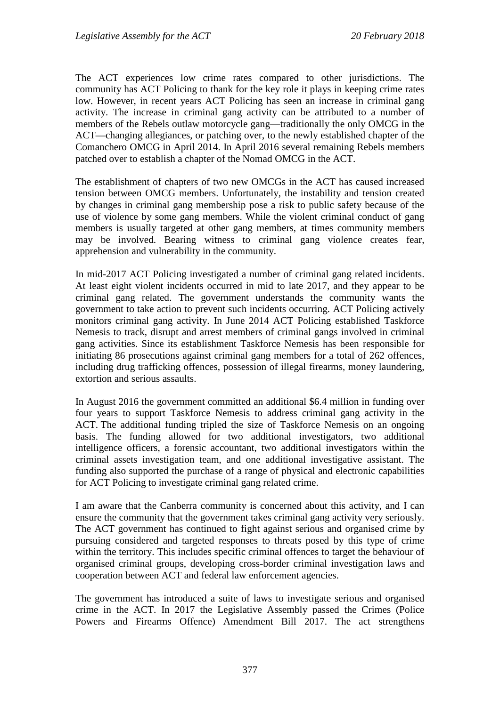The ACT experiences low crime rates compared to other jurisdictions. The community has ACT Policing to thank for the key role it plays in keeping crime rates low. However, in recent years ACT Policing has seen an increase in criminal gang activity. The increase in criminal gang activity can be attributed to a number of members of the Rebels outlaw motorcycle gang—traditionally the only OMCG in the ACT—changing allegiances, or patching over, to the newly established chapter of the Comanchero OMCG in April 2014. In April 2016 several remaining Rebels members patched over to establish a chapter of the Nomad OMCG in the ACT.

The establishment of chapters of two new OMCGs in the ACT has caused increased tension between OMCG members. Unfortunately, the instability and tension created by changes in criminal gang membership pose a risk to public safety because of the use of violence by some gang members. While the violent criminal conduct of gang members is usually targeted at other gang members, at times community members may be involved. Bearing witness to criminal gang violence creates fear, apprehension and vulnerability in the community.

In mid-2017 ACT Policing investigated a number of criminal gang related incidents. At least eight violent incidents occurred in mid to late 2017, and they appear to be criminal gang related. The government understands the community wants the government to take action to prevent such incidents occurring. ACT Policing actively monitors criminal gang activity. In June 2014 ACT Policing established Taskforce Nemesis to track, disrupt and arrest members of criminal gangs involved in criminal gang activities. Since its establishment Taskforce Nemesis has been responsible for initiating 86 prosecutions against criminal gang members for a total of 262 offences, including drug trafficking offences, possession of illegal firearms, money laundering, extortion and serious assaults.

In August 2016 the government committed an additional \$6.4 million in funding over four years to support Taskforce Nemesis to address criminal gang activity in the ACT. The additional funding tripled the size of Taskforce Nemesis on an ongoing basis. The funding allowed for two additional investigators, two additional intelligence officers, a forensic accountant, two additional investigators within the criminal assets investigation team, and one additional investigative assistant. The funding also supported the purchase of a range of physical and electronic capabilities for ACT Policing to investigate criminal gang related crime.

I am aware that the Canberra community is concerned about this activity, and I can ensure the community that the government takes criminal gang activity very seriously. The ACT government has continued to fight against serious and organised crime by pursuing considered and targeted responses to threats posed by this type of crime within the territory. This includes specific criminal offences to target the behaviour of organised criminal groups, developing cross-border criminal investigation laws and cooperation between ACT and federal law enforcement agencies.

The government has introduced a suite of laws to investigate serious and organised crime in the ACT. In 2017 the Legislative Assembly passed the Crimes (Police Powers and Firearms Offence) Amendment Bill 2017. The act strengthens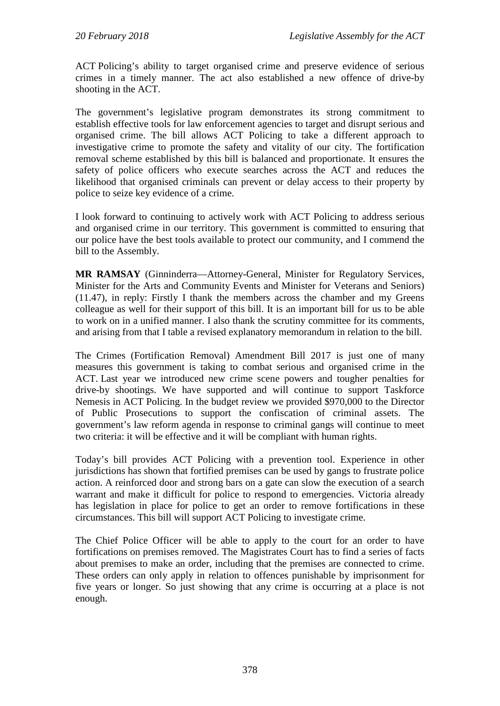ACT Policing's ability to target organised crime and preserve evidence of serious crimes in a timely manner. The act also established a new offence of drive-by shooting in the ACT.

The government's legislative program demonstrates its strong commitment to establish effective tools for law enforcement agencies to target and disrupt serious and organised crime. The bill allows ACT Policing to take a different approach to investigative crime to promote the safety and vitality of our city. The fortification removal scheme established by this bill is balanced and proportionate. It ensures the safety of police officers who execute searches across the ACT and reduces the likelihood that organised criminals can prevent or delay access to their property by police to seize key evidence of a crime.

I look forward to continuing to actively work with ACT Policing to address serious and organised crime in our territory. This government is committed to ensuring that our police have the best tools available to protect our community, and I commend the bill to the Assembly.

**MR RAMSAY** (Ginninderra—Attorney-General, Minister for Regulatory Services, Minister for the Arts and Community Events and Minister for Veterans and Seniors) (11.47), in reply: Firstly I thank the members across the chamber and my Greens colleague as well for their support of this bill. It is an important bill for us to be able to work on in a unified manner. I also thank the scrutiny committee for its comments, and arising from that I table a revised explanatory memorandum in relation to the bill.

The Crimes (Fortification Removal) Amendment Bill 2017 is just one of many measures this government is taking to combat serious and organised crime in the ACT. Last year we introduced new crime scene powers and tougher penalties for drive-by shootings. We have supported and will continue to support Taskforce Nemesis in ACT Policing. In the budget review we provided \$970,000 to the Director of Public Prosecutions to support the confiscation of criminal assets. The government's law reform agenda in response to criminal gangs will continue to meet two criteria: it will be effective and it will be compliant with human rights.

Today's bill provides ACT Policing with a prevention tool. Experience in other jurisdictions has shown that fortified premises can be used by gangs to frustrate police action. A reinforced door and strong bars on a gate can slow the execution of a search warrant and make it difficult for police to respond to emergencies. Victoria already has legislation in place for police to get an order to remove fortifications in these circumstances. This bill will support ACT Policing to investigate crime.

The Chief Police Officer will be able to apply to the court for an order to have fortifications on premises removed. The Magistrates Court has to find a series of facts about premises to make an order, including that the premises are connected to crime. These orders can only apply in relation to offences punishable by imprisonment for five years or longer. So just showing that any crime is occurring at a place is not enough.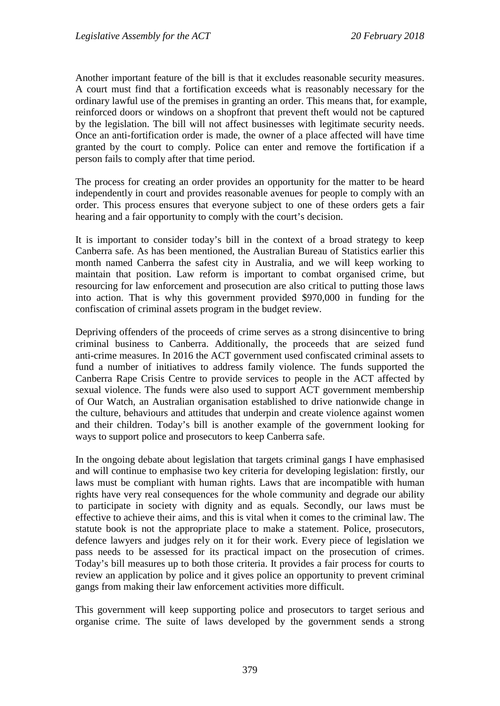Another important feature of the bill is that it excludes reasonable security measures. A court must find that a fortification exceeds what is reasonably necessary for the ordinary lawful use of the premises in granting an order. This means that, for example, reinforced doors or windows on a shopfront that prevent theft would not be captured by the legislation. The bill will not affect businesses with legitimate security needs. Once an anti-fortification order is made, the owner of a place affected will have time granted by the court to comply. Police can enter and remove the fortification if a person fails to comply after that time period.

The process for creating an order provides an opportunity for the matter to be heard independently in court and provides reasonable avenues for people to comply with an order. This process ensures that everyone subject to one of these orders gets a fair hearing and a fair opportunity to comply with the court's decision.

It is important to consider today's bill in the context of a broad strategy to keep Canberra safe. As has been mentioned, the Australian Bureau of Statistics earlier this month named Canberra the safest city in Australia, and we will keep working to maintain that position. Law reform is important to combat organised crime, but resourcing for law enforcement and prosecution are also critical to putting those laws into action. That is why this government provided \$970,000 in funding for the confiscation of criminal assets program in the budget review.

Depriving offenders of the proceeds of crime serves as a strong disincentive to bring criminal business to Canberra. Additionally, the proceeds that are seized fund anti-crime measures. In 2016 the ACT government used confiscated criminal assets to fund a number of initiatives to address family violence. The funds supported the Canberra Rape Crisis Centre to provide services to people in the ACT affected by sexual violence. The funds were also used to support ACT government membership of Our Watch, an Australian organisation established to drive nationwide change in the culture, behaviours and attitudes that underpin and create violence against women and their children. Today's bill is another example of the government looking for ways to support police and prosecutors to keep Canberra safe.

In the ongoing debate about legislation that targets criminal gangs I have emphasised and will continue to emphasise two key criteria for developing legislation: firstly, our laws must be compliant with human rights. Laws that are incompatible with human rights have very real consequences for the whole community and degrade our ability to participate in society with dignity and as equals. Secondly, our laws must be effective to achieve their aims, and this is vital when it comes to the criminal law. The statute book is not the appropriate place to make a statement. Police, prosecutors, defence lawyers and judges rely on it for their work. Every piece of legislation we pass needs to be assessed for its practical impact on the prosecution of crimes. Today's bill measures up to both those criteria. It provides a fair process for courts to review an application by police and it gives police an opportunity to prevent criminal gangs from making their law enforcement activities more difficult.

This government will keep supporting police and prosecutors to target serious and organise crime. The suite of laws developed by the government sends a strong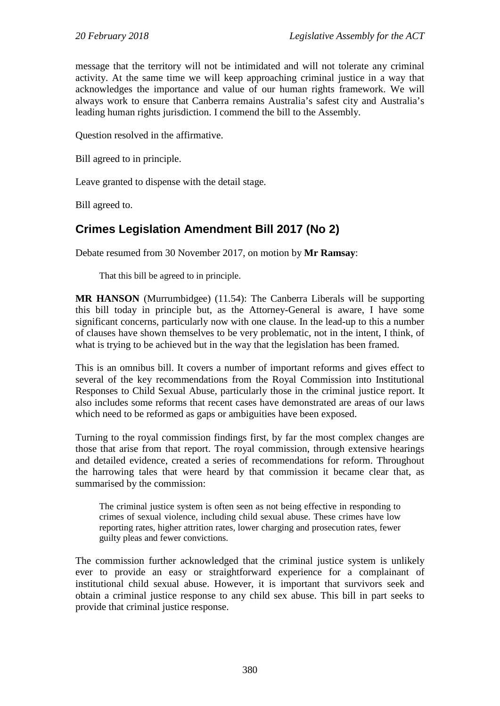message that the territory will not be intimidated and will not tolerate any criminal activity. At the same time we will keep approaching criminal justice in a way that acknowledges the importance and value of our human rights framework. We will always work to ensure that Canberra remains Australia's safest city and Australia's leading human rights jurisdiction. I commend the bill to the Assembly.

Question resolved in the affirmative.

Bill agreed to in principle.

Leave granted to dispense with the detail stage.

Bill agreed to.

# **Crimes Legislation Amendment Bill 2017 (No 2)**

Debate resumed from 30 November 2017, on motion by **Mr Ramsay**:

That this bill be agreed to in principle.

**MR HANSON** (Murrumbidgee) (11.54): The Canberra Liberals will be supporting this bill today in principle but, as the Attorney-General is aware, I have some significant concerns, particularly now with one clause. In the lead-up to this a number of clauses have shown themselves to be very problematic, not in the intent, I think, of what is trying to be achieved but in the way that the legislation has been framed.

This is an omnibus bill. It covers a number of important reforms and gives effect to several of the key recommendations from the Royal Commission into Institutional Responses to Child Sexual Abuse, particularly those in the criminal justice report. It also includes some reforms that recent cases have demonstrated are areas of our laws which need to be reformed as gaps or ambiguities have been exposed.

Turning to the royal commission findings first, by far the most complex changes are those that arise from that report. The royal commission, through extensive hearings and detailed evidence, created a series of recommendations for reform. Throughout the harrowing tales that were heard by that commission it became clear that, as summarised by the commission:

The criminal justice system is often seen as not being effective in responding to crimes of sexual violence, including child sexual abuse. These crimes have low reporting rates, higher attrition rates, lower charging and prosecution rates, fewer guilty pleas and fewer convictions.

The commission further acknowledged that the criminal justice system is unlikely ever to provide an easy or straightforward experience for a complainant of institutional child sexual abuse. However, it is important that survivors seek and obtain a criminal justice response to any child sex abuse. This bill in part seeks to provide that criminal justice response.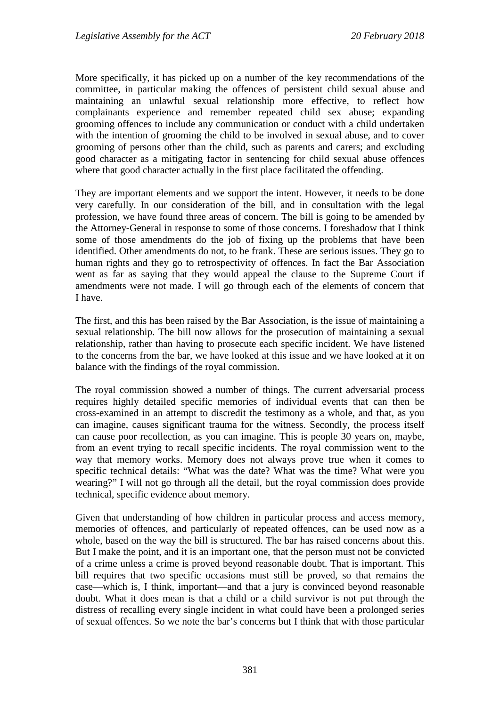More specifically, it has picked up on a number of the key recommendations of the committee, in particular making the offences of persistent child sexual abuse and maintaining an unlawful sexual relationship more effective, to reflect how complainants experience and remember repeated child sex abuse; expanding grooming offences to include any communication or conduct with a child undertaken with the intention of grooming the child to be involved in sexual abuse, and to cover grooming of persons other than the child, such as parents and carers; and excluding good character as a mitigating factor in sentencing for child sexual abuse offences where that good character actually in the first place facilitated the offending.

They are important elements and we support the intent. However, it needs to be done very carefully. In our consideration of the bill, and in consultation with the legal profession, we have found three areas of concern. The bill is going to be amended by the Attorney-General in response to some of those concerns. I foreshadow that I think some of those amendments do the job of fixing up the problems that have been identified. Other amendments do not, to be frank. These are serious issues. They go to human rights and they go to retrospectivity of offences. In fact the Bar Association went as far as saying that they would appeal the clause to the Supreme Court if amendments were not made. I will go through each of the elements of concern that I have.

The first, and this has been raised by the Bar Association, is the issue of maintaining a sexual relationship. The bill now allows for the prosecution of maintaining a sexual relationship, rather than having to prosecute each specific incident. We have listened to the concerns from the bar, we have looked at this issue and we have looked at it on balance with the findings of the royal commission.

The royal commission showed a number of things. The current adversarial process requires highly detailed specific memories of individual events that can then be cross-examined in an attempt to discredit the testimony as a whole, and that, as you can imagine, causes significant trauma for the witness. Secondly, the process itself can cause poor recollection, as you can imagine. This is people 30 years on, maybe, from an event trying to recall specific incidents. The royal commission went to the way that memory works. Memory does not always prove true when it comes to specific technical details: "What was the date? What was the time? What were you wearing?" I will not go through all the detail, but the royal commission does provide technical, specific evidence about memory.

Given that understanding of how children in particular process and access memory, memories of offences, and particularly of repeated offences, can be used now as a whole, based on the way the bill is structured. The bar has raised concerns about this. But I make the point, and it is an important one, that the person must not be convicted of a crime unless a crime is proved beyond reasonable doubt. That is important. This bill requires that two specific occasions must still be proved, so that remains the case—which is, I think, important—and that a jury is convinced beyond reasonable doubt. What it does mean is that a child or a child survivor is not put through the distress of recalling every single incident in what could have been a prolonged series of sexual offences. So we note the bar's concerns but I think that with those particular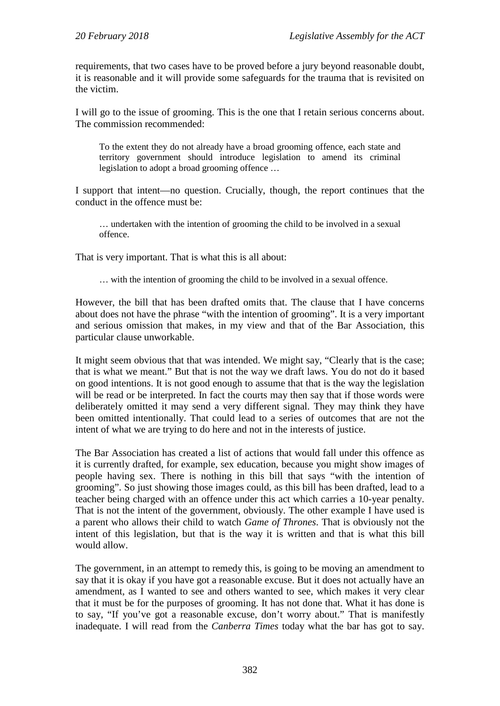requirements, that two cases have to be proved before a jury beyond reasonable doubt, it is reasonable and it will provide some safeguards for the trauma that is revisited on the victim.

I will go to the issue of grooming. This is the one that I retain serious concerns about. The commission recommended:

To the extent they do not already have a broad grooming offence, each state and territory government should introduce legislation to amend its criminal legislation to adopt a broad grooming offence …

I support that intent—no question. Crucially, though, the report continues that the conduct in the offence must be:

… undertaken with the intention of grooming the child to be involved in a sexual offence.

That is very important. That is what this is all about:

… with the intention of grooming the child to be involved in a sexual offence.

However, the bill that has been drafted omits that. The clause that I have concerns about does not have the phrase "with the intention of grooming". It is a very important and serious omission that makes, in my view and that of the Bar Association, this particular clause unworkable.

It might seem obvious that that was intended. We might say, "Clearly that is the case; that is what we meant." But that is not the way we draft laws. You do not do it based on good intentions. It is not good enough to assume that that is the way the legislation will be read or be interpreted. In fact the courts may then say that if those words were deliberately omitted it may send a very different signal. They may think they have been omitted intentionally. That could lead to a series of outcomes that are not the intent of what we are trying to do here and not in the interests of justice.

The Bar Association has created a list of actions that would fall under this offence as it is currently drafted, for example, sex education, because you might show images of people having sex. There is nothing in this bill that says "with the intention of grooming". So just showing those images could, as this bill has been drafted, lead to a teacher being charged with an offence under this act which carries a 10-year penalty. That is not the intent of the government, obviously. The other example I have used is a parent who allows their child to watch *Game of Thrones*. That is obviously not the intent of this legislation, but that is the way it is written and that is what this bill would allow.

The government, in an attempt to remedy this, is going to be moving an amendment to say that it is okay if you have got a reasonable excuse. But it does not actually have an amendment, as I wanted to see and others wanted to see, which makes it very clear that it must be for the purposes of grooming. It has not done that. What it has done is to say, "If you've got a reasonable excuse, don't worry about." That is manifestly inadequate. I will read from the *Canberra Times* today what the bar has got to say.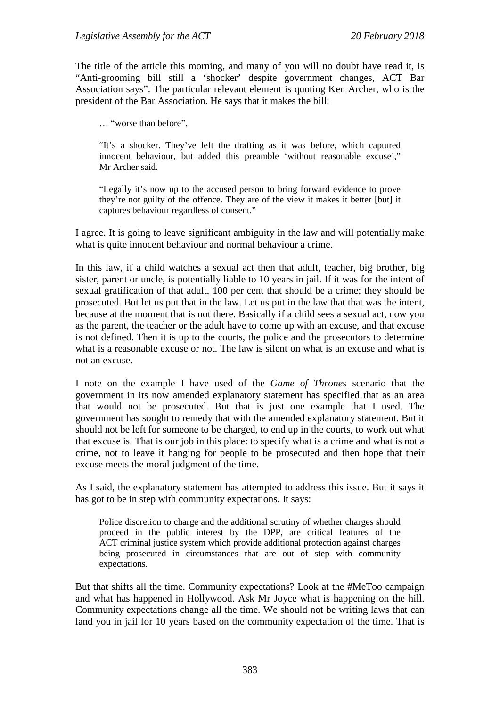The title of the article this morning, and many of you will no doubt have read it, is "Anti-grooming bill still a 'shocker' despite government changes, ACT Bar Association says". The particular relevant element is quoting Ken Archer, who is the president of the Bar Association. He says that it makes the bill:

… "worse than before".

"It's a shocker. They've left the drafting as it was before, which captured innocent behaviour, but added this preamble 'without reasonable excuse'," Mr Archer said.

"Legally it's now up to the accused person to bring forward evidence to prove they're not guilty of the offence. They are of the view it makes it better [but] it captures behaviour regardless of consent."

I agree. It is going to leave significant ambiguity in the law and will potentially make what is quite innocent behaviour and normal behaviour a crime.

In this law, if a child watches a sexual act then that adult, teacher, big brother, big sister, parent or uncle, is potentially liable to 10 years in jail. If it was for the intent of sexual gratification of that adult, 100 per cent that should be a crime; they should be prosecuted. But let us put that in the law. Let us put in the law that that was the intent, because at the moment that is not there. Basically if a child sees a sexual act, now you as the parent, the teacher or the adult have to come up with an excuse, and that excuse is not defined. Then it is up to the courts, the police and the prosecutors to determine what is a reasonable excuse or not. The law is silent on what is an excuse and what is not an excuse.

I note on the example I have used of the *Game of Thrones* scenario that the government in its now amended explanatory statement has specified that as an area that would not be prosecuted. But that is just one example that I used. The government has sought to remedy that with the amended explanatory statement. But it should not be left for someone to be charged, to end up in the courts, to work out what that excuse is. That is our job in this place: to specify what is a crime and what is not a crime, not to leave it hanging for people to be prosecuted and then hope that their excuse meets the moral judgment of the time.

As I said, the explanatory statement has attempted to address this issue. But it says it has got to be in step with community expectations. It says:

Police discretion to charge and the additional scrutiny of whether charges should proceed in the public interest by the DPP, are critical features of the ACT criminal justice system which provide additional protection against charges being prosecuted in circumstances that are out of step with community expectations.

But that shifts all the time. Community expectations? Look at the #MeToo campaign and what has happened in Hollywood. Ask Mr Joyce what is happening on the hill. Community expectations change all the time. We should not be writing laws that can land you in jail for 10 years based on the community expectation of the time. That is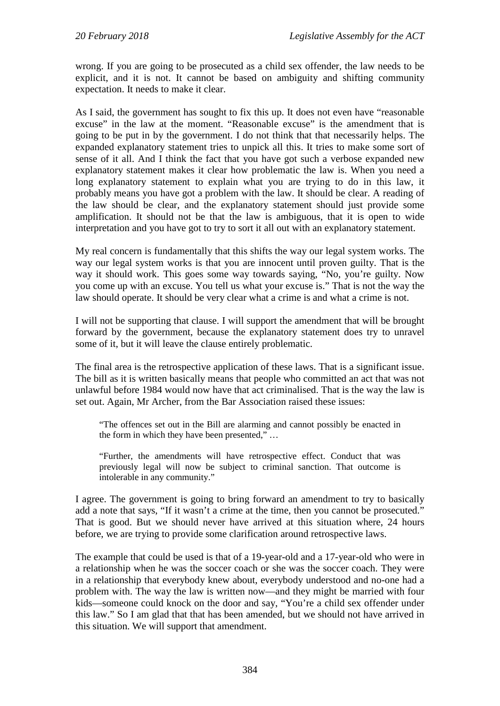wrong. If you are going to be prosecuted as a child sex offender, the law needs to be explicit, and it is not. It cannot be based on ambiguity and shifting community expectation. It needs to make it clear.

As I said, the government has sought to fix this up. It does not even have "reasonable excuse" in the law at the moment. "Reasonable excuse" is the amendment that is going to be put in by the government. I do not think that that necessarily helps. The expanded explanatory statement tries to unpick all this. It tries to make some sort of sense of it all. And I think the fact that you have got such a verbose expanded new explanatory statement makes it clear how problematic the law is. When you need a long explanatory statement to explain what you are trying to do in this law, it probably means you have got a problem with the law. It should be clear. A reading of the law should be clear, and the explanatory statement should just provide some amplification. It should not be that the law is ambiguous, that it is open to wide interpretation and you have got to try to sort it all out with an explanatory statement.

My real concern is fundamentally that this shifts the way our legal system works. The way our legal system works is that you are innocent until proven guilty. That is the way it should work. This goes some way towards saying, "No, you're guilty. Now you come up with an excuse. You tell us what your excuse is." That is not the way the law should operate. It should be very clear what a crime is and what a crime is not.

I will not be supporting that clause. I will support the amendment that will be brought forward by the government, because the explanatory statement does try to unravel some of it, but it will leave the clause entirely problematic.

The final area is the retrospective application of these laws. That is a significant issue. The bill as it is written basically means that people who committed an act that was not unlawful before 1984 would now have that act criminalised. That is the way the law is set out. Again, Mr Archer, from the Bar Association raised these issues:

"The offences set out in the Bill are alarming and cannot possibly be enacted in the form in which they have been presented," …

"Further, the amendments will have retrospective effect. Conduct that was previously legal will now be subject to criminal sanction. That outcome is intolerable in any community."

I agree. The government is going to bring forward an amendment to try to basically add a note that says, "If it wasn't a crime at the time, then you cannot be prosecuted." That is good. But we should never have arrived at this situation where, 24 hours before, we are trying to provide some clarification around retrospective laws.

The example that could be used is that of a 19-year-old and a 17-year-old who were in a relationship when he was the soccer coach or she was the soccer coach. They were in a relationship that everybody knew about, everybody understood and no-one had a problem with. The way the law is written now—and they might be married with four kids—someone could knock on the door and say, "You're a child sex offender under this law." So I am glad that that has been amended, but we should not have arrived in this situation. We will support that amendment.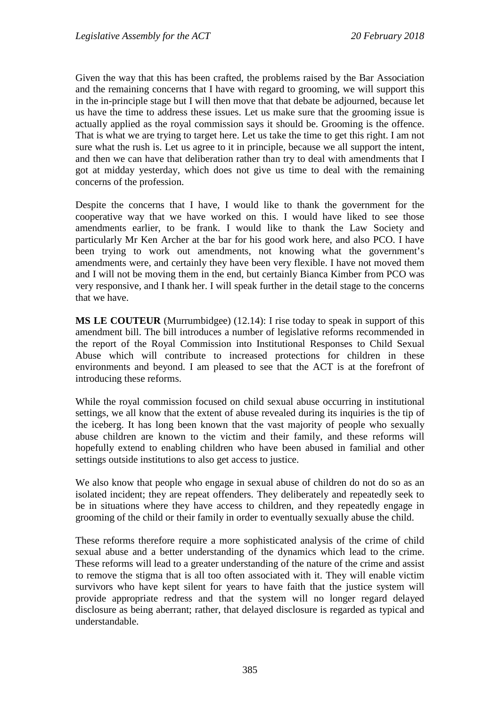Given the way that this has been crafted, the problems raised by the Bar Association and the remaining concerns that I have with regard to grooming, we will support this in the in-principle stage but I will then move that that debate be adjourned, because let us have the time to address these issues. Let us make sure that the grooming issue is actually applied as the royal commission says it should be. Grooming is the offence. That is what we are trying to target here. Let us take the time to get this right. I am not sure what the rush is. Let us agree to it in principle, because we all support the intent, and then we can have that deliberation rather than try to deal with amendments that I got at midday yesterday, which does not give us time to deal with the remaining concerns of the profession.

Despite the concerns that I have, I would like to thank the government for the cooperative way that we have worked on this. I would have liked to see those amendments earlier, to be frank. I would like to thank the Law Society and particularly Mr Ken Archer at the bar for his good work here, and also PCO. I have been trying to work out amendments, not knowing what the government's amendments were, and certainly they have been very flexible. I have not moved them and I will not be moving them in the end, but certainly Bianca Kimber from PCO was very responsive, and I thank her. I will speak further in the detail stage to the concerns that we have.

**MS LE COUTEUR** (Murrumbidgee) (12.14): I rise today to speak in support of this amendment bill. The bill introduces a number of legislative reforms recommended in the report of the Royal Commission into Institutional Responses to Child Sexual Abuse which will contribute to increased protections for children in these environments and beyond. I am pleased to see that the ACT is at the forefront of introducing these reforms.

While the royal commission focused on child sexual abuse occurring in institutional settings, we all know that the extent of abuse revealed during its inquiries is the tip of the iceberg. It has long been known that the vast majority of people who sexually abuse children are known to the victim and their family, and these reforms will hopefully extend to enabling children who have been abused in familial and other settings outside institutions to also get access to justice.

We also know that people who engage in sexual abuse of children do not do so as an isolated incident; they are repeat offenders. They deliberately and repeatedly seek to be in situations where they have access to children, and they repeatedly engage in grooming of the child or their family in order to eventually sexually abuse the child.

These reforms therefore require a more sophisticated analysis of the crime of child sexual abuse and a better understanding of the dynamics which lead to the crime. These reforms will lead to a greater understanding of the nature of the crime and assist to remove the stigma that is all too often associated with it. They will enable victim survivors who have kept silent for years to have faith that the justice system will provide appropriate redress and that the system will no longer regard delayed disclosure as being aberrant; rather, that delayed disclosure is regarded as typical and understandable.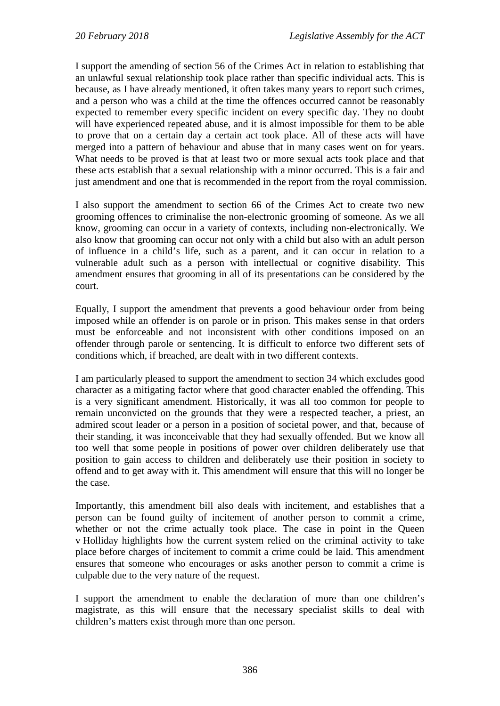I support the amending of section 56 of the Crimes Act in relation to establishing that an unlawful sexual relationship took place rather than specific individual acts. This is because, as I have already mentioned, it often takes many years to report such crimes, and a person who was a child at the time the offences occurred cannot be reasonably expected to remember every specific incident on every specific day. They no doubt will have experienced repeated abuse, and it is almost impossible for them to be able to prove that on a certain day a certain act took place. All of these acts will have merged into a pattern of behaviour and abuse that in many cases went on for years. What needs to be proved is that at least two or more sexual acts took place and that these acts establish that a sexual relationship with a minor occurred. This is a fair and just amendment and one that is recommended in the report from the royal commission.

I also support the amendment to section 66 of the Crimes Act to create two new grooming offences to criminalise the non-electronic grooming of someone. As we all know, grooming can occur in a variety of contexts, including non-electronically. We also know that grooming can occur not only with a child but also with an adult person of influence in a child's life, such as a parent, and it can occur in relation to a vulnerable adult such as a person with intellectual or cognitive disability. This amendment ensures that grooming in all of its presentations can be considered by the court.

Equally, I support the amendment that prevents a good behaviour order from being imposed while an offender is on parole or in prison. This makes sense in that orders must be enforceable and not inconsistent with other conditions imposed on an offender through parole or sentencing. It is difficult to enforce two different sets of conditions which, if breached, are dealt with in two different contexts.

I am particularly pleased to support the amendment to section 34 which excludes good character as a mitigating factor where that good character enabled the offending. This is a very significant amendment. Historically, it was all too common for people to remain unconvicted on the grounds that they were a respected teacher, a priest, an admired scout leader or a person in a position of societal power, and that, because of their standing, it was inconceivable that they had sexually offended. But we know all too well that some people in positions of power over children deliberately use that position to gain access to children and deliberately use their position in society to offend and to get away with it. This amendment will ensure that this will no longer be the case.

Importantly, this amendment bill also deals with incitement, and establishes that a person can be found guilty of incitement of another person to commit a crime, whether or not the crime actually took place. The case in point in the Queen v Holliday highlights how the current system relied on the criminal activity to take place before charges of incitement to commit a crime could be laid. This amendment ensures that someone who encourages or asks another person to commit a crime is culpable due to the very nature of the request.

I support the amendment to enable the declaration of more than one children's magistrate, as this will ensure that the necessary specialist skills to deal with children's matters exist through more than one person.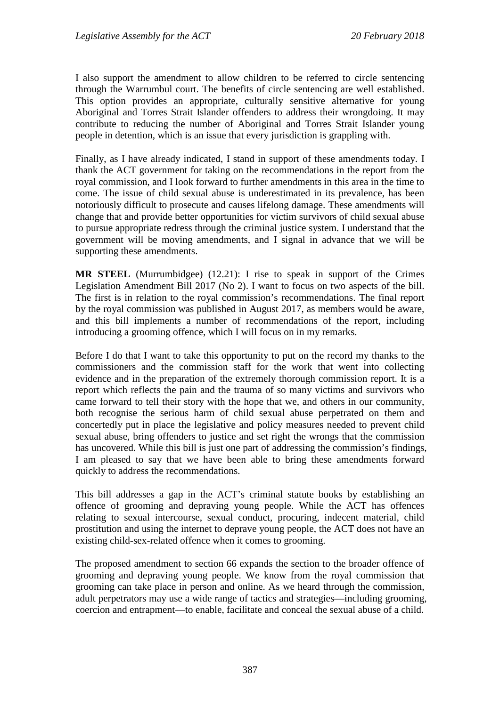I also support the amendment to allow children to be referred to circle sentencing through the Warrumbul court. The benefits of circle sentencing are well established. This option provides an appropriate, culturally sensitive alternative for young Aboriginal and Torres Strait Islander offenders to address their wrongdoing. It may contribute to reducing the number of Aboriginal and Torres Strait Islander young people in detention, which is an issue that every jurisdiction is grappling with.

Finally, as I have already indicated, I stand in support of these amendments today. I thank the ACT government for taking on the recommendations in the report from the royal commission, and I look forward to further amendments in this area in the time to come. The issue of child sexual abuse is underestimated in its prevalence, has been notoriously difficult to prosecute and causes lifelong damage. These amendments will change that and provide better opportunities for victim survivors of child sexual abuse to pursue appropriate redress through the criminal justice system. I understand that the government will be moving amendments, and I signal in advance that we will be supporting these amendments.

**MR STEEL** (Murrumbidgee) (12.21): I rise to speak in support of the Crimes Legislation Amendment Bill 2017 (No 2). I want to focus on two aspects of the bill. The first is in relation to the royal commission's recommendations. The final report by the royal commission was published in August 2017, as members would be aware, and this bill implements a number of recommendations of the report, including introducing a grooming offence, which I will focus on in my remarks.

Before I do that I want to take this opportunity to put on the record my thanks to the commissioners and the commission staff for the work that went into collecting evidence and in the preparation of the extremely thorough commission report. It is a report which reflects the pain and the trauma of so many victims and survivors who came forward to tell their story with the hope that we, and others in our community, both recognise the serious harm of child sexual abuse perpetrated on them and concertedly put in place the legislative and policy measures needed to prevent child sexual abuse, bring offenders to justice and set right the wrongs that the commission has uncovered. While this bill is just one part of addressing the commission's findings, I am pleased to say that we have been able to bring these amendments forward quickly to address the recommendations.

This bill addresses a gap in the ACT's criminal statute books by establishing an offence of grooming and depraving young people. While the ACT has offences relating to sexual intercourse, sexual conduct, procuring, indecent material, child prostitution and using the internet to deprave young people, the ACT does not have an existing child-sex-related offence when it comes to grooming.

The proposed amendment to section 66 expands the section to the broader offence of grooming and depraving young people. We know from the royal commission that grooming can take place in person and online. As we heard through the commission, adult perpetrators may use a wide range of tactics and strategies—including grooming, coercion and entrapment—to enable, facilitate and conceal the sexual abuse of a child.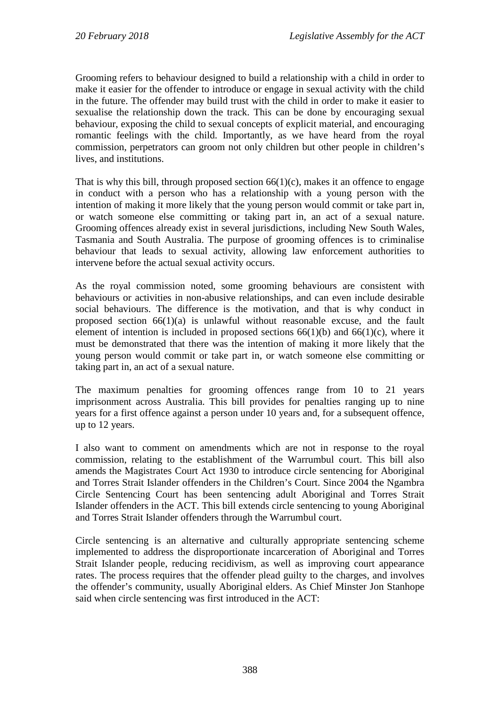Grooming refers to behaviour designed to build a relationship with a child in order to make it easier for the offender to introduce or engage in sexual activity with the child in the future. The offender may build trust with the child in order to make it easier to sexualise the relationship down the track. This can be done by encouraging sexual behaviour, exposing the child to sexual concepts of explicit material, and encouraging romantic feelings with the child. Importantly, as we have heard from the royal commission, perpetrators can groom not only children but other people in children's lives, and institutions.

That is why this bill, through proposed section  $66(1)(c)$ , makes it an offence to engage in conduct with a person who has a relationship with a young person with the intention of making it more likely that the young person would commit or take part in, or watch someone else committing or taking part in, an act of a sexual nature. Grooming offences already exist in several jurisdictions, including New South Wales, Tasmania and South Australia. The purpose of grooming offences is to criminalise behaviour that leads to sexual activity, allowing law enforcement authorities to intervene before the actual sexual activity occurs.

As the royal commission noted, some grooming behaviours are consistent with behaviours or activities in non-abusive relationships, and can even include desirable social behaviours. The difference is the motivation, and that is why conduct in proposed section 66(1)(a) is unlawful without reasonable excuse, and the fault element of intention is included in proposed sections  $66(1)(b)$  and  $66(1)(c)$ , where it must be demonstrated that there was the intention of making it more likely that the young person would commit or take part in, or watch someone else committing or taking part in, an act of a sexual nature.

The maximum penalties for grooming offences range from 10 to 21 years imprisonment across Australia. This bill provides for penalties ranging up to nine years for a first offence against a person under 10 years and, for a subsequent offence, up to 12 years.

I also want to comment on amendments which are not in response to the royal commission, relating to the establishment of the Warrumbul court. This bill also amends the Magistrates Court Act 1930 to introduce circle sentencing for Aboriginal and Torres Strait Islander offenders in the Children's Court. Since 2004 the Ngambra Circle Sentencing Court has been sentencing adult Aboriginal and Torres Strait Islander offenders in the ACT. This bill extends circle sentencing to young Aboriginal and Torres Strait Islander offenders through the Warrumbul court.

Circle sentencing is an alternative and culturally appropriate sentencing scheme implemented to address the disproportionate incarceration of Aboriginal and Torres Strait Islander people, reducing recidivism, as well as improving court appearance rates. The process requires that the offender plead guilty to the charges, and involves the offender's community, usually Aboriginal elders. As Chief Minster Jon Stanhope said when circle sentencing was first introduced in the ACT: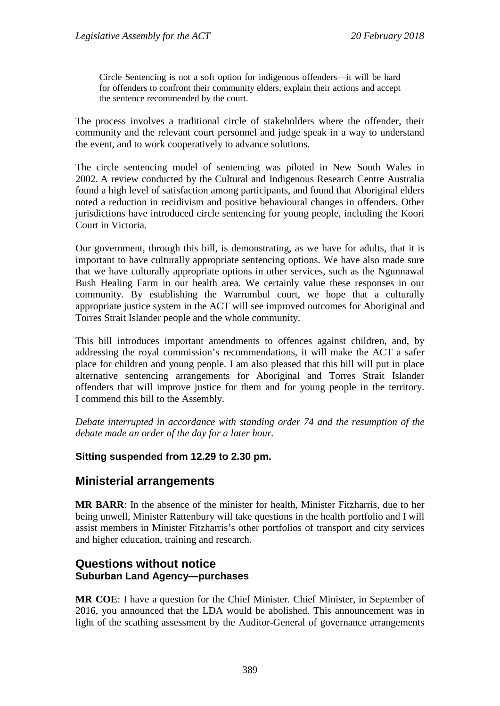Circle Sentencing is not a soft option for indigenous offenders—it will be hard for offenders to confront their community elders, explain their actions and accept the sentence recommended by the court.

The process involves a traditional circle of stakeholders where the offender, their community and the relevant court personnel and judge speak in a way to understand the event, and to work cooperatively to advance solutions.

The circle sentencing model of sentencing was piloted in New South Wales in 2002. A review conducted by the Cultural and Indigenous Research Centre Australia found a high level of satisfaction among participants, and found that Aboriginal elders noted a reduction in recidivism and positive behavioural changes in offenders. Other jurisdictions have introduced circle sentencing for young people, including the Koori Court in Victoria.

Our government, through this bill, is demonstrating, as we have for adults, that it is important to have culturally appropriate sentencing options. We have also made sure that we have culturally appropriate options in other services, such as the Ngunnawal Bush Healing Farm in our health area. We certainly value these responses in our community. By establishing the Warrumbul court, we hope that a culturally appropriate justice system in the ACT will see improved outcomes for Aboriginal and Torres Strait Islander people and the whole community.

This bill introduces important amendments to offences against children, and, by addressing the royal commission's recommendations, it will make the ACT a safer place for children and young people. I am also pleased that this bill will put in place alternative sentencing arrangements for Aboriginal and Torres Strait Islander offenders that will improve justice for them and for young people in the territory. I commend this bill to the Assembly.

*Debate interrupted in accordance with standing order 74 and the resumption of the debate made an order of the day for a later hour.*

## **Sitting suspended from 12.29 to 2.30 pm.**

## **Ministerial arrangements**

**MR BARR**: In the absence of the minister for health, Minister Fitzharris, due to her being unwell, Minister Rattenbury will take questions in the health portfolio and I will assist members in Minister Fitzharris's other portfolios of transport and city services and higher education, training and research.

## **Questions without notice Suburban Land Agency—purchases**

**MR COE**: I have a question for the Chief Minister. Chief Minister, in September of 2016, you announced that the LDA would be abolished. This announcement was in light of the scathing assessment by the Auditor-General of governance arrangements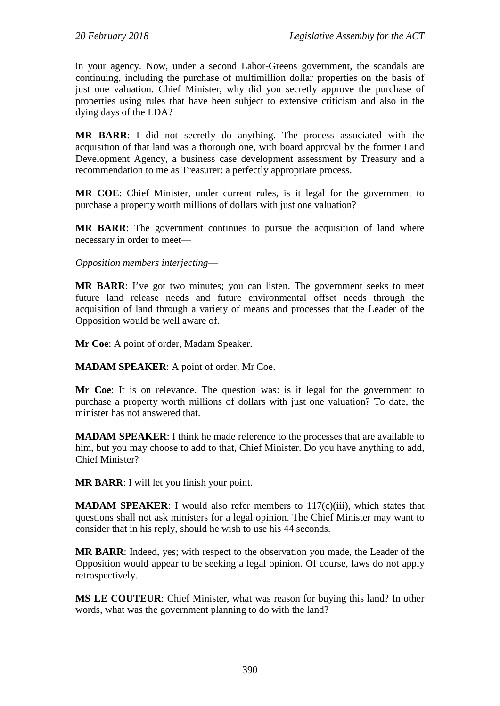in your agency. Now, under a second Labor-Greens government, the scandals are continuing, including the purchase of multimillion dollar properties on the basis of just one valuation. Chief Minister, why did you secretly approve the purchase of properties using rules that have been subject to extensive criticism and also in the dying days of the LDA?

**MR BARR**: I did not secretly do anything. The process associated with the acquisition of that land was a thorough one, with board approval by the former Land Development Agency, a business case development assessment by Treasury and a recommendation to me as Treasurer: a perfectly appropriate process.

**MR COE**: Chief Minister, under current rules, is it legal for the government to purchase a property worth millions of dollars with just one valuation?

**MR BARR**: The government continues to pursue the acquisition of land where necessary in order to meet—

*Opposition members interjecting*—

**MR BARR**: I've got two minutes; you can listen. The government seeks to meet future land release needs and future environmental offset needs through the acquisition of land through a variety of means and processes that the Leader of the Opposition would be well aware of.

**Mr Coe**: A point of order, Madam Speaker.

**MADAM SPEAKER**: A point of order, Mr Coe.

**Mr Coe**: It is on relevance. The question was: is it legal for the government to purchase a property worth millions of dollars with just one valuation? To date, the minister has not answered that.

**MADAM SPEAKER**: I think he made reference to the processes that are available to him, but you may choose to add to that, Chief Minister. Do you have anything to add, Chief Minister?

**MR BARR**: I will let you finish your point.

**MADAM SPEAKER:** I would also refer members to 117(c)(iii), which states that questions shall not ask ministers for a legal opinion. The Chief Minister may want to consider that in his reply, should he wish to use his 44 seconds.

**MR BARR**: Indeed, yes; with respect to the observation you made, the Leader of the Opposition would appear to be seeking a legal opinion. Of course, laws do not apply retrospectively.

**MS LE COUTEUR**: Chief Minister, what was reason for buying this land? In other words, what was the government planning to do with the land?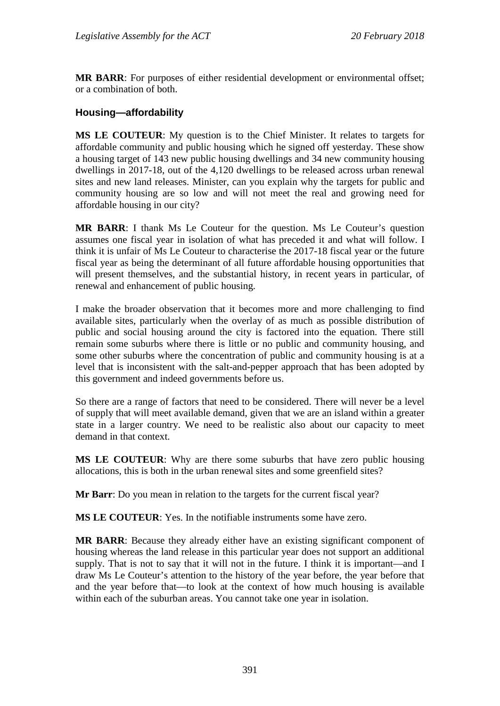**MR BARR**: For purposes of either residential development or environmental offset; or a combination of both.

#### **Housing—affordability**

**MS LE COUTEUR**: My question is to the Chief Minister. It relates to targets for affordable community and public housing which he signed off yesterday. These show a housing target of 143 new public housing dwellings and 34 new community housing dwellings in 2017-18, out of the 4,120 dwellings to be released across urban renewal sites and new land releases. Minister, can you explain why the targets for public and community housing are so low and will not meet the real and growing need for affordable housing in our city?

**MR BARR**: I thank Ms Le Couteur for the question. Ms Le Couteur's question assumes one fiscal year in isolation of what has preceded it and what will follow. I think it is unfair of Ms Le Couteur to characterise the 2017-18 fiscal year or the future fiscal year as being the determinant of all future affordable housing opportunities that will present themselves, and the substantial history, in recent years in particular, of renewal and enhancement of public housing.

I make the broader observation that it becomes more and more challenging to find available sites, particularly when the overlay of as much as possible distribution of public and social housing around the city is factored into the equation. There still remain some suburbs where there is little or no public and community housing, and some other suburbs where the concentration of public and community housing is at a level that is inconsistent with the salt-and-pepper approach that has been adopted by this government and indeed governments before us.

So there are a range of factors that need to be considered. There will never be a level of supply that will meet available demand, given that we are an island within a greater state in a larger country. We need to be realistic also about our capacity to meet demand in that context.

**MS LE COUTEUR**: Why are there some suburbs that have zero public housing allocations, this is both in the urban renewal sites and some greenfield sites?

**Mr Barr**: Do you mean in relation to the targets for the current fiscal year?

**MS LE COUTEUR**: Yes. In the notifiable instruments some have zero.

**MR BARR**: Because they already either have an existing significant component of housing whereas the land release in this particular year does not support an additional supply. That is not to say that it will not in the future. I think it is important—and I draw Ms Le Couteur's attention to the history of the year before, the year before that and the year before that—to look at the context of how much housing is available within each of the suburban areas. You cannot take one year in isolation.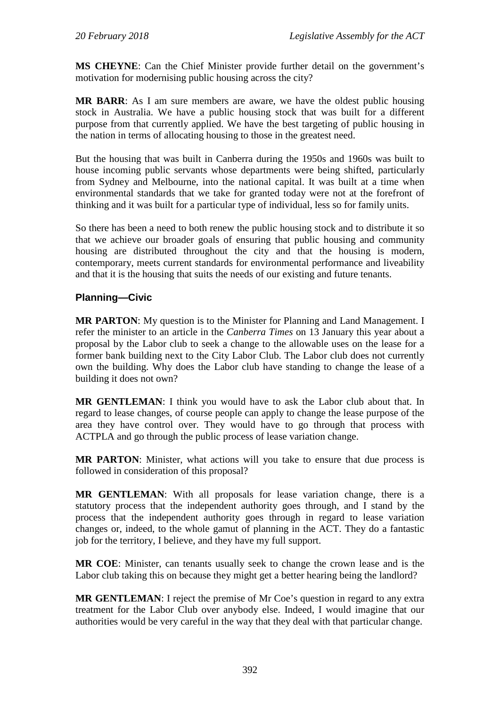**MS CHEYNE**: Can the Chief Minister provide further detail on the government's motivation for modernising public housing across the city?

**MR BARR**: As I am sure members are aware, we have the oldest public housing stock in Australia. We have a public housing stock that was built for a different purpose from that currently applied. We have the best targeting of public housing in the nation in terms of allocating housing to those in the greatest need.

But the housing that was built in Canberra during the 1950s and 1960s was built to house incoming public servants whose departments were being shifted, particularly from Sydney and Melbourne, into the national capital. It was built at a time when environmental standards that we take for granted today were not at the forefront of thinking and it was built for a particular type of individual, less so for family units.

So there has been a need to both renew the public housing stock and to distribute it so that we achieve our broader goals of ensuring that public housing and community housing are distributed throughout the city and that the housing is modern, contemporary, meets current standards for environmental performance and liveability and that it is the housing that suits the needs of our existing and future tenants.

## **Planning—Civic**

**MR PARTON**: My question is to the Minister for Planning and Land Management. I refer the minister to an article in the *Canberra Times* on 13 January this year about a proposal by the Labor club to seek a change to the allowable uses on the lease for a former bank building next to the City Labor Club. The Labor club does not currently own the building. Why does the Labor club have standing to change the lease of a building it does not own?

**MR GENTLEMAN**: I think you would have to ask the Labor club about that. In regard to lease changes, of course people can apply to change the lease purpose of the area they have control over. They would have to go through that process with ACTPLA and go through the public process of lease variation change.

**MR PARTON**: Minister, what actions will you take to ensure that due process is followed in consideration of this proposal?

**MR GENTLEMAN**: With all proposals for lease variation change, there is a statutory process that the independent authority goes through, and I stand by the process that the independent authority goes through in regard to lease variation changes or, indeed, to the whole gamut of planning in the ACT. They do a fantastic job for the territory, I believe, and they have my full support.

**MR COE**: Minister, can tenants usually seek to change the crown lease and is the Labor club taking this on because they might get a better hearing being the landlord?

**MR GENTLEMAN**: I reject the premise of Mr Coe's question in regard to any extra treatment for the Labor Club over anybody else. Indeed, I would imagine that our authorities would be very careful in the way that they deal with that particular change.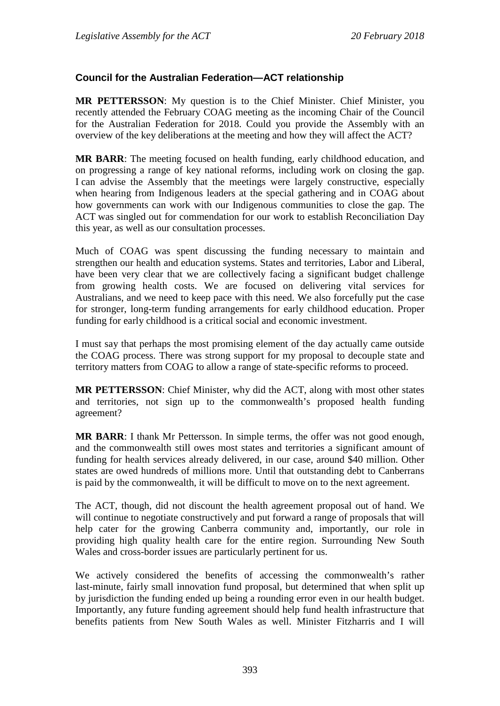## **Council for the Australian Federation—ACT relationship**

**MR PETTERSSON**: My question is to the Chief Minister. Chief Minister, you recently attended the February COAG meeting as the incoming Chair of the Council for the Australian Federation for 2018. Could you provide the Assembly with an overview of the key deliberations at the meeting and how they will affect the ACT?

**MR BARR**: The meeting focused on health funding, early childhood education, and on progressing a range of key national reforms, including work on closing the gap. I can advise the Assembly that the meetings were largely constructive, especially when hearing from Indigenous leaders at the special gathering and in COAG about how governments can work with our Indigenous communities to close the gap. The ACT was singled out for commendation for our work to establish Reconciliation Day this year, as well as our consultation processes.

Much of COAG was spent discussing the funding necessary to maintain and strengthen our health and education systems. States and territories, Labor and Liberal, have been very clear that we are collectively facing a significant budget challenge from growing health costs. We are focused on delivering vital services for Australians, and we need to keep pace with this need. We also forcefully put the case for stronger, long-term funding arrangements for early childhood education. Proper funding for early childhood is a critical social and economic investment.

I must say that perhaps the most promising element of the day actually came outside the COAG process. There was strong support for my proposal to decouple state and territory matters from COAG to allow a range of state-specific reforms to proceed.

**MR PETTERSSON**: Chief Minister, why did the ACT, along with most other states and territories, not sign up to the commonwealth's proposed health funding agreement?

**MR BARR**: I thank Mr Pettersson. In simple terms, the offer was not good enough, and the commonwealth still owes most states and territories a significant amount of funding for health services already delivered, in our case, around \$40 million. Other states are owed hundreds of millions more. Until that outstanding debt to Canberrans is paid by the commonwealth, it will be difficult to move on to the next agreement.

The ACT, though, did not discount the health agreement proposal out of hand. We will continue to negotiate constructively and put forward a range of proposals that will help cater for the growing Canberra community and, importantly, our role in providing high quality health care for the entire region. Surrounding New South Wales and cross-border issues are particularly pertinent for us.

We actively considered the benefits of accessing the commonwealth's rather last-minute, fairly small innovation fund proposal, but determined that when split up by jurisdiction the funding ended up being a rounding error even in our health budget. Importantly, any future funding agreement should help fund health infrastructure that benefits patients from New South Wales as well. Minister Fitzharris and I will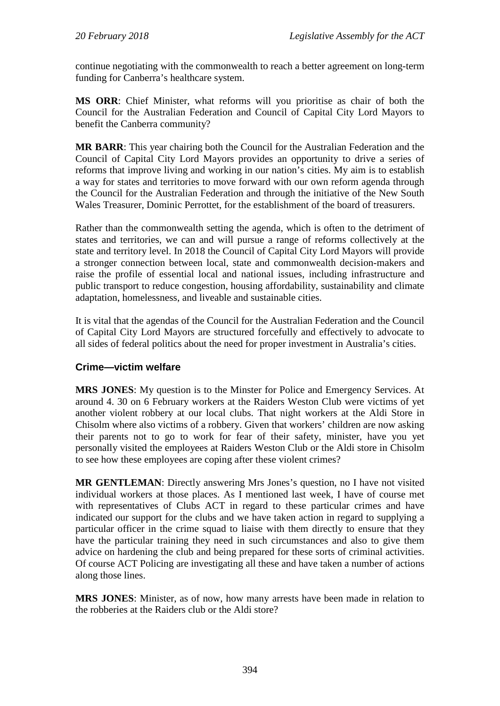continue negotiating with the commonwealth to reach a better agreement on long-term funding for Canberra's healthcare system.

**MS ORR**: Chief Minister, what reforms will you prioritise as chair of both the Council for the Australian Federation and Council of Capital City Lord Mayors to benefit the Canberra community?

**MR BARR**: This year chairing both the Council for the Australian Federation and the Council of Capital City Lord Mayors provides an opportunity to drive a series of reforms that improve living and working in our nation's cities. My aim is to establish a way for states and territories to move forward with our own reform agenda through the Council for the Australian Federation and through the initiative of the New South Wales Treasurer, Dominic Perrottet, for the establishment of the board of treasurers.

Rather than the commonwealth setting the agenda, which is often to the detriment of states and territories, we can and will pursue a range of reforms collectively at the state and territory level. In 2018 the Council of Capital City Lord Mayors will provide a stronger connection between local, state and commonwealth decision-makers and raise the profile of essential local and national issues, including infrastructure and public transport to reduce congestion, housing affordability, sustainability and climate adaptation, homelessness, and liveable and sustainable cities.

It is vital that the agendas of the Council for the Australian Federation and the Council of Capital City Lord Mayors are structured forcefully and effectively to advocate to all sides of federal politics about the need for proper investment in Australia's cities.

#### **Crime—victim welfare**

**MRS JONES**: My question is to the Minster for Police and Emergency Services. At around 4. 30 on 6 February workers at the Raiders Weston Club were victims of yet another violent robbery at our local clubs. That night workers at the Aldi Store in Chisolm where also victims of a robbery. Given that workers' children are now asking their parents not to go to work for fear of their safety, minister, have you yet personally visited the employees at Raiders Weston Club or the Aldi store in Chisolm to see how these employees are coping after these violent crimes?

**MR GENTLEMAN**: Directly answering Mrs Jones's question, no I have not visited individual workers at those places. As I mentioned last week, I have of course met with representatives of Clubs ACT in regard to these particular crimes and have indicated our support for the clubs and we have taken action in regard to supplying a particular officer in the crime squad to liaise with them directly to ensure that they have the particular training they need in such circumstances and also to give them advice on hardening the club and being prepared for these sorts of criminal activities. Of course ACT Policing are investigating all these and have taken a number of actions along those lines.

**MRS JONES**: Minister, as of now, how many arrests have been made in relation to the robberies at the Raiders club or the Aldi store?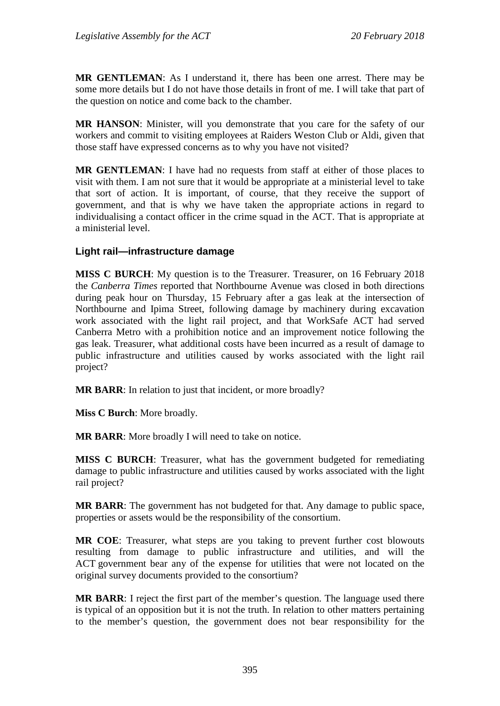**MR GENTLEMAN**: As I understand it, there has been one arrest. There may be some more details but I do not have those details in front of me. I will take that part of the question on notice and come back to the chamber.

**MR HANSON**: Minister, will you demonstrate that you care for the safety of our workers and commit to visiting employees at Raiders Weston Club or Aldi, given that those staff have expressed concerns as to why you have not visited?

**MR GENTLEMAN**: I have had no requests from staff at either of those places to visit with them. I am not sure that it would be appropriate at a ministerial level to take that sort of action. It is important, of course, that they receive the support of government, and that is why we have taken the appropriate actions in regard to individualising a contact officer in the crime squad in the ACT. That is appropriate at a ministerial level.

## **Light rail—infrastructure damage**

**MISS C BURCH**: My question is to the Treasurer. Treasurer, on 16 February 2018 the *Canberra Times* reported that Northbourne Avenue was closed in both directions during peak hour on Thursday, 15 February after a gas leak at the intersection of Northbourne and Ipima Street, following damage by machinery during excavation work associated with the light rail project, and that WorkSafe ACT had served Canberra Metro with a prohibition notice and an improvement notice following the gas leak. Treasurer, what additional costs have been incurred as a result of damage to public infrastructure and utilities caused by works associated with the light rail project?

**MR BARR**: In relation to just that incident, or more broadly?

**Miss C Burch**: More broadly.

**MR BARR**: More broadly I will need to take on notice.

**MISS C BURCH**: Treasurer, what has the government budgeted for remediating damage to public infrastructure and utilities caused by works associated with the light rail project?

**MR BARR**: The government has not budgeted for that. Any damage to public space, properties or assets would be the responsibility of the consortium.

**MR COE**: Treasurer, what steps are you taking to prevent further cost blowouts resulting from damage to public infrastructure and utilities, and will the ACT government bear any of the expense for utilities that were not located on the original survey documents provided to the consortium?

**MR BARR**: I reject the first part of the member's question. The language used there is typical of an opposition but it is not the truth. In relation to other matters pertaining to the member's question, the government does not bear responsibility for the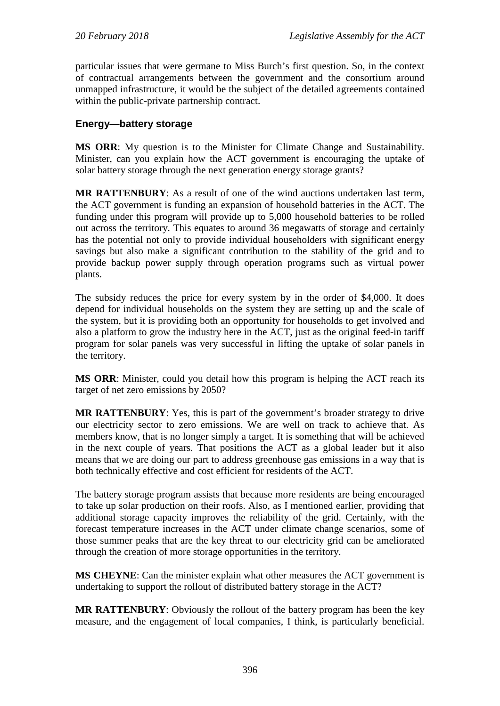particular issues that were germane to Miss Burch's first question. So, in the context of contractual arrangements between the government and the consortium around unmapped infrastructure, it would be the subject of the detailed agreements contained within the public-private partnership contract.

## **Energy—battery storage**

**MS ORR**: My question is to the Minister for Climate Change and Sustainability. Minister, can you explain how the ACT government is encouraging the uptake of solar battery storage through the next generation energy storage grants?

**MR RATTENBURY**: As a result of one of the wind auctions undertaken last term, the ACT government is funding an expansion of household batteries in the ACT. The funding under this program will provide up to 5,000 household batteries to be rolled out across the territory. This equates to around 36 megawatts of storage and certainly has the potential not only to provide individual householders with significant energy savings but also make a significant contribution to the stability of the grid and to provide backup power supply through operation programs such as virtual power plants.

The subsidy reduces the price for every system by in the order of \$4,000. It does depend for individual households on the system they are setting up and the scale of the system, but it is providing both an opportunity for households to get involved and also a platform to grow the industry here in the ACT, just as the original feed-in tariff program for solar panels was very successful in lifting the uptake of solar panels in the territory.

**MS ORR**: Minister, could you detail how this program is helping the ACT reach its target of net zero emissions by 2050?

**MR RATTENBURY**: Yes, this is part of the government's broader strategy to drive our electricity sector to zero emissions. We are well on track to achieve that. As members know, that is no longer simply a target. It is something that will be achieved in the next couple of years. That positions the ACT as a global leader but it also means that we are doing our part to address greenhouse gas emissions in a way that is both technically effective and cost efficient for residents of the ACT.

The battery storage program assists that because more residents are being encouraged to take up solar production on their roofs. Also, as I mentioned earlier, providing that additional storage capacity improves the reliability of the grid. Certainly, with the forecast temperature increases in the ACT under climate change scenarios, some of those summer peaks that are the key threat to our electricity grid can be ameliorated through the creation of more storage opportunities in the territory.

**MS CHEYNE**: Can the minister explain what other measures the ACT government is undertaking to support the rollout of distributed battery storage in the ACT?

**MR RATTENBURY**: Obviously the rollout of the battery program has been the key measure, and the engagement of local companies, I think, is particularly beneficial.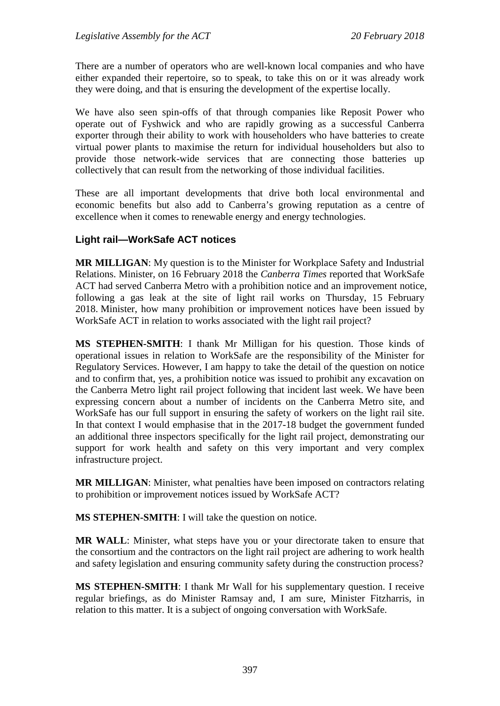There are a number of operators who are well-known local companies and who have either expanded their repertoire, so to speak, to take this on or it was already work they were doing, and that is ensuring the development of the expertise locally.

We have also seen spin-offs of that through companies like Reposit Power who operate out of Fyshwick and who are rapidly growing as a successful Canberra exporter through their ability to work with householders who have batteries to create virtual power plants to maximise the return for individual householders but also to provide those network-wide services that are connecting those batteries up collectively that can result from the networking of those individual facilities.

These are all important developments that drive both local environmental and economic benefits but also add to Canberra's growing reputation as a centre of excellence when it comes to renewable energy and energy technologies.

#### **Light rail—WorkSafe ACT notices**

**MR MILLIGAN**: My question is to the Minister for Workplace Safety and Industrial Relations. Minister, on 16 February 2018 the *Canberra Times* reported that WorkSafe ACT had served Canberra Metro with a prohibition notice and an improvement notice, following a gas leak at the site of light rail works on Thursday, 15 February 2018. Minister, how many prohibition or improvement notices have been issued by WorkSafe ACT in relation to works associated with the light rail project?

**MS STEPHEN-SMITH**: I thank Mr Milligan for his question. Those kinds of operational issues in relation to WorkSafe are the responsibility of the Minister for Regulatory Services. However, I am happy to take the detail of the question on notice and to confirm that, yes, a prohibition notice was issued to prohibit any excavation on the Canberra Metro light rail project following that incident last week. We have been expressing concern about a number of incidents on the Canberra Metro site, and WorkSafe has our full support in ensuring the safety of workers on the light rail site. In that context I would emphasise that in the 2017-18 budget the government funded an additional three inspectors specifically for the light rail project, demonstrating our support for work health and safety on this very important and very complex infrastructure project.

**MR MILLIGAN**: Minister, what penalties have been imposed on contractors relating to prohibition or improvement notices issued by WorkSafe ACT?

**MS STEPHEN-SMITH**: I will take the question on notice.

**MR WALL**: Minister, what steps have you or your directorate taken to ensure that the consortium and the contractors on the light rail project are adhering to work health and safety legislation and ensuring community safety during the construction process?

**MS STEPHEN-SMITH**: I thank Mr Wall for his supplementary question. I receive regular briefings, as do Minister Ramsay and, I am sure, Minister Fitzharris, in relation to this matter. It is a subject of ongoing conversation with WorkSafe.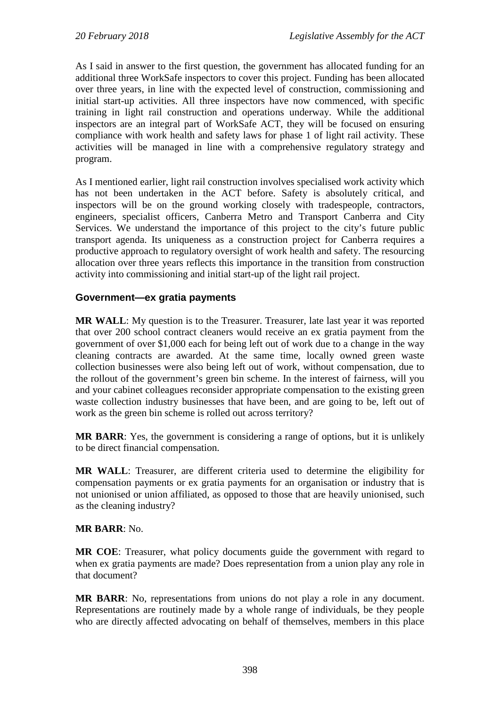As I said in answer to the first question, the government has allocated funding for an additional three WorkSafe inspectors to cover this project. Funding has been allocated over three years, in line with the expected level of construction, commissioning and initial start-up activities. All three inspectors have now commenced, with specific training in light rail construction and operations underway. While the additional inspectors are an integral part of WorkSafe ACT, they will be focused on ensuring compliance with work health and safety laws for phase 1 of light rail activity. These activities will be managed in line with a comprehensive regulatory strategy and program.

As I mentioned earlier, light rail construction involves specialised work activity which has not been undertaken in the ACT before. Safety is absolutely critical, and inspectors will be on the ground working closely with tradespeople, contractors, engineers, specialist officers, Canberra Metro and Transport Canberra and City Services. We understand the importance of this project to the city's future public transport agenda. Its uniqueness as a construction project for Canberra requires a productive approach to regulatory oversight of work health and safety. The resourcing allocation over three years reflects this importance in the transition from construction activity into commissioning and initial start-up of the light rail project.

#### **Government—ex gratia payments**

**MR WALL**: My question is to the Treasurer. Treasurer, late last year it was reported that over 200 school contract cleaners would receive an ex gratia payment from the government of over \$1,000 each for being left out of work due to a change in the way cleaning contracts are awarded. At the same time, locally owned green waste collection businesses were also being left out of work, without compensation, due to the rollout of the government's green bin scheme. In the interest of fairness, will you and your cabinet colleagues reconsider appropriate compensation to the existing green waste collection industry businesses that have been, and are going to be, left out of work as the green bin scheme is rolled out across territory?

**MR BARR**: Yes, the government is considering a range of options, but it is unlikely to be direct financial compensation.

**MR WALL**: Treasurer, are different criteria used to determine the eligibility for compensation payments or ex gratia payments for an organisation or industry that is not unionised or union affiliated, as opposed to those that are heavily unionised, such as the cleaning industry?

#### **MR BARR**: No.

**MR COE**: Treasurer, what policy documents guide the government with regard to when ex gratia payments are made? Does representation from a union play any role in that document?

**MR BARR**: No, representations from unions do not play a role in any document. Representations are routinely made by a whole range of individuals, be they people who are directly affected advocating on behalf of themselves, members in this place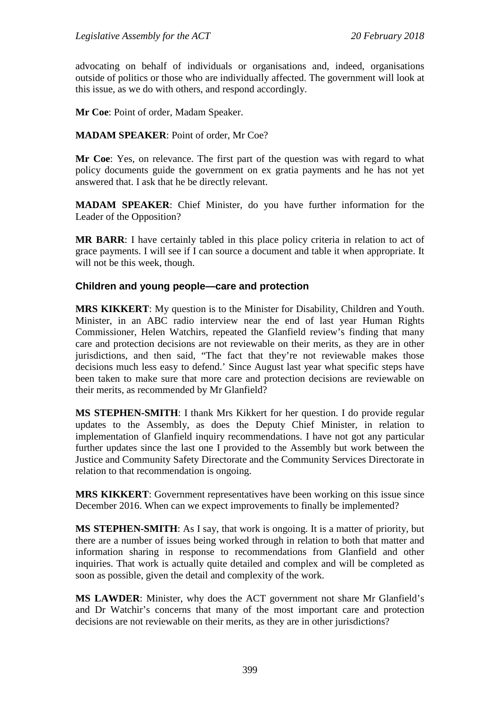advocating on behalf of individuals or organisations and, indeed, organisations outside of politics or those who are individually affected. The government will look at this issue, as we do with others, and respond accordingly.

**Mr Coe**: Point of order, Madam Speaker.

**MADAM SPEAKER**: Point of order, Mr Coe?

**Mr Coe**: Yes, on relevance. The first part of the question was with regard to what policy documents guide the government on ex gratia payments and he has not yet answered that. I ask that he be directly relevant.

**MADAM SPEAKER**: Chief Minister, do you have further information for the Leader of the Opposition?

**MR BARR**: I have certainly tabled in this place policy criteria in relation to act of grace payments. I will see if I can source a document and table it when appropriate. It will not be this week, though.

#### **Children and young people—care and protection**

**MRS KIKKERT**: My question is to the Minister for Disability, Children and Youth. Minister, in an ABC radio interview near the end of last year Human Rights Commissioner, Helen Watchirs, repeated the Glanfield review's finding that many care and protection decisions are not reviewable on their merits, as they are in other jurisdictions, and then said, "The fact that they're not reviewable makes those decisions much less easy to defend.' Since August last year what specific steps have been taken to make sure that more care and protection decisions are reviewable on their merits, as recommended by Mr Glanfield?

**MS STEPHEN-SMITH**: I thank Mrs Kikkert for her question. I do provide regular updates to the Assembly, as does the Deputy Chief Minister, in relation to implementation of Glanfield inquiry recommendations. I have not got any particular further updates since the last one I provided to the Assembly but work between the Justice and Community Safety Directorate and the Community Services Directorate in relation to that recommendation is ongoing.

**MRS KIKKERT**: Government representatives have been working on this issue since December 2016. When can we expect improvements to finally be implemented?

**MS STEPHEN-SMITH**: As I say, that work is ongoing. It is a matter of priority, but there are a number of issues being worked through in relation to both that matter and information sharing in response to recommendations from Glanfield and other inquiries. That work is actually quite detailed and complex and will be completed as soon as possible, given the detail and complexity of the work.

**MS LAWDER**: Minister, why does the ACT government not share Mr Glanfield's and Dr Watchir's concerns that many of the most important care and protection decisions are not reviewable on their merits, as they are in other jurisdictions?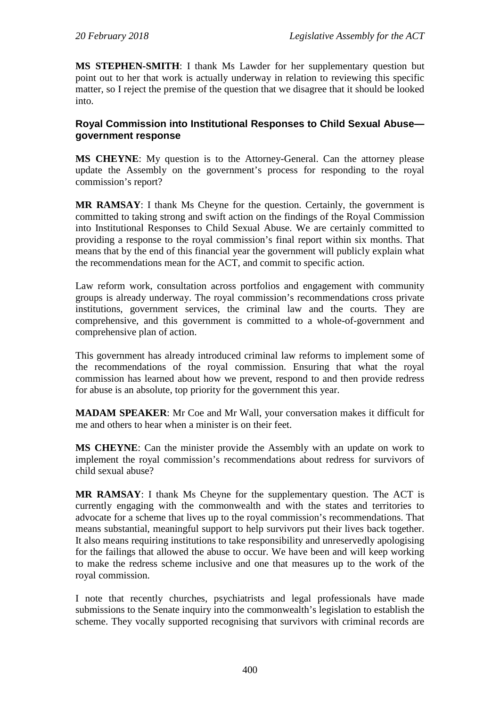**MS STEPHEN-SMITH**: I thank Ms Lawder for her supplementary question but point out to her that work is actually underway in relation to reviewing this specific matter, so I reject the premise of the question that we disagree that it should be looked into.

#### **Royal Commission into Institutional Responses to Child Sexual Abuse government response**

**MS CHEYNE**: My question is to the Attorney-General. Can the attorney please update the Assembly on the government's process for responding to the royal commission's report?

**MR RAMSAY**: I thank Ms Cheyne for the question. Certainly, the government is committed to taking strong and swift action on the findings of the Royal Commission into Institutional Responses to Child Sexual Abuse. We are certainly committed to providing a response to the royal commission's final report within six months. That means that by the end of this financial year the government will publicly explain what the recommendations mean for the ACT, and commit to specific action.

Law reform work, consultation across portfolios and engagement with community groups is already underway. The royal commission's recommendations cross private institutions, government services, the criminal law and the courts. They are comprehensive, and this government is committed to a whole-of-government and comprehensive plan of action.

This government has already introduced criminal law reforms to implement some of the recommendations of the royal commission. Ensuring that what the royal commission has learned about how we prevent, respond to and then provide redress for abuse is an absolute, top priority for the government this year.

**MADAM SPEAKER**: Mr Coe and Mr Wall, your conversation makes it difficult for me and others to hear when a minister is on their feet.

**MS CHEYNE**: Can the minister provide the Assembly with an update on work to implement the royal commission's recommendations about redress for survivors of child sexual abuse?

**MR RAMSAY**: I thank Ms Cheyne for the supplementary question. The ACT is currently engaging with the commonwealth and with the states and territories to advocate for a scheme that lives up to the royal commission's recommendations. That means substantial, meaningful support to help survivors put their lives back together. It also means requiring institutions to take responsibility and unreservedly apologising for the failings that allowed the abuse to occur. We have been and will keep working to make the redress scheme inclusive and one that measures up to the work of the royal commission.

I note that recently churches, psychiatrists and legal professionals have made submissions to the Senate inquiry into the commonwealth's legislation to establish the scheme. They vocally supported recognising that survivors with criminal records are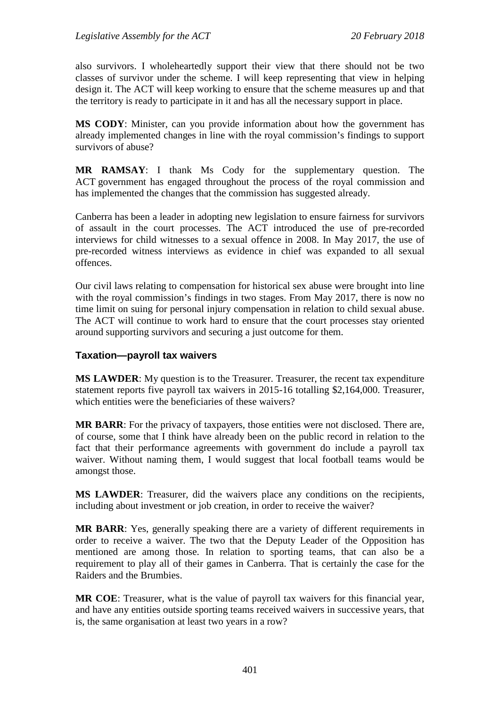also survivors. I wholeheartedly support their view that there should not be two classes of survivor under the scheme. I will keep representing that view in helping design it. The ACT will keep working to ensure that the scheme measures up and that the territory is ready to participate in it and has all the necessary support in place.

**MS CODY**: Minister, can you provide information about how the government has already implemented changes in line with the royal commission's findings to support survivors of abuse?

**MR RAMSAY**: I thank Ms Cody for the supplementary question. The ACT government has engaged throughout the process of the royal commission and has implemented the changes that the commission has suggested already.

Canberra has been a leader in adopting new legislation to ensure fairness for survivors of assault in the court processes. The ACT introduced the use of pre-recorded interviews for child witnesses to a sexual offence in 2008. In May 2017, the use of pre-recorded witness interviews as evidence in chief was expanded to all sexual offences.

Our civil laws relating to compensation for historical sex abuse were brought into line with the royal commission's findings in two stages. From May 2017, there is now no time limit on suing for personal injury compensation in relation to child sexual abuse. The ACT will continue to work hard to ensure that the court processes stay oriented around supporting survivors and securing a just outcome for them.

#### **Taxation—payroll tax waivers**

**MS LAWDER**: My question is to the Treasurer. Treasurer, the recent tax expenditure statement reports five payroll tax waivers in 2015-16 totalling \$2,164,000. Treasurer, which entities were the beneficiaries of these waivers?

**MR BARR**: For the privacy of taxpayers, those entities were not disclosed. There are, of course, some that I think have already been on the public record in relation to the fact that their performance agreements with government do include a payroll tax waiver. Without naming them, I would suggest that local football teams would be amongst those.

**MS LAWDER**: Treasurer, did the waivers place any conditions on the recipients, including about investment or job creation, in order to receive the waiver?

**MR BARR**: Yes, generally speaking there are a variety of different requirements in order to receive a waiver. The two that the Deputy Leader of the Opposition has mentioned are among those. In relation to sporting teams, that can also be a requirement to play all of their games in Canberra. That is certainly the case for the Raiders and the Brumbies.

**MR COE**: Treasurer, what is the value of payroll tax waivers for this financial year, and have any entities outside sporting teams received waivers in successive years, that is, the same organisation at least two years in a row?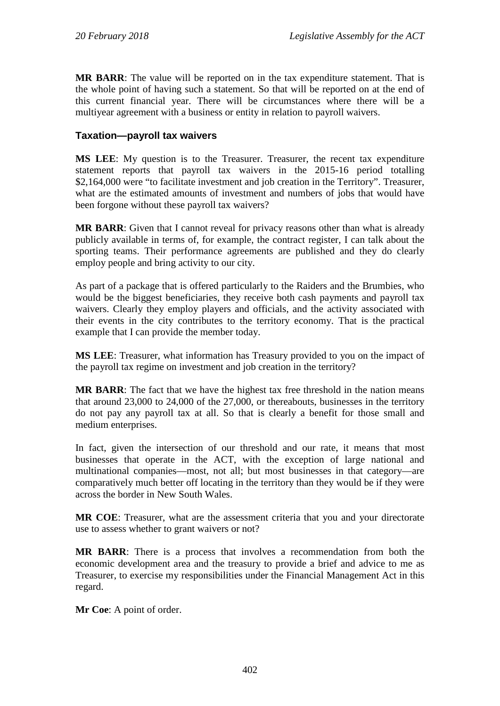**MR BARR**: The value will be reported on in the tax expenditure statement. That is the whole point of having such a statement. So that will be reported on at the end of this current financial year. There will be circumstances where there will be a multiyear agreement with a business or entity in relation to payroll waivers.

#### **Taxation—payroll tax waivers**

**MS LEE**: My question is to the Treasurer. Treasurer, the recent tax expenditure statement reports that payroll tax waivers in the 2015-16 period totalling \$2,164,000 were "to facilitate investment and job creation in the Territory". Treasurer, what are the estimated amounts of investment and numbers of jobs that would have been forgone without these payroll tax waivers?

**MR BARR**: Given that I cannot reveal for privacy reasons other than what is already publicly available in terms of, for example, the contract register, I can talk about the sporting teams. Their performance agreements are published and they do clearly employ people and bring activity to our city.

As part of a package that is offered particularly to the Raiders and the Brumbies, who would be the biggest beneficiaries, they receive both cash payments and payroll tax waivers. Clearly they employ players and officials, and the activity associated with their events in the city contributes to the territory economy. That is the practical example that I can provide the member today.

**MS LEE**: Treasurer, what information has Treasury provided to you on the impact of the payroll tax regime on investment and job creation in the territory?

**MR BARR**: The fact that we have the highest tax free threshold in the nation means that around 23,000 to 24,000 of the 27,000, or thereabouts, businesses in the territory do not pay any payroll tax at all. So that is clearly a benefit for those small and medium enterprises.

In fact, given the intersection of our threshold and our rate, it means that most businesses that operate in the ACT, with the exception of large national and multinational companies—most, not all; but most businesses in that category—are comparatively much better off locating in the territory than they would be if they were across the border in New South Wales.

**MR COE**: Treasurer, what are the assessment criteria that you and your directorate use to assess whether to grant waivers or not?

**MR BARR**: There is a process that involves a recommendation from both the economic development area and the treasury to provide a brief and advice to me as Treasurer, to exercise my responsibilities under the Financial Management Act in this regard.

**Mr Coe**: A point of order.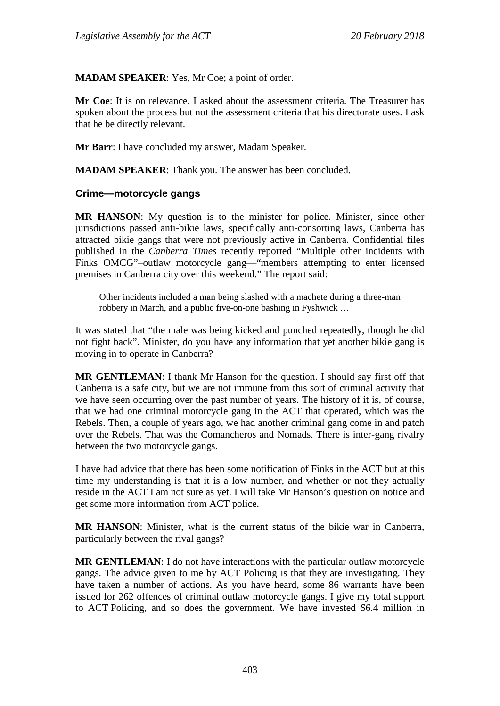**MADAM SPEAKER**: Yes, Mr Coe; a point of order.

**Mr Coe**: It is on relevance. I asked about the assessment criteria. The Treasurer has spoken about the process but not the assessment criteria that his directorate uses. I ask that he be directly relevant.

**Mr Barr**: I have concluded my answer, Madam Speaker.

**MADAM SPEAKER**: Thank you. The answer has been concluded.

#### **Crime—motorcycle gangs**

**MR HANSON**: My question is to the minister for police. Minister, since other jurisdictions passed anti-bikie laws, specifically anti-consorting laws, Canberra has attracted bikie gangs that were not previously active in Canberra. Confidential files published in the *Canberra Times* recently reported "Multiple other incidents with Finks OMCG"–outlaw motorcycle gang—"members attempting to enter licensed premises in Canberra city over this weekend." The report said:

Other incidents included a man being slashed with a machete during a three-man robbery in March, and a public five-on-one bashing in Fyshwick …

It was stated that "the male was being kicked and punched repeatedly, though he did not fight back". Minister, do you have any information that yet another bikie gang is moving in to operate in Canberra?

**MR GENTLEMAN**: I thank Mr Hanson for the question. I should say first off that Canberra is a safe city, but we are not immune from this sort of criminal activity that we have seen occurring over the past number of years. The history of it is, of course, that we had one criminal motorcycle gang in the ACT that operated, which was the Rebels. Then, a couple of years ago, we had another criminal gang come in and patch over the Rebels. That was the Comancheros and Nomads. There is inter-gang rivalry between the two motorcycle gangs.

I have had advice that there has been some notification of Finks in the ACT but at this time my understanding is that it is a low number, and whether or not they actually reside in the ACT I am not sure as yet. I will take Mr Hanson's question on notice and get some more information from ACT police.

**MR HANSON**: Minister, what is the current status of the bikie war in Canberra, particularly between the rival gangs?

**MR GENTLEMAN**: I do not have interactions with the particular outlaw motorcycle gangs. The advice given to me by ACT Policing is that they are investigating. They have taken a number of actions. As you have heard, some 86 warrants have been issued for 262 offences of criminal outlaw motorcycle gangs. I give my total support to ACT Policing, and so does the government. We have invested \$6.4 million in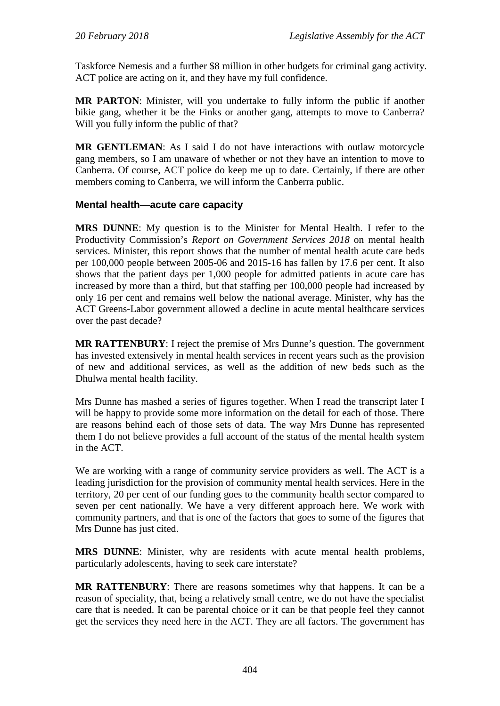Taskforce Nemesis and a further \$8 million in other budgets for criminal gang activity. ACT police are acting on it, and they have my full confidence.

**MR PARTON**: Minister, will you undertake to fully inform the public if another bikie gang, whether it be the Finks or another gang, attempts to move to Canberra? Will you fully inform the public of that?

**MR GENTLEMAN**: As I said I do not have interactions with outlaw motorcycle gang members, so I am unaware of whether or not they have an intention to move to Canberra. Of course, ACT police do keep me up to date. Certainly, if there are other members coming to Canberra, we will inform the Canberra public.

#### **Mental health—acute care capacity**

**MRS DUNNE**: My question is to the Minister for Mental Health. I refer to the Productivity Commission's *Report on Government Services 2018* on mental health services. Minister, this report shows that the number of mental health acute care beds per 100,000 people between 2005-06 and 2015-16 has fallen by 17.6 per cent. It also shows that the patient days per 1,000 people for admitted patients in acute care has increased by more than a third, but that staffing per 100,000 people had increased by only 16 per cent and remains well below the national average. Minister, why has the ACT Greens-Labor government allowed a decline in acute mental healthcare services over the past decade?

**MR RATTENBURY**: I reject the premise of Mrs Dunne's question. The government has invested extensively in mental health services in recent years such as the provision of new and additional services, as well as the addition of new beds such as the Dhulwa mental health facility.

Mrs Dunne has mashed a series of figures together. When I read the transcript later I will be happy to provide some more information on the detail for each of those. There are reasons behind each of those sets of data. The way Mrs Dunne has represented them I do not believe provides a full account of the status of the mental health system in the ACT.

We are working with a range of community service providers as well. The ACT is a leading jurisdiction for the provision of community mental health services. Here in the territory, 20 per cent of our funding goes to the community health sector compared to seven per cent nationally. We have a very different approach here. We work with community partners, and that is one of the factors that goes to some of the figures that Mrs Dunne has just cited.

**MRS DUNNE**: Minister, why are residents with acute mental health problems, particularly adolescents, having to seek care interstate?

**MR RATTENBURY**: There are reasons sometimes why that happens. It can be a reason of speciality, that, being a relatively small centre, we do not have the specialist care that is needed. It can be parental choice or it can be that people feel they cannot get the services they need here in the ACT. They are all factors. The government has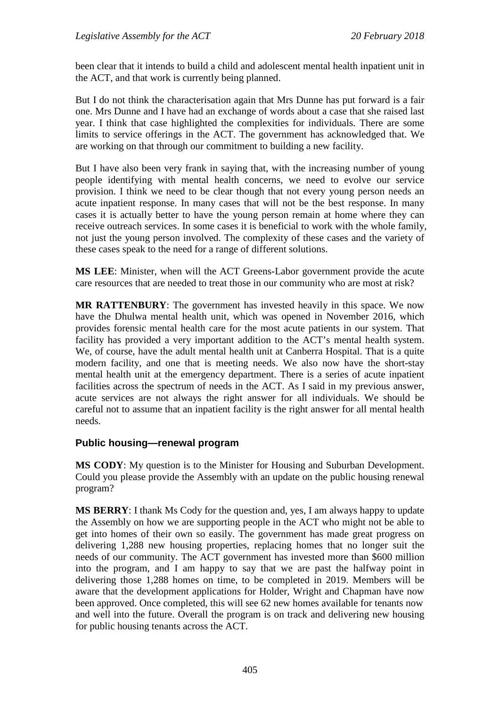been clear that it intends to build a child and adolescent mental health inpatient unit in the ACT, and that work is currently being planned.

But I do not think the characterisation again that Mrs Dunne has put forward is a fair one. Mrs Dunne and I have had an exchange of words about a case that she raised last year. I think that case highlighted the complexities for individuals. There are some limits to service offerings in the ACT. The government has acknowledged that. We are working on that through our commitment to building a new facility.

But I have also been very frank in saying that, with the increasing number of young people identifying with mental health concerns, we need to evolve our service provision. I think we need to be clear though that not every young person needs an acute inpatient response. In many cases that will not be the best response. In many cases it is actually better to have the young person remain at home where they can receive outreach services. In some cases it is beneficial to work with the whole family, not just the young person involved. The complexity of these cases and the variety of these cases speak to the need for a range of different solutions.

**MS LEE**: Minister, when will the ACT Greens-Labor government provide the acute care resources that are needed to treat those in our community who are most at risk?

**MR RATTENBURY**: The government has invested heavily in this space. We now have the Dhulwa mental health unit, which was opened in November 2016, which provides forensic mental health care for the most acute patients in our system. That facility has provided a very important addition to the ACT's mental health system. We, of course, have the adult mental health unit at Canberra Hospital. That is a quite modern facility, and one that is meeting needs. We also now have the short-stay mental health unit at the emergency department. There is a series of acute inpatient facilities across the spectrum of needs in the ACT. As I said in my previous answer, acute services are not always the right answer for all individuals. We should be careful not to assume that an inpatient facility is the right answer for all mental health needs.

#### **Public housing—renewal program**

**MS CODY**: My question is to the Minister for Housing and Suburban Development. Could you please provide the Assembly with an update on the public housing renewal program?

**MS BERRY**: I thank Ms Cody for the question and, yes, I am always happy to update the Assembly on how we are supporting people in the ACT who might not be able to get into homes of their own so easily. The government has made great progress on delivering 1,288 new housing properties, replacing homes that no longer suit the needs of our community. The ACT government has invested more than \$600 million into the program, and I am happy to say that we are past the halfway point in delivering those 1,288 homes on time, to be completed in 2019. Members will be aware that the development applications for Holder, Wright and Chapman have now been approved. Once completed, this will see 62 new homes available for tenants now and well into the future. Overall the program is on track and delivering new housing for public housing tenants across the ACT.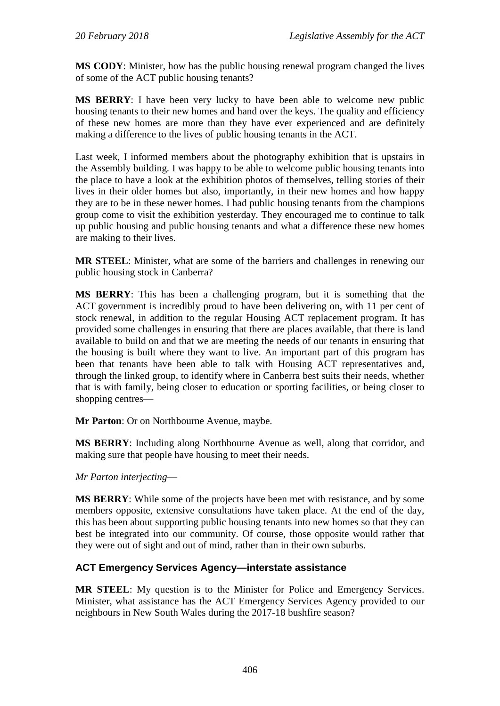**MS CODY**: Minister, how has the public housing renewal program changed the lives of some of the ACT public housing tenants?

**MS BERRY**: I have been very lucky to have been able to welcome new public housing tenants to their new homes and hand over the keys. The quality and efficiency of these new homes are more than they have ever experienced and are definitely making a difference to the lives of public housing tenants in the ACT.

Last week, I informed members about the photography exhibition that is upstairs in the Assembly building. I was happy to be able to welcome public housing tenants into the place to have a look at the exhibition photos of themselves, telling stories of their lives in their older homes but also, importantly, in their new homes and how happy they are to be in these newer homes. I had public housing tenants from the champions group come to visit the exhibition yesterday. They encouraged me to continue to talk up public housing and public housing tenants and what a difference these new homes are making to their lives.

**MR STEEL**: Minister, what are some of the barriers and challenges in renewing our public housing stock in Canberra?

**MS BERRY**: This has been a challenging program, but it is something that the ACT government is incredibly proud to have been delivering on, with 11 per cent of stock renewal, in addition to the regular Housing ACT replacement program. It has provided some challenges in ensuring that there are places available, that there is land available to build on and that we are meeting the needs of our tenants in ensuring that the housing is built where they want to live. An important part of this program has been that tenants have been able to talk with Housing ACT representatives and, through the linked group, to identify where in Canberra best suits their needs, whether that is with family, being closer to education or sporting facilities, or being closer to shopping centres—

**Mr Parton**: Or on Northbourne Avenue, maybe.

**MS BERRY**: Including along Northbourne Avenue as well, along that corridor, and making sure that people have housing to meet their needs.

#### *Mr Parton interjecting*—

**MS BERRY**: While some of the projects have been met with resistance, and by some members opposite, extensive consultations have taken place. At the end of the day, this has been about supporting public housing tenants into new homes so that they can best be integrated into our community. Of course, those opposite would rather that they were out of sight and out of mind, rather than in their own suburbs.

## **ACT Emergency Services Agency—interstate assistance**

**MR STEEL**: My question is to the Minister for Police and Emergency Services. Minister, what assistance has the ACT Emergency Services Agency provided to our neighbours in New South Wales during the 2017-18 bushfire season?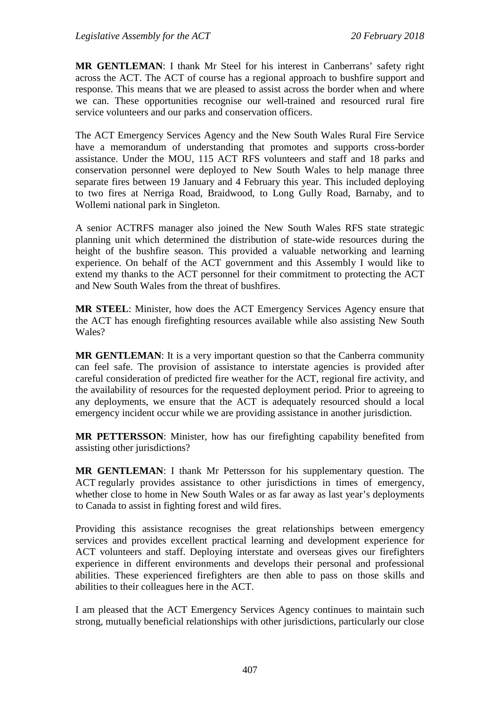**MR GENTLEMAN**: I thank Mr Steel for his interest in Canberrans' safety right across the ACT. The ACT of course has a regional approach to bushfire support and response. This means that we are pleased to assist across the border when and where we can. These opportunities recognise our well-trained and resourced rural fire service volunteers and our parks and conservation officers.

The ACT Emergency Services Agency and the New South Wales Rural Fire Service have a memorandum of understanding that promotes and supports cross-border assistance. Under the MOU, 115 ACT RFS volunteers and staff and 18 parks and conservation personnel were deployed to New South Wales to help manage three separate fires between 19 January and 4 February this year. This included deploying to two fires at Nerriga Road, Braidwood, to Long Gully Road, Barnaby, and to Wollemi national park in Singleton.

A senior ACTRFS manager also joined the New South Wales RFS state strategic planning unit which determined the distribution of state-wide resources during the height of the bushfire season. This provided a valuable networking and learning experience. On behalf of the ACT government and this Assembly I would like to extend my thanks to the ACT personnel for their commitment to protecting the ACT and New South Wales from the threat of bushfires.

**MR STEEL**: Minister, how does the ACT Emergency Services Agency ensure that the ACT has enough firefighting resources available while also assisting New South Wales?

**MR GENTLEMAN:** It is a very important question so that the Canberra community can feel safe. The provision of assistance to interstate agencies is provided after careful consideration of predicted fire weather for the ACT, regional fire activity, and the availability of resources for the requested deployment period. Prior to agreeing to any deployments, we ensure that the ACT is adequately resourced should a local emergency incident occur while we are providing assistance in another jurisdiction.

**MR PETTERSSON**: Minister, how has our firefighting capability benefited from assisting other jurisdictions?

**MR GENTLEMAN**: I thank Mr Pettersson for his supplementary question. The ACT regularly provides assistance to other jurisdictions in times of emergency, whether close to home in New South Wales or as far away as last year's deployments to Canada to assist in fighting forest and wild fires.

Providing this assistance recognises the great relationships between emergency services and provides excellent practical learning and development experience for ACT volunteers and staff. Deploying interstate and overseas gives our firefighters experience in different environments and develops their personal and professional abilities. These experienced firefighters are then able to pass on those skills and abilities to their colleagues here in the ACT.

I am pleased that the ACT Emergency Services Agency continues to maintain such strong, mutually beneficial relationships with other jurisdictions, particularly our close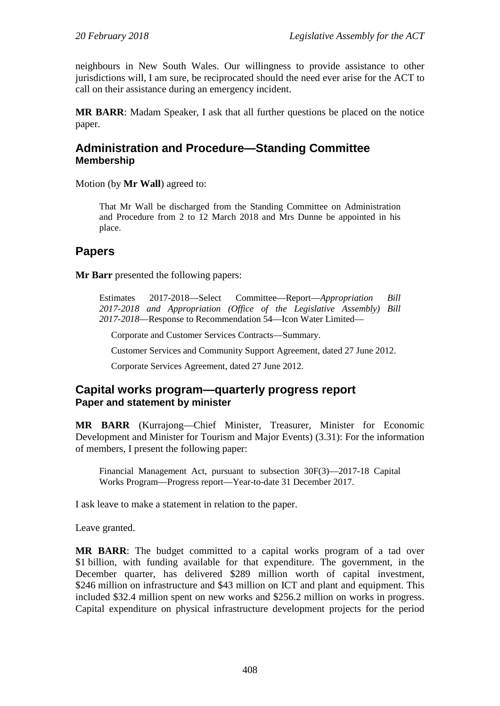neighbours in New South Wales. Our willingness to provide assistance to other jurisdictions will, I am sure, be reciprocated should the need ever arise for the ACT to call on their assistance during an emergency incident.

**MR BARR**: Madam Speaker, I ask that all further questions be placed on the notice paper.

## **Administration and Procedure—Standing Committee Membership**

Motion (by **Mr Wall**) agreed to:

That Mr Wall be discharged from the Standing Committee on Administration and Procedure from 2 to 12 March 2018 and Mrs Dunne be appointed in his place.

## **Papers**

**Mr Barr** presented the following papers:

Estimates 2017-2018—Select Committee—Report—*Appropriation Bill 2017-2018 and Appropriation (Office of the Legislative Assembly) Bill 2017-2018*—Response to Recommendation 54—Icon Water Limited—

Corporate and Customer Services Contracts—Summary.

Customer Services and Community Support Agreement, dated 27 June 2012.

Corporate Services Agreement, dated 27 June 2012.

## **Capital works program—quarterly progress report Paper and statement by minister**

**MR BARR** (Kurrajong—Chief Minister, Treasurer, Minister for Economic Development and Minister for Tourism and Major Events) (3.31): For the information of members, I present the following paper:

Financial Management Act, pursuant to subsection 30F(3)—2017-18 Capital Works Program—Progress report—Year-to-date 31 December 2017.

I ask leave to make a statement in relation to the paper.

Leave granted.

**MR BARR**: The budget committed to a capital works program of a tad over \$1 billion, with funding available for that expenditure. The government, in the December quarter, has delivered \$289 million worth of capital investment, \$246 million on infrastructure and \$43 million on ICT and plant and equipment. This included \$32.4 million spent on new works and \$256.2 million on works in progress. Capital expenditure on physical infrastructure development projects for the period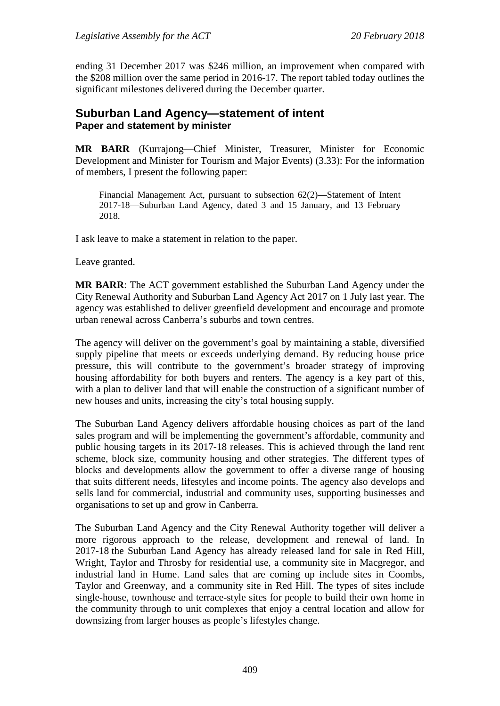ending 31 December 2017 was \$246 million, an improvement when compared with the \$208 million over the same period in 2016-17. The report tabled today outlines the significant milestones delivered during the December quarter.

## **Suburban Land Agency—statement of intent Paper and statement by minister**

**MR BARR** (Kurrajong—Chief Minister, Treasurer, Minister for Economic Development and Minister for Tourism and Major Events) (3.33): For the information of members, I present the following paper:

Financial Management Act, pursuant to subsection 62(2)—Statement of Intent 2017-18—Suburban Land Agency, dated 3 and 15 January, and 13 February 2018.

I ask leave to make a statement in relation to the paper.

Leave granted.

**MR BARR**: The ACT government established the Suburban Land Agency under the City Renewal Authority and Suburban Land Agency Act 2017 on 1 July last year. The agency was established to deliver greenfield development and encourage and promote urban renewal across Canberra's suburbs and town centres.

The agency will deliver on the government's goal by maintaining a stable, diversified supply pipeline that meets or exceeds underlying demand. By reducing house price pressure, this will contribute to the government's broader strategy of improving housing affordability for both buyers and renters. The agency is a key part of this, with a plan to deliver land that will enable the construction of a significant number of new houses and units, increasing the city's total housing supply.

The Suburban Land Agency delivers affordable housing choices as part of the land sales program and will be implementing the government's affordable, community and public housing targets in its 2017-18 releases. This is achieved through the land rent scheme, block size, community housing and other strategies. The different types of blocks and developments allow the government to offer a diverse range of housing that suits different needs, lifestyles and income points. The agency also develops and sells land for commercial, industrial and community uses, supporting businesses and organisations to set up and grow in Canberra.

The Suburban Land Agency and the City Renewal Authority together will deliver a more rigorous approach to the release, development and renewal of land. In 2017-18 the Suburban Land Agency has already released land for sale in Red Hill, Wright, Taylor and Throsby for residential use, a community site in Macgregor, and industrial land in Hume. Land sales that are coming up include sites in Coombs, Taylor and Greenway, and a community site in Red Hill. The types of sites include single-house, townhouse and terrace-style sites for people to build their own home in the community through to unit complexes that enjoy a central location and allow for downsizing from larger houses as people's lifestyles change.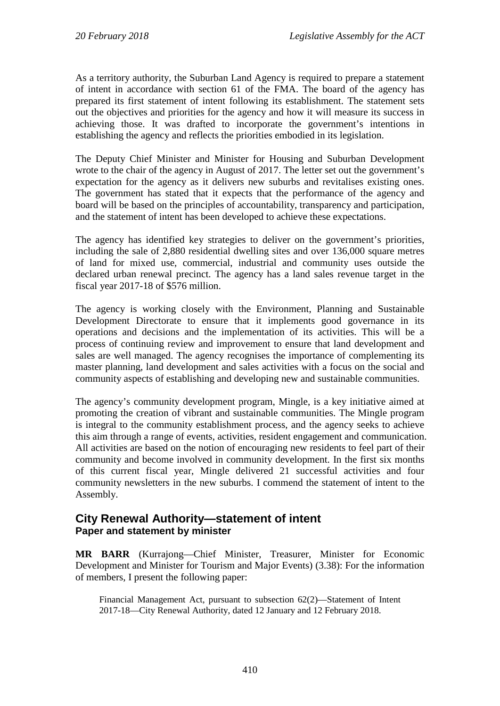As a territory authority, the Suburban Land Agency is required to prepare a statement of intent in accordance with section 61 of the FMA. The board of the agency has prepared its first statement of intent following its establishment. The statement sets out the objectives and priorities for the agency and how it will measure its success in achieving those. It was drafted to incorporate the government's intentions in establishing the agency and reflects the priorities embodied in its legislation.

The Deputy Chief Minister and Minister for Housing and Suburban Development wrote to the chair of the agency in August of 2017. The letter set out the government's expectation for the agency as it delivers new suburbs and revitalises existing ones. The government has stated that it expects that the performance of the agency and board will be based on the principles of accountability, transparency and participation, and the statement of intent has been developed to achieve these expectations.

The agency has identified key strategies to deliver on the government's priorities, including the sale of 2,880 residential dwelling sites and over 136,000 square metres of land for mixed use, commercial, industrial and community uses outside the declared urban renewal precinct. The agency has a land sales revenue target in the fiscal year 2017-18 of \$576 million.

The agency is working closely with the Environment, Planning and Sustainable Development Directorate to ensure that it implements good governance in its operations and decisions and the implementation of its activities. This will be a process of continuing review and improvement to ensure that land development and sales are well managed. The agency recognises the importance of complementing its master planning, land development and sales activities with a focus on the social and community aspects of establishing and developing new and sustainable communities.

The agency's community development program, Mingle, is a key initiative aimed at promoting the creation of vibrant and sustainable communities. The Mingle program is integral to the community establishment process, and the agency seeks to achieve this aim through a range of events, activities, resident engagement and communication. All activities are based on the notion of encouraging new residents to feel part of their community and become involved in community development. In the first six months of this current fiscal year, Mingle delivered 21 successful activities and four community newsletters in the new suburbs. I commend the statement of intent to the Assembly.

## **City Renewal Authority—statement of intent Paper and statement by minister**

**MR BARR** (Kurrajong—Chief Minister, Treasurer, Minister for Economic Development and Minister for Tourism and Major Events) (3.38): For the information of members, I present the following paper:

Financial Management Act, pursuant to subsection 62(2)—Statement of Intent 2017-18—City Renewal Authority, dated 12 January and 12 February 2018.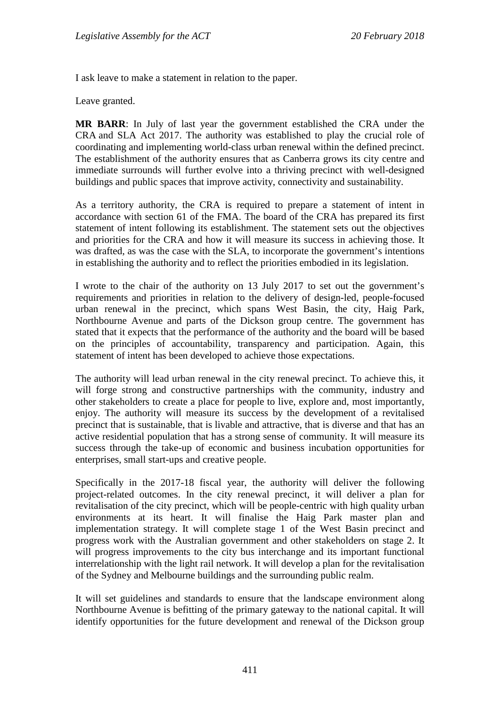I ask leave to make a statement in relation to the paper.

Leave granted.

**MR BARR**: In July of last year the government established the CRA under the CRA and SLA Act 2017. The authority was established to play the crucial role of coordinating and implementing world-class urban renewal within the defined precinct. The establishment of the authority ensures that as Canberra grows its city centre and immediate surrounds will further evolve into a thriving precinct with well-designed buildings and public spaces that improve activity, connectivity and sustainability.

As a territory authority, the CRA is required to prepare a statement of intent in accordance with section 61 of the FMA. The board of the CRA has prepared its first statement of intent following its establishment. The statement sets out the objectives and priorities for the CRA and how it will measure its success in achieving those. It was drafted, as was the case with the SLA, to incorporate the government's intentions in establishing the authority and to reflect the priorities embodied in its legislation.

I wrote to the chair of the authority on 13 July 2017 to set out the government's requirements and priorities in relation to the delivery of design-led, people-focused urban renewal in the precinct, which spans West Basin, the city, Haig Park, Northbourne Avenue and parts of the Dickson group centre. The government has stated that it expects that the performance of the authority and the board will be based on the principles of accountability, transparency and participation. Again, this statement of intent has been developed to achieve those expectations.

The authority will lead urban renewal in the city renewal precinct. To achieve this, it will forge strong and constructive partnerships with the community, industry and other stakeholders to create a place for people to live, explore and, most importantly, enjoy. The authority will measure its success by the development of a revitalised precinct that is sustainable, that is livable and attractive, that is diverse and that has an active residential population that has a strong sense of community. It will measure its success through the take-up of economic and business incubation opportunities for enterprises, small start-ups and creative people.

Specifically in the 2017-18 fiscal year, the authority will deliver the following project-related outcomes. In the city renewal precinct, it will deliver a plan for revitalisation of the city precinct, which will be people-centric with high quality urban environments at its heart. It will finalise the Haig Park master plan and implementation strategy. It will complete stage 1 of the West Basin precinct and progress work with the Australian government and other stakeholders on stage 2. It will progress improvements to the city bus interchange and its important functional interrelationship with the light rail network. It will develop a plan for the revitalisation of the Sydney and Melbourne buildings and the surrounding public realm.

It will set guidelines and standards to ensure that the landscape environment along Northbourne Avenue is befitting of the primary gateway to the national capital. It will identify opportunities for the future development and renewal of the Dickson group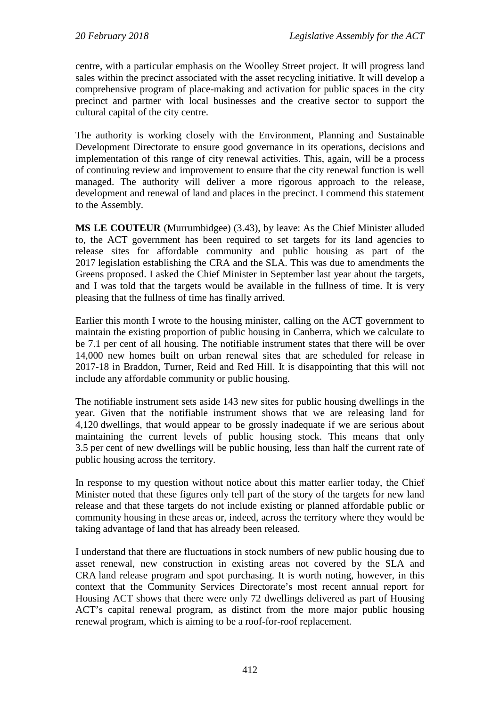centre, with a particular emphasis on the Woolley Street project. It will progress land sales within the precinct associated with the asset recycling initiative. It will develop a comprehensive program of place-making and activation for public spaces in the city precinct and partner with local businesses and the creative sector to support the cultural capital of the city centre.

The authority is working closely with the Environment, Planning and Sustainable Development Directorate to ensure good governance in its operations, decisions and implementation of this range of city renewal activities. This, again, will be a process of continuing review and improvement to ensure that the city renewal function is well managed. The authority will deliver a more rigorous approach to the release, development and renewal of land and places in the precinct. I commend this statement to the Assembly.

**MS LE COUTEUR** (Murrumbidgee) (3.43), by leave: As the Chief Minister alluded to, the ACT government has been required to set targets for its land agencies to release sites for affordable community and public housing as part of the 2017 legislation establishing the CRA and the SLA. This was due to amendments the Greens proposed. I asked the Chief Minister in September last year about the targets, and I was told that the targets would be available in the fullness of time. It is very pleasing that the fullness of time has finally arrived.

Earlier this month I wrote to the housing minister, calling on the ACT government to maintain the existing proportion of public housing in Canberra, which we calculate to be 7.1 per cent of all housing. The notifiable instrument states that there will be over 14,000 new homes built on urban renewal sites that are scheduled for release in 2017-18 in Braddon, Turner, Reid and Red Hill. It is disappointing that this will not include any affordable community or public housing.

The notifiable instrument sets aside 143 new sites for public housing dwellings in the year. Given that the notifiable instrument shows that we are releasing land for 4,120 dwellings, that would appear to be grossly inadequate if we are serious about maintaining the current levels of public housing stock. This means that only 3.5 per cent of new dwellings will be public housing, less than half the current rate of public housing across the territory.

In response to my question without notice about this matter earlier today, the Chief Minister noted that these figures only tell part of the story of the targets for new land release and that these targets do not include existing or planned affordable public or community housing in these areas or, indeed, across the territory where they would be taking advantage of land that has already been released.

I understand that there are fluctuations in stock numbers of new public housing due to asset renewal, new construction in existing areas not covered by the SLA and CRA land release program and spot purchasing. It is worth noting, however, in this context that the Community Services Directorate's most recent annual report for Housing ACT shows that there were only 72 dwellings delivered as part of Housing ACT's capital renewal program, as distinct from the more major public housing renewal program, which is aiming to be a roof-for-roof replacement.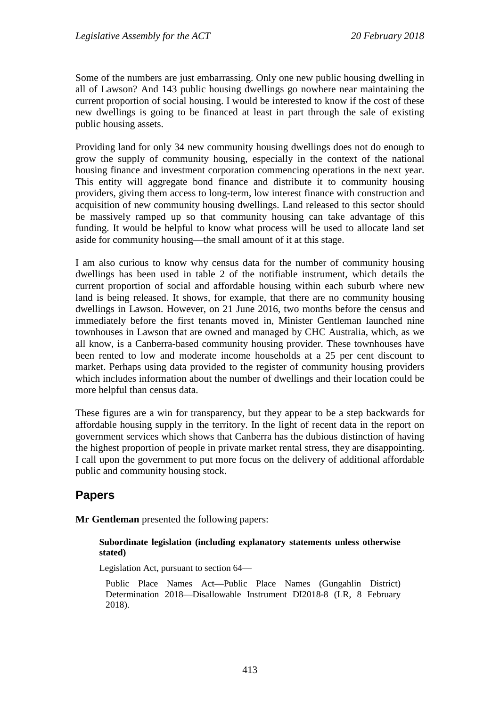Some of the numbers are just embarrassing. Only one new public housing dwelling in all of Lawson? And 143 public housing dwellings go nowhere near maintaining the current proportion of social housing. I would be interested to know if the cost of these new dwellings is going to be financed at least in part through the sale of existing public housing assets.

Providing land for only 34 new community housing dwellings does not do enough to grow the supply of community housing, especially in the context of the national housing finance and investment corporation commencing operations in the next year. This entity will aggregate bond finance and distribute it to community housing providers, giving them access to long-term, low interest finance with construction and acquisition of new community housing dwellings. Land released to this sector should be massively ramped up so that community housing can take advantage of this funding. It would be helpful to know what process will be used to allocate land set aside for community housing—the small amount of it at this stage.

I am also curious to know why census data for the number of community housing dwellings has been used in table 2 of the notifiable instrument, which details the current proportion of social and affordable housing within each suburb where new land is being released. It shows, for example, that there are no community housing dwellings in Lawson. However, on 21 June 2016, two months before the census and immediately before the first tenants moved in, Minister Gentleman launched nine townhouses in Lawson that are owned and managed by CHC Australia, which, as we all know, is a Canberra-based community housing provider. These townhouses have been rented to low and moderate income households at a 25 per cent discount to market. Perhaps using data provided to the register of community housing providers which includes information about the number of dwellings and their location could be more helpful than census data.

These figures are a win for transparency, but they appear to be a step backwards for affordable housing supply in the territory. In the light of recent data in the report on government services which shows that Canberra has the dubious distinction of having the highest proportion of people in private market rental stress, they are disappointing. I call upon the government to put more focus on the delivery of additional affordable public and community housing stock.

# **Papers**

**Mr Gentleman** presented the following papers:

#### **Subordinate legislation (including explanatory statements unless otherwise stated)**

Legislation Act, pursuant to section 64—

Public Place Names Act—Public Place Names (Gungahlin District) Determination 2018—Disallowable Instrument DI2018-8 (LR, 8 February 2018).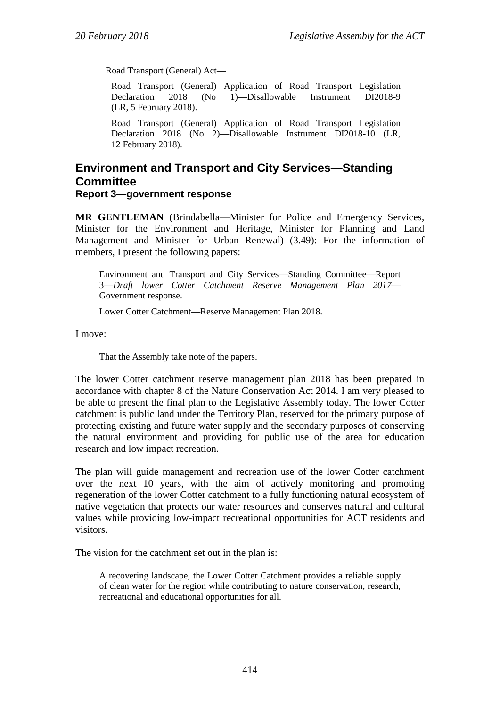Road Transport (General) Act—

Road Transport (General) Application of Road Transport Legislation 1)—Disallowable (LR, 5 February 2018).

Road Transport (General) Application of Road Transport Legislation Declaration 2018 (No 2)—Disallowable Instrument DI2018-10 (LR, 12 February 2018).

## **Environment and Transport and City Services—Standing Committee Report 3—government response**

**MR GENTLEMAN** (Brindabella—Minister for Police and Emergency Services, Minister for the Environment and Heritage, Minister for Planning and Land Management and Minister for Urban Renewal) (3.49): For the information of members, I present the following papers:

Environment and Transport and City Services—Standing Committee—Report 3—*Draft lower Cotter Catchment Reserve Management Plan 2017*— Government response.

Lower Cotter Catchment—Reserve Management Plan 2018.

I move:

That the Assembly take note of the papers.

The lower Cotter catchment reserve management plan 2018 has been prepared in accordance with chapter 8 of the Nature Conservation Act 2014. I am very pleased to be able to present the final plan to the Legislative Assembly today. The lower Cotter catchment is public land under the Territory Plan, reserved for the primary purpose of protecting existing and future water supply and the secondary purposes of conserving the natural environment and providing for public use of the area for education research and low impact recreation.

The plan will guide management and recreation use of the lower Cotter catchment over the next 10 years, with the aim of actively monitoring and promoting regeneration of the lower Cotter catchment to a fully functioning natural ecosystem of native vegetation that protects our water resources and conserves natural and cultural values while providing low-impact recreational opportunities for ACT residents and visitors.

The vision for the catchment set out in the plan is:

A recovering landscape, the Lower Cotter Catchment provides a reliable supply of clean water for the region while contributing to nature conservation, research, recreational and educational opportunities for all.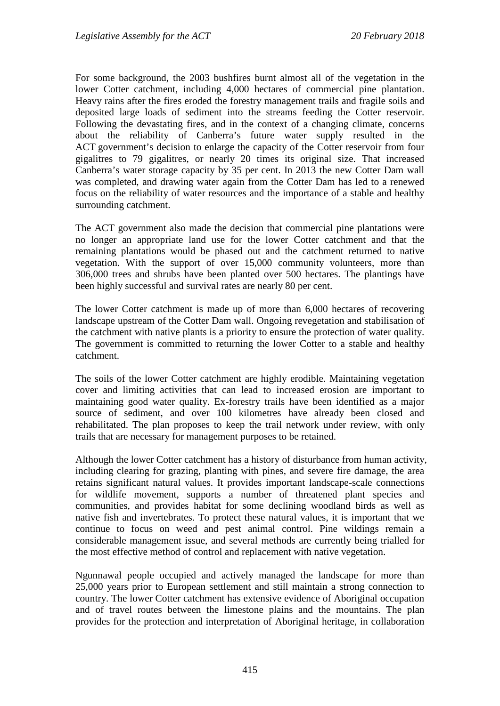For some background, the 2003 bushfires burnt almost all of the vegetation in the lower Cotter catchment, including 4,000 hectares of commercial pine plantation. Heavy rains after the fires eroded the forestry management trails and fragile soils and deposited large loads of sediment into the streams feeding the Cotter reservoir. Following the devastating fires, and in the context of a changing climate, concerns about the reliability of Canberra's future water supply resulted in the ACT government's decision to enlarge the capacity of the Cotter reservoir from four gigalitres to 79 gigalitres, or nearly 20 times its original size. That increased Canberra's water storage capacity by 35 per cent. In 2013 the new Cotter Dam wall was completed, and drawing water again from the Cotter Dam has led to a renewed focus on the reliability of water resources and the importance of a stable and healthy surrounding catchment.

The ACT government also made the decision that commercial pine plantations were no longer an appropriate land use for the lower Cotter catchment and that the remaining plantations would be phased out and the catchment returned to native vegetation. With the support of over 15,000 community volunteers, more than 306,000 trees and shrubs have been planted over 500 hectares. The plantings have been highly successful and survival rates are nearly 80 per cent.

The lower Cotter catchment is made up of more than 6,000 hectares of recovering landscape upstream of the Cotter Dam wall. Ongoing revegetation and stabilisation of the catchment with native plants is a priority to ensure the protection of water quality. The government is committed to returning the lower Cotter to a stable and healthy catchment.

The soils of the lower Cotter catchment are highly erodible. Maintaining vegetation cover and limiting activities that can lead to increased erosion are important to maintaining good water quality. Ex-forestry trails have been identified as a major source of sediment, and over 100 kilometres have already been closed and rehabilitated. The plan proposes to keep the trail network under review, with only trails that are necessary for management purposes to be retained.

Although the lower Cotter catchment has a history of disturbance from human activity, including clearing for grazing, planting with pines, and severe fire damage, the area retains significant natural values. It provides important landscape-scale connections for wildlife movement, supports a number of threatened plant species and communities, and provides habitat for some declining woodland birds as well as native fish and invertebrates. To protect these natural values, it is important that we continue to focus on weed and pest animal control. Pine wildings remain a considerable management issue, and several methods are currently being trialled for the most effective method of control and replacement with native vegetation.

Ngunnawal people occupied and actively managed the landscape for more than 25,000 years prior to European settlement and still maintain a strong connection to country. The lower Cotter catchment has extensive evidence of Aboriginal occupation and of travel routes between the limestone plains and the mountains. The plan provides for the protection and interpretation of Aboriginal heritage, in collaboration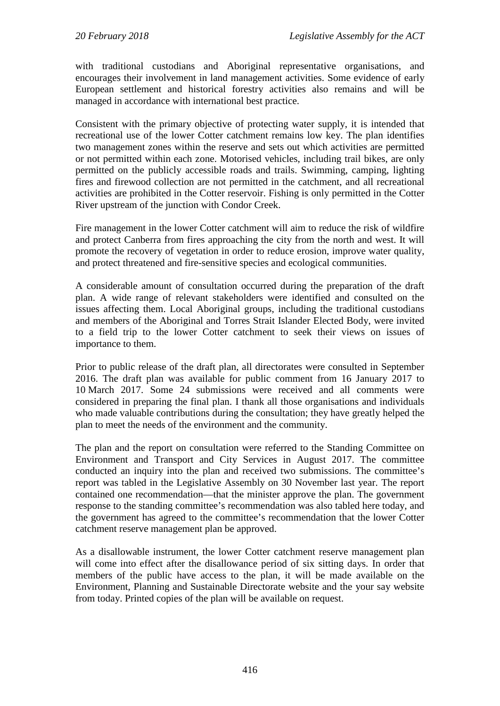with traditional custodians and Aboriginal representative organisations, and encourages their involvement in land management activities. Some evidence of early European settlement and historical forestry activities also remains and will be managed in accordance with international best practice.

Consistent with the primary objective of protecting water supply, it is intended that recreational use of the lower Cotter catchment remains low key. The plan identifies two management zones within the reserve and sets out which activities are permitted or not permitted within each zone. Motorised vehicles, including trail bikes, are only permitted on the publicly accessible roads and trails. Swimming, camping, lighting fires and firewood collection are not permitted in the catchment, and all recreational activities are prohibited in the Cotter reservoir. Fishing is only permitted in the Cotter River upstream of the junction with Condor Creek.

Fire management in the lower Cotter catchment will aim to reduce the risk of wildfire and protect Canberra from fires approaching the city from the north and west. It will promote the recovery of vegetation in order to reduce erosion, improve water quality, and protect threatened and fire-sensitive species and ecological communities.

A considerable amount of consultation occurred during the preparation of the draft plan. A wide range of relevant stakeholders were identified and consulted on the issues affecting them. Local Aboriginal groups, including the traditional custodians and members of the Aboriginal and Torres Strait Islander Elected Body, were invited to a field trip to the lower Cotter catchment to seek their views on issues of importance to them.

Prior to public release of the draft plan, all directorates were consulted in September 2016. The draft plan was available for public comment from 16 January 2017 to 10 March 2017. Some 24 submissions were received and all comments were considered in preparing the final plan. I thank all those organisations and individuals who made valuable contributions during the consultation; they have greatly helped the plan to meet the needs of the environment and the community.

The plan and the report on consultation were referred to the Standing Committee on Environment and Transport and City Services in August 2017. The committee conducted an inquiry into the plan and received two submissions. The committee's report was tabled in the Legislative Assembly on 30 November last year. The report contained one recommendation—that the minister approve the plan. The government response to the standing committee's recommendation was also tabled here today, and the government has agreed to the committee's recommendation that the lower Cotter catchment reserve management plan be approved.

As a disallowable instrument, the lower Cotter catchment reserve management plan will come into effect after the disallowance period of six sitting days. In order that members of the public have access to the plan, it will be made available on the Environment, Planning and Sustainable Directorate website and the your say website from today. Printed copies of the plan will be available on request.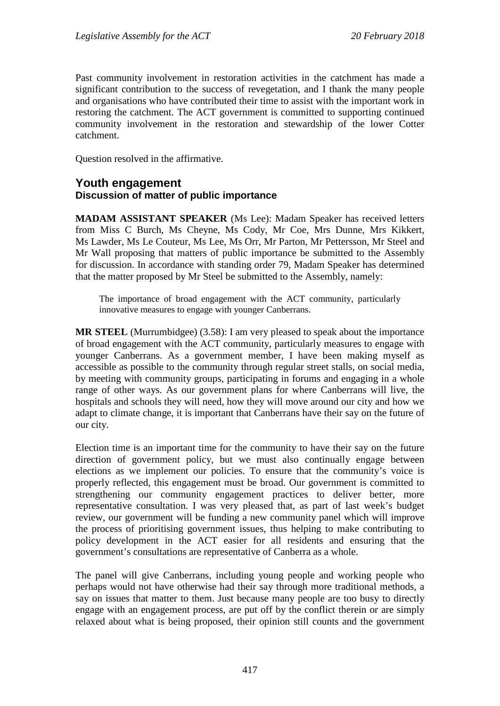Past community involvement in restoration activities in the catchment has made a significant contribution to the success of revegetation, and I thank the many people and organisations who have contributed their time to assist with the important work in restoring the catchment. The ACT government is committed to supporting continued community involvement in the restoration and stewardship of the lower Cotter catchment.

Question resolved in the affirmative.

### **Youth engagement Discussion of matter of public importance**

**MADAM ASSISTANT SPEAKER** (Ms Lee): Madam Speaker has received letters from Miss C Burch, Ms Cheyne, Ms Cody, Mr Coe, Mrs Dunne, Mrs Kikkert, Ms Lawder, Ms Le Couteur, Ms Lee, Ms Orr, Mr Parton, Mr Pettersson, Mr Steel and Mr Wall proposing that matters of public importance be submitted to the Assembly for discussion. In accordance with standing order 79, Madam Speaker has determined that the matter proposed by Mr Steel be submitted to the Assembly, namely:

The importance of broad engagement with the ACT community, particularly innovative measures to engage with younger Canberrans.

**MR STEEL** (Murrumbidgee) (3.58): I am very pleased to speak about the importance of broad engagement with the ACT community, particularly measures to engage with younger Canberrans. As a government member, I have been making myself as accessible as possible to the community through regular street stalls, on social media, by meeting with community groups, participating in forums and engaging in a whole range of other ways. As our government plans for where Canberrans will live, the hospitals and schools they will need, how they will move around our city and how we adapt to climate change, it is important that Canberrans have their say on the future of our city.

Election time is an important time for the community to have their say on the future direction of government policy, but we must also continually engage between elections as we implement our policies. To ensure that the community's voice is properly reflected, this engagement must be broad. Our government is committed to strengthening our community engagement practices to deliver better, more representative consultation. I was very pleased that, as part of last week's budget review, our government will be funding a new community panel which will improve the process of prioritising government issues, thus helping to make contributing to policy development in the ACT easier for all residents and ensuring that the government's consultations are representative of Canberra as a whole.

The panel will give Canberrans, including young people and working people who perhaps would not have otherwise had their say through more traditional methods, a say on issues that matter to them. Just because many people are too busy to directly engage with an engagement process, are put off by the conflict therein or are simply relaxed about what is being proposed, their opinion still counts and the government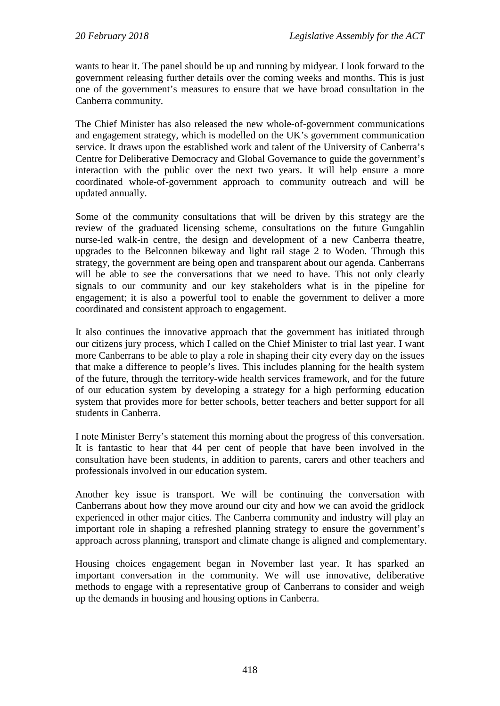wants to hear it. The panel should be up and running by midyear. I look forward to the government releasing further details over the coming weeks and months. This is just one of the government's measures to ensure that we have broad consultation in the Canberra community.

The Chief Minister has also released the new whole-of-government communications and engagement strategy, which is modelled on the UK's government communication service. It draws upon the established work and talent of the University of Canberra's Centre for Deliberative Democracy and Global Governance to guide the government's interaction with the public over the next two years. It will help ensure a more coordinated whole-of-government approach to community outreach and will be updated annually.

Some of the community consultations that will be driven by this strategy are the review of the graduated licensing scheme, consultations on the future Gungahlin nurse-led walk-in centre, the design and development of a new Canberra theatre, upgrades to the Belconnen bikeway and light rail stage 2 to Woden. Through this strategy, the government are being open and transparent about our agenda. Canberrans will be able to see the conversations that we need to have. This not only clearly signals to our community and our key stakeholders what is in the pipeline for engagement; it is also a powerful tool to enable the government to deliver a more coordinated and consistent approach to engagement.

It also continues the innovative approach that the government has initiated through our citizens jury process, which I called on the Chief Minister to trial last year. I want more Canberrans to be able to play a role in shaping their city every day on the issues that make a difference to people's lives. This includes planning for the health system of the future, through the territory-wide health services framework, and for the future of our education system by developing a strategy for a high performing education system that provides more for better schools, better teachers and better support for all students in Canberra.

I note Minister Berry's statement this morning about the progress of this conversation. It is fantastic to hear that 44 per cent of people that have been involved in the consultation have been students, in addition to parents, carers and other teachers and professionals involved in our education system.

Another key issue is transport. We will be continuing the conversation with Canberrans about how they move around our city and how we can avoid the gridlock experienced in other major cities. The Canberra community and industry will play an important role in shaping a refreshed planning strategy to ensure the government's approach across planning, transport and climate change is aligned and complementary.

Housing choices engagement began in November last year. It has sparked an important conversation in the community. We will use innovative, deliberative methods to engage with a representative group of Canberrans to consider and weigh up the demands in housing and housing options in Canberra.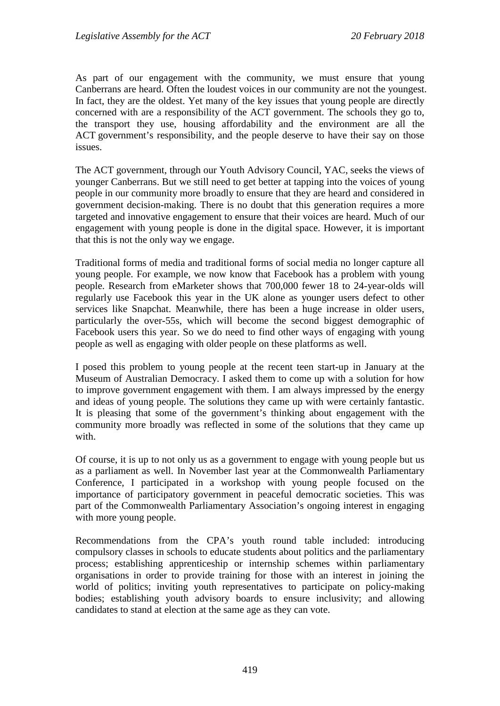As part of our engagement with the community, we must ensure that young Canberrans are heard. Often the loudest voices in our community are not the youngest. In fact, they are the oldest. Yet many of the key issues that young people are directly concerned with are a responsibility of the ACT government. The schools they go to, the transport they use, housing affordability and the environment are all the ACT government's responsibility, and the people deserve to have their say on those issues.

The ACT government, through our Youth Advisory Council, YAC, seeks the views of younger Canberrans. But we still need to get better at tapping into the voices of young people in our community more broadly to ensure that they are heard and considered in government decision-making. There is no doubt that this generation requires a more targeted and innovative engagement to ensure that their voices are heard. Much of our engagement with young people is done in the digital space. However, it is important that this is not the only way we engage.

Traditional forms of media and traditional forms of social media no longer capture all young people. For example, we now know that Facebook has a problem with young people. Research from eMarketer shows that 700,000 fewer 18 to 24-year-olds will regularly use Facebook this year in the UK alone as younger users defect to other services like Snapchat. Meanwhile, there has been a huge increase in older users, particularly the over-55s, which will become the second biggest demographic of Facebook users this year. So we do need to find other ways of engaging with young people as well as engaging with older people on these platforms as well.

I posed this problem to young people at the recent teen start-up in January at the Museum of Australian Democracy. I asked them to come up with a solution for how to improve government engagement with them. I am always impressed by the energy and ideas of young people. The solutions they came up with were certainly fantastic. It is pleasing that some of the government's thinking about engagement with the community more broadly was reflected in some of the solutions that they came up with.

Of course, it is up to not only us as a government to engage with young people but us as a parliament as well. In November last year at the Commonwealth Parliamentary Conference, I participated in a workshop with young people focused on the importance of participatory government in peaceful democratic societies. This was part of the Commonwealth Parliamentary Association's ongoing interest in engaging with more young people.

Recommendations from the CPA's youth round table included: introducing compulsory classes in schools to educate students about politics and the parliamentary process; establishing apprenticeship or internship schemes within parliamentary organisations in order to provide training for those with an interest in joining the world of politics; inviting youth representatives to participate on policy-making bodies; establishing youth advisory boards to ensure inclusivity; and allowing candidates to stand at election at the same age as they can vote.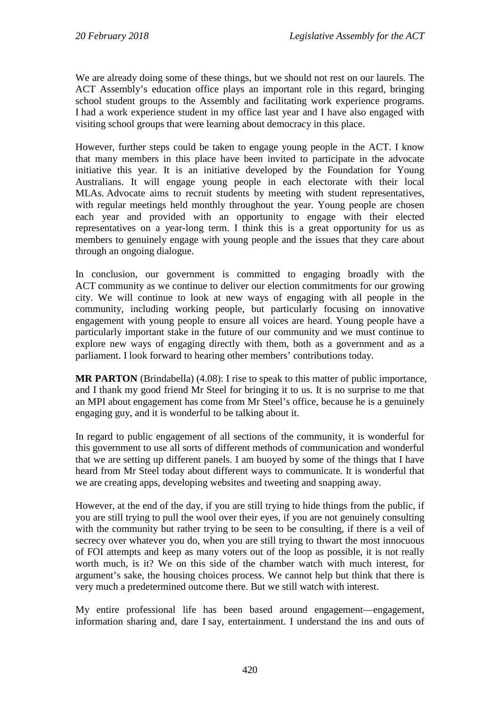We are already doing some of these things, but we should not rest on our laurels. The ACT Assembly's education office plays an important role in this regard, bringing school student groups to the Assembly and facilitating work experience programs. I had a work experience student in my office last year and I have also engaged with visiting school groups that were learning about democracy in this place.

However, further steps could be taken to engage young people in the ACT. I know that many members in this place have been invited to participate in the advocate initiative this year. It is an initiative developed by the Foundation for Young Australians. It will engage young people in each electorate with their local MLAs. Advocate aims to recruit students by meeting with student representatives, with regular meetings held monthly throughout the year. Young people are chosen each year and provided with an opportunity to engage with their elected representatives on a year-long term. I think this is a great opportunity for us as members to genuinely engage with young people and the issues that they care about through an ongoing dialogue.

In conclusion, our government is committed to engaging broadly with the ACT community as we continue to deliver our election commitments for our growing city. We will continue to look at new ways of engaging with all people in the community, including working people, but particularly focusing on innovative engagement with young people to ensure all voices are heard. Young people have a particularly important stake in the future of our community and we must continue to explore new ways of engaging directly with them, both as a government and as a parliament. I look forward to hearing other members' contributions today.

**MR PARTON** (Brindabella) (4.08): I rise to speak to this matter of public importance, and I thank my good friend Mr Steel for bringing it to us. It is no surprise to me that an MPI about engagement has come from Mr Steel's office, because he is a genuinely engaging guy, and it is wonderful to be talking about it.

In regard to public engagement of all sections of the community, it is wonderful for this government to use all sorts of different methods of communication and wonderful that we are setting up different panels. I am buoyed by some of the things that I have heard from Mr Steel today about different ways to communicate. It is wonderful that we are creating apps, developing websites and tweeting and snapping away.

However, at the end of the day, if you are still trying to hide things from the public, if you are still trying to pull the wool over their eyes, if you are not genuinely consulting with the community but rather trying to be seen to be consulting, if there is a veil of secrecy over whatever you do, when you are still trying to thwart the most innocuous of FOI attempts and keep as many voters out of the loop as possible, it is not really worth much, is it? We on this side of the chamber watch with much interest, for argument's sake, the housing choices process. We cannot help but think that there is very much a predetermined outcome there. But we still watch with interest.

My entire professional life has been based around engagement—engagement, information sharing and, dare I say, entertainment. I understand the ins and outs of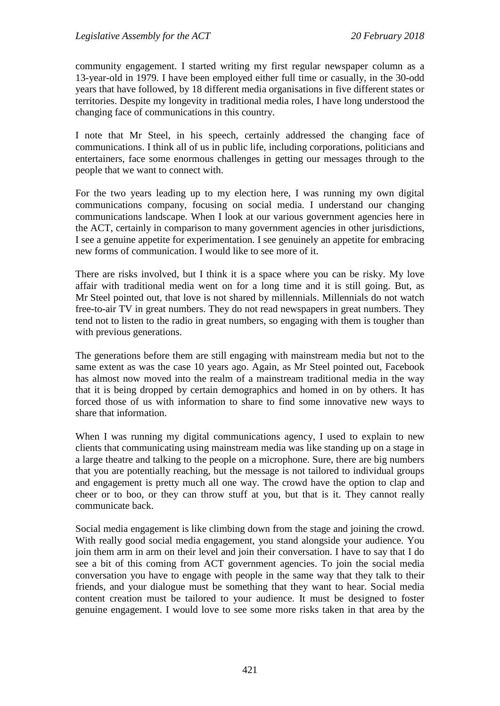community engagement. I started writing my first regular newspaper column as a 13-year-old in 1979. I have been employed either full time or casually, in the 30-odd years that have followed, by 18 different media organisations in five different states or territories. Despite my longevity in traditional media roles, I have long understood the changing face of communications in this country.

I note that Mr Steel, in his speech, certainly addressed the changing face of communications. I think all of us in public life, including corporations, politicians and entertainers, face some enormous challenges in getting our messages through to the people that we want to connect with.

For the two years leading up to my election here, I was running my own digital communications company, focusing on social media. I understand our changing communications landscape. When I look at our various government agencies here in the ACT, certainly in comparison to many government agencies in other jurisdictions, I see a genuine appetite for experimentation. I see genuinely an appetite for embracing new forms of communication. I would like to see more of it.

There are risks involved, but I think it is a space where you can be risky. My love affair with traditional media went on for a long time and it is still going. But, as Mr Steel pointed out, that love is not shared by millennials. Millennials do not watch free-to-air TV in great numbers. They do not read newspapers in great numbers. They tend not to listen to the radio in great numbers, so engaging with them is tougher than with previous generations.

The generations before them are still engaging with mainstream media but not to the same extent as was the case 10 years ago. Again, as Mr Steel pointed out, Facebook has almost now moved into the realm of a mainstream traditional media in the way that it is being dropped by certain demographics and homed in on by others. It has forced those of us with information to share to find some innovative new ways to share that information.

When I was running my digital communications agency, I used to explain to new clients that communicating using mainstream media was like standing up on a stage in a large theatre and talking to the people on a microphone. Sure, there are big numbers that you are potentially reaching, but the message is not tailored to individual groups and engagement is pretty much all one way. The crowd have the option to clap and cheer or to boo, or they can throw stuff at you, but that is it. They cannot really communicate back.

Social media engagement is like climbing down from the stage and joining the crowd. With really good social media engagement, you stand alongside your audience. You join them arm in arm on their level and join their conversation. I have to say that I do see a bit of this coming from ACT government agencies. To join the social media conversation you have to engage with people in the same way that they talk to their friends, and your dialogue must be something that they want to hear. Social media content creation must be tailored to your audience. It must be designed to foster genuine engagement. I would love to see some more risks taken in that area by the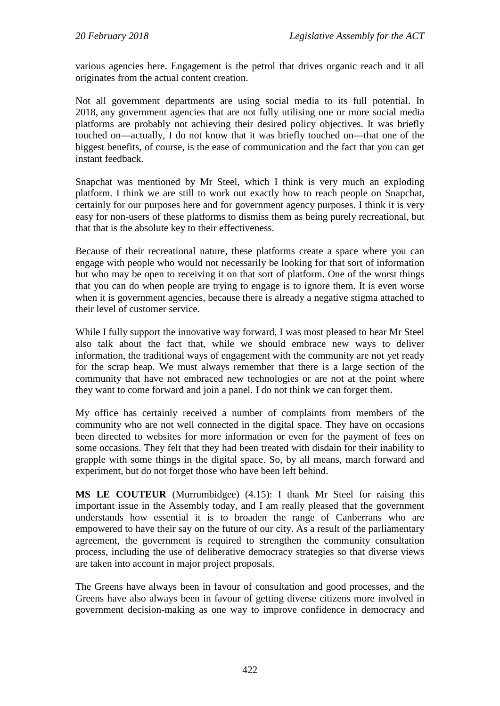various agencies here. Engagement is the petrol that drives organic reach and it all originates from the actual content creation.

Not all government departments are using social media to its full potential. In 2018, any government agencies that are not fully utilising one or more social media platforms are probably not achieving their desired policy objectives. It was briefly touched on—actually, I do not know that it was briefly touched on—that one of the biggest benefits, of course, is the ease of communication and the fact that you can get instant feedback.

Snapchat was mentioned by Mr Steel, which I think is very much an exploding platform. I think we are still to work out exactly how to reach people on Snapchat, certainly for our purposes here and for government agency purposes. I think it is very easy for non-users of these platforms to dismiss them as being purely recreational, but that that is the absolute key to their effectiveness.

Because of their recreational nature, these platforms create a space where you can engage with people who would not necessarily be looking for that sort of information but who may be open to receiving it on that sort of platform. One of the worst things that you can do when people are trying to engage is to ignore them. It is even worse when it is government agencies, because there is already a negative stigma attached to their level of customer service.

While I fully support the innovative way forward, I was most pleased to hear Mr Steel also talk about the fact that, while we should embrace new ways to deliver information, the traditional ways of engagement with the community are not yet ready for the scrap heap. We must always remember that there is a large section of the community that have not embraced new technologies or are not at the point where they want to come forward and join a panel. I do not think we can forget them.

My office has certainly received a number of complaints from members of the community who are not well connected in the digital space. They have on occasions been directed to websites for more information or even for the payment of fees on some occasions. They felt that they had been treated with disdain for their inability to grapple with some things in the digital space. So, by all means, march forward and experiment, but do not forget those who have been left behind.

**MS LE COUTEUR** (Murrumbidgee) (4.15): I thank Mr Steel for raising this important issue in the Assembly today, and I am really pleased that the government understands how essential it is to broaden the range of Canberrans who are empowered to have their say on the future of our city. As a result of the parliamentary agreement, the government is required to strengthen the community consultation process, including the use of deliberative democracy strategies so that diverse views are taken into account in major project proposals.

The Greens have always been in favour of consultation and good processes, and the Greens have also always been in favour of getting diverse citizens more involved in government decision-making as one way to improve confidence in democracy and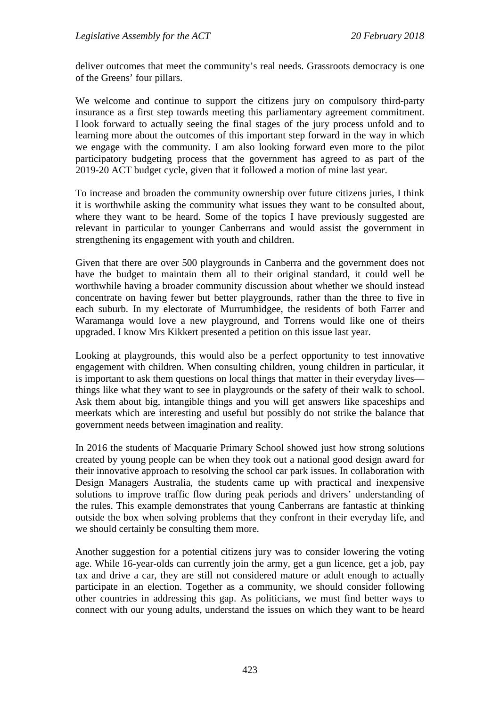deliver outcomes that meet the community's real needs. Grassroots democracy is one of the Greens' four pillars.

We welcome and continue to support the citizens jury on compulsory third-party insurance as a first step towards meeting this parliamentary agreement commitment. I look forward to actually seeing the final stages of the jury process unfold and to learning more about the outcomes of this important step forward in the way in which we engage with the community. I am also looking forward even more to the pilot participatory budgeting process that the government has agreed to as part of the 2019-20 ACT budget cycle, given that it followed a motion of mine last year.

To increase and broaden the community ownership over future citizens juries, I think it is worthwhile asking the community what issues they want to be consulted about, where they want to be heard. Some of the topics I have previously suggested are relevant in particular to younger Canberrans and would assist the government in strengthening its engagement with youth and children.

Given that there are over 500 playgrounds in Canberra and the government does not have the budget to maintain them all to their original standard, it could well be worthwhile having a broader community discussion about whether we should instead concentrate on having fewer but better playgrounds, rather than the three to five in each suburb. In my electorate of Murrumbidgee, the residents of both Farrer and Waramanga would love a new playground, and Torrens would like one of theirs upgraded. I know Mrs Kikkert presented a petition on this issue last year.

Looking at playgrounds, this would also be a perfect opportunity to test innovative engagement with children. When consulting children, young children in particular, it is important to ask them questions on local things that matter in their everyday lives things like what they want to see in playgrounds or the safety of their walk to school. Ask them about big, intangible things and you will get answers like spaceships and meerkats which are interesting and useful but possibly do not strike the balance that government needs between imagination and reality.

In 2016 the students of Macquarie Primary School showed just how strong solutions created by young people can be when they took out a national good design award for their innovative approach to resolving the school car park issues. In collaboration with Design Managers Australia, the students came up with practical and inexpensive solutions to improve traffic flow during peak periods and drivers' understanding of the rules. This example demonstrates that young Canberrans are fantastic at thinking outside the box when solving problems that they confront in their everyday life, and we should certainly be consulting them more.

Another suggestion for a potential citizens jury was to consider lowering the voting age. While 16-year-olds can currently join the army, get a gun licence, get a job, pay tax and drive a car, they are still not considered mature or adult enough to actually participate in an election. Together as a community, we should consider following other countries in addressing this gap. As politicians, we must find better ways to connect with our young adults, understand the issues on which they want to be heard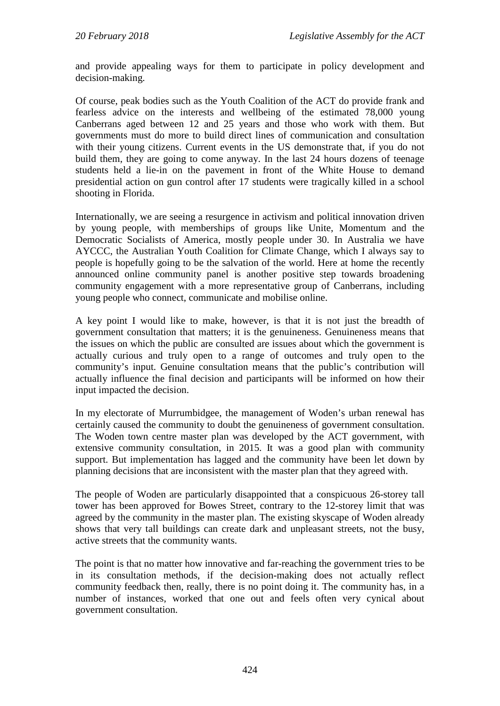and provide appealing ways for them to participate in policy development and decision-making.

Of course, peak bodies such as the Youth Coalition of the ACT do provide frank and fearless advice on the interests and wellbeing of the estimated 78,000 young Canberrans aged between 12 and 25 years and those who work with them. But governments must do more to build direct lines of communication and consultation with their young citizens. Current events in the US demonstrate that, if you do not build them, they are going to come anyway. In the last 24 hours dozens of teenage students held a lie-in on the pavement in front of the White House to demand presidential action on gun control after 17 students were tragically killed in a school shooting in Florida.

Internationally, we are seeing a resurgence in activism and political innovation driven by young people, with memberships of groups like Unite, Momentum and the Democratic Socialists of America, mostly people under 30. In Australia we have AYCCC, the Australian Youth Coalition for Climate Change, which I always say to people is hopefully going to be the salvation of the world. Here at home the recently announced online community panel is another positive step towards broadening community engagement with a more representative group of Canberrans, including young people who connect, communicate and mobilise online.

A key point I would like to make, however, is that it is not just the breadth of government consultation that matters; it is the genuineness. Genuineness means that the issues on which the public are consulted are issues about which the government is actually curious and truly open to a range of outcomes and truly open to the community's input. Genuine consultation means that the public's contribution will actually influence the final decision and participants will be informed on how their input impacted the decision.

In my electorate of Murrumbidgee, the management of Woden's urban renewal has certainly caused the community to doubt the genuineness of government consultation. The Woden town centre master plan was developed by the ACT government, with extensive community consultation, in 2015. It was a good plan with community support. But implementation has lagged and the community have been let down by planning decisions that are inconsistent with the master plan that they agreed with.

The people of Woden are particularly disappointed that a conspicuous 26-storey tall tower has been approved for Bowes Street, contrary to the 12-storey limit that was agreed by the community in the master plan. The existing skyscape of Woden already shows that very tall buildings can create dark and unpleasant streets, not the busy, active streets that the community wants.

The point is that no matter how innovative and far-reaching the government tries to be in its consultation methods, if the decision-making does not actually reflect community feedback then, really, there is no point doing it. The community has, in a number of instances, worked that one out and feels often very cynical about government consultation.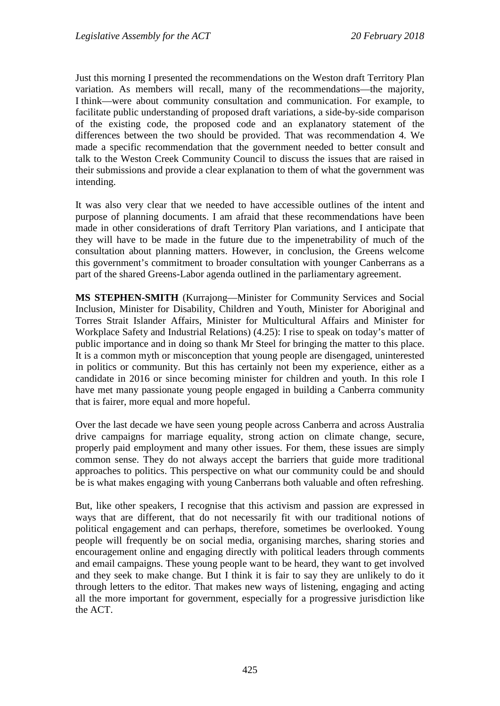Just this morning I presented the recommendations on the Weston draft Territory Plan variation. As members will recall, many of the recommendations—the majority, I think—were about community consultation and communication. For example, to facilitate public understanding of proposed draft variations, a side-by-side comparison of the existing code, the proposed code and an explanatory statement of the differences between the two should be provided. That was recommendation 4. We made a specific recommendation that the government needed to better consult and talk to the Weston Creek Community Council to discuss the issues that are raised in their submissions and provide a clear explanation to them of what the government was intending.

It was also very clear that we needed to have accessible outlines of the intent and purpose of planning documents. I am afraid that these recommendations have been made in other considerations of draft Territory Plan variations, and I anticipate that they will have to be made in the future due to the impenetrability of much of the consultation about planning matters. However, in conclusion, the Greens welcome this government's commitment to broader consultation with younger Canberrans as a part of the shared Greens-Labor agenda outlined in the parliamentary agreement.

**MS STEPHEN-SMITH** (Kurrajong—Minister for Community Services and Social Inclusion, Minister for Disability, Children and Youth, Minister for Aboriginal and Torres Strait Islander Affairs, Minister for Multicultural Affairs and Minister for Workplace Safety and Industrial Relations) (4.25): I rise to speak on today's matter of public importance and in doing so thank Mr Steel for bringing the matter to this place. It is a common myth or misconception that young people are disengaged, uninterested in politics or community. But this has certainly not been my experience, either as a candidate in 2016 or since becoming minister for children and youth. In this role I have met many passionate young people engaged in building a Canberra community that is fairer, more equal and more hopeful.

Over the last decade we have seen young people across Canberra and across Australia drive campaigns for marriage equality, strong action on climate change, secure, properly paid employment and many other issues. For them, these issues are simply common sense. They do not always accept the barriers that guide more traditional approaches to politics. This perspective on what our community could be and should be is what makes engaging with young Canberrans both valuable and often refreshing.

But, like other speakers, I recognise that this activism and passion are expressed in ways that are different, that do not necessarily fit with our traditional notions of political engagement and can perhaps, therefore, sometimes be overlooked. Young people will frequently be on social media, organising marches, sharing stories and encouragement online and engaging directly with political leaders through comments and email campaigns. These young people want to be heard, they want to get involved and they seek to make change. But I think it is fair to say they are unlikely to do it through letters to the editor. That makes new ways of listening, engaging and acting all the more important for government, especially for a progressive jurisdiction like the ACT.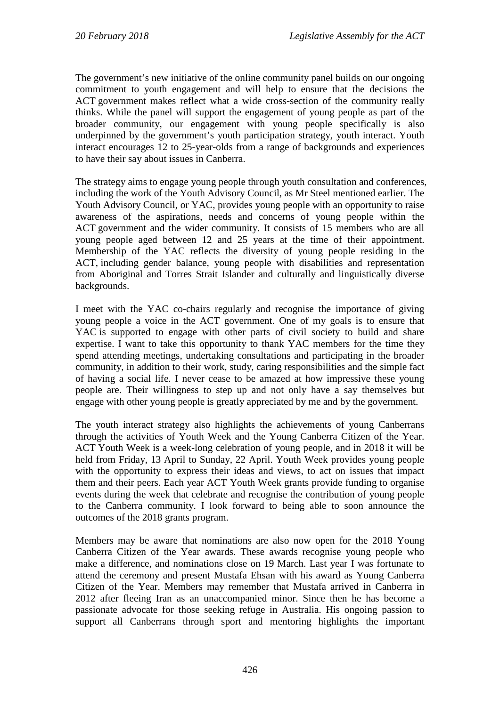The government's new initiative of the online community panel builds on our ongoing commitment to youth engagement and will help to ensure that the decisions the ACT government makes reflect what a wide cross-section of the community really thinks. While the panel will support the engagement of young people as part of the broader community, our engagement with young people specifically is also underpinned by the government's youth participation strategy, youth interact. Youth interact encourages 12 to 25-year-olds from a range of backgrounds and experiences to have their say about issues in Canberra.

The strategy aims to engage young people through youth consultation and conferences, including the work of the Youth Advisory Council, as Mr Steel mentioned earlier. The Youth Advisory Council, or YAC, provides young people with an opportunity to raise awareness of the aspirations, needs and concerns of young people within the ACT government and the wider community. It consists of 15 members who are all young people aged between 12 and 25 years at the time of their appointment. Membership of the YAC reflects the diversity of young people residing in the ACT, including gender balance, young people with disabilities and representation from Aboriginal and Torres Strait Islander and culturally and linguistically diverse backgrounds.

I meet with the YAC co-chairs regularly and recognise the importance of giving young people a voice in the ACT government. One of my goals is to ensure that YAC is supported to engage with other parts of civil society to build and share expertise. I want to take this opportunity to thank YAC members for the time they spend attending meetings, undertaking consultations and participating in the broader community, in addition to their work, study, caring responsibilities and the simple fact of having a social life. I never cease to be amazed at how impressive these young people are. Their willingness to step up and not only have a say themselves but engage with other young people is greatly appreciated by me and by the government.

The youth interact strategy also highlights the achievements of young Canberrans through the activities of Youth Week and the Young Canberra Citizen of the Year. ACT Youth Week is a week-long celebration of young people, and in 2018 it will be held from Friday, 13 April to Sunday, 22 April. Youth Week provides young people with the opportunity to express their ideas and views, to act on issues that impact them and their peers. Each year ACT Youth Week grants provide funding to organise events during the week that celebrate and recognise the contribution of young people to the Canberra community. I look forward to being able to soon announce the outcomes of the 2018 grants program.

Members may be aware that nominations are also now open for the 2018 Young Canberra Citizen of the Year awards. These awards recognise young people who make a difference, and nominations close on 19 March. Last year I was fortunate to attend the ceremony and present Mustafa Ehsan with his award as Young Canberra Citizen of the Year. Members may remember that Mustafa arrived in Canberra in 2012 after fleeing Iran as an unaccompanied minor. Since then he has become a passionate advocate for those seeking refuge in Australia. His ongoing passion to support all Canberrans through sport and mentoring highlights the important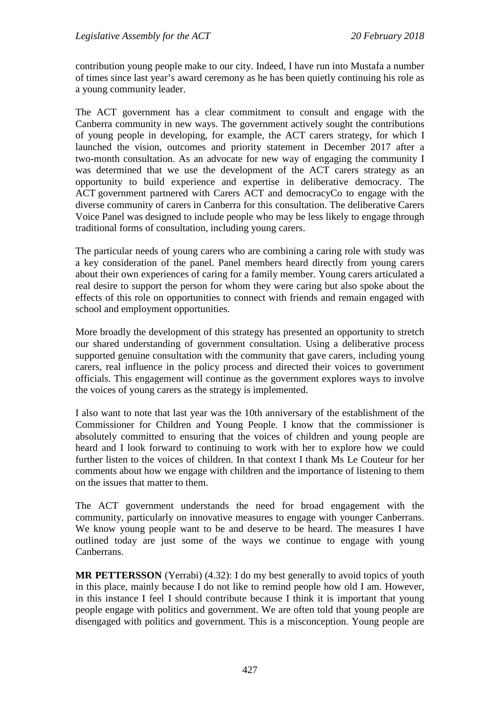contribution young people make to our city. Indeed, I have run into Mustafa a number of times since last year's award ceremony as he has been quietly continuing his role as a young community leader.

The ACT government has a clear commitment to consult and engage with the Canberra community in new ways. The government actively sought the contributions of young people in developing, for example, the ACT carers strategy, for which I launched the vision, outcomes and priority statement in December 2017 after a two-month consultation. As an advocate for new way of engaging the community I was determined that we use the development of the ACT carers strategy as an opportunity to build experience and expertise in deliberative democracy. The ACT government partnered with Carers ACT and democracyCo to engage with the diverse community of carers in Canberra for this consultation. The deliberative Carers Voice Panel was designed to include people who may be less likely to engage through traditional forms of consultation, including young carers.

The particular needs of young carers who are combining a caring role with study was a key consideration of the panel. Panel members heard directly from young carers about their own experiences of caring for a family member. Young carers articulated a real desire to support the person for whom they were caring but also spoke about the effects of this role on opportunities to connect with friends and remain engaged with school and employment opportunities.

More broadly the development of this strategy has presented an opportunity to stretch our shared understanding of government consultation. Using a deliberative process supported genuine consultation with the community that gave carers, including young carers, real influence in the policy process and directed their voices to government officials. This engagement will continue as the government explores ways to involve the voices of young carers as the strategy is implemented.

I also want to note that last year was the 10th anniversary of the establishment of the Commissioner for Children and Young People. I know that the commissioner is absolutely committed to ensuring that the voices of children and young people are heard and I look forward to continuing to work with her to explore how we could further listen to the voices of children. In that context I thank Ms Le Couteur for her comments about how we engage with children and the importance of listening to them on the issues that matter to them.

The ACT government understands the need for broad engagement with the community, particularly on innovative measures to engage with younger Canberrans. We know young people want to be and deserve to be heard. The measures I have outlined today are just some of the ways we continue to engage with young Canberrans.

**MR PETTERSSON** (Yerrabi) (4.32): I do my best generally to avoid topics of youth in this place, mainly because I do not like to remind people how old I am. However, in this instance I feel I should contribute because I think it is important that young people engage with politics and government. We are often told that young people are disengaged with politics and government. This is a misconception. Young people are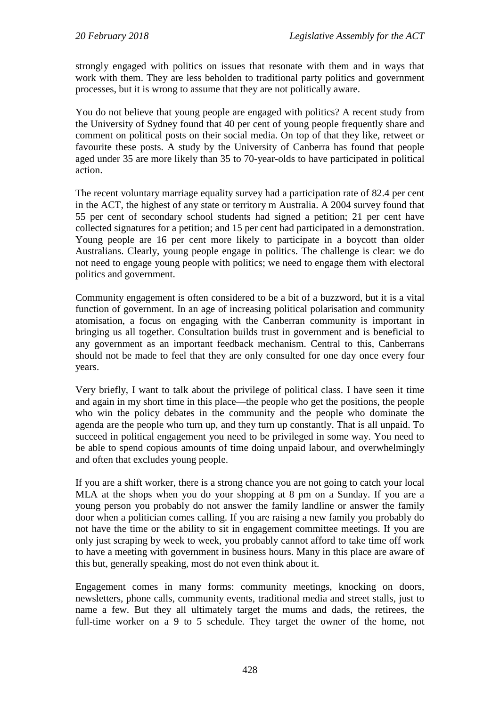strongly engaged with politics on issues that resonate with them and in ways that work with them. They are less beholden to traditional party politics and government processes, but it is wrong to assume that they are not politically aware.

You do not believe that young people are engaged with politics? A recent study from the University of Sydney found that 40 per cent of young people frequently share and comment on political posts on their social media. On top of that they like, retweet or favourite these posts. A study by the University of Canberra has found that people aged under 35 are more likely than 35 to 70-year-olds to have participated in political action.

The recent voluntary marriage equality survey had a participation rate of 82.4 per cent in the ACT, the highest of any state or territory m Australia. A 2004 survey found that 55 per cent of secondary school students had signed a petition; 21 per cent have collected signatures for a petition; and 15 per cent had participated in a demonstration. Young people are 16 per cent more likely to participate in a boycott than older Australians. Clearly, young people engage in politics. The challenge is clear: we do not need to engage young people with politics; we need to engage them with electoral politics and government.

Community engagement is often considered to be a bit of a buzzword, but it is a vital function of government. In an age of increasing political polarisation and community atomisation, a focus on engaging with the Canberran community is important in bringing us all together. Consultation builds trust in government and is beneficial to any government as an important feedback mechanism. Central to this, Canberrans should not be made to feel that they are only consulted for one day once every four years.

Very briefly, I want to talk about the privilege of political class. I have seen it time and again in my short time in this place—the people who get the positions, the people who win the policy debates in the community and the people who dominate the agenda are the people who turn up, and they turn up constantly. That is all unpaid. To succeed in political engagement you need to be privileged in some way. You need to be able to spend copious amounts of time doing unpaid labour, and overwhelmingly and often that excludes young people.

If you are a shift worker, there is a strong chance you are not going to catch your local MLA at the shops when you do your shopping at 8 pm on a Sunday. If you are a young person you probably do not answer the family landline or answer the family door when a politician comes calling. If you are raising a new family you probably do not have the time or the ability to sit in engagement committee meetings. If you are only just scraping by week to week, you probably cannot afford to take time off work to have a meeting with government in business hours. Many in this place are aware of this but, generally speaking, most do not even think about it.

Engagement comes in many forms: community meetings, knocking on doors, newsletters, phone calls, community events, traditional media and street stalls, just to name a few. But they all ultimately target the mums and dads, the retirees, the full-time worker on a 9 to 5 schedule. They target the owner of the home, not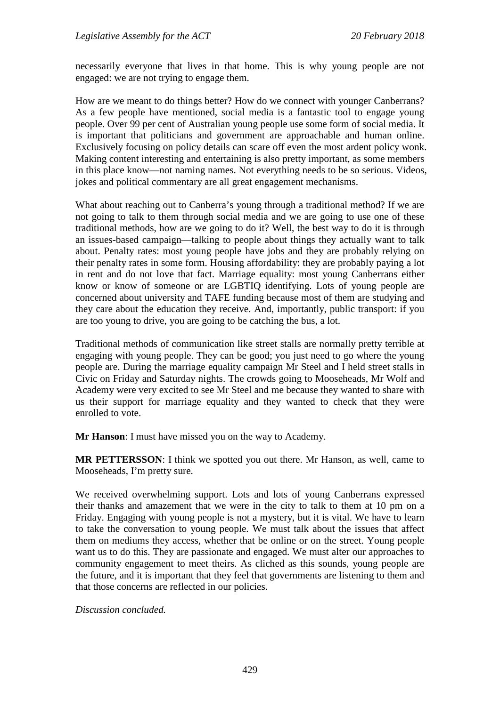necessarily everyone that lives in that home. This is why young people are not engaged: we are not trying to engage them.

How are we meant to do things better? How do we connect with younger Canberrans? As a few people have mentioned, social media is a fantastic tool to engage young people. Over 99 per cent of Australian young people use some form of social media. It is important that politicians and government are approachable and human online. Exclusively focusing on policy details can scare off even the most ardent policy wonk. Making content interesting and entertaining is also pretty important, as some members in this place know—not naming names. Not everything needs to be so serious. Videos, jokes and political commentary are all great engagement mechanisms.

What about reaching out to Canberra's young through a traditional method? If we are not going to talk to them through social media and we are going to use one of these traditional methods, how are we going to do it? Well, the best way to do it is through an issues-based campaign—talking to people about things they actually want to talk about. Penalty rates: most young people have jobs and they are probably relying on their penalty rates in some form. Housing affordability: they are probably paying a lot in rent and do not love that fact. Marriage equality: most young Canberrans either know or know of someone or are LGBTIQ identifying. Lots of young people are concerned about university and TAFE funding because most of them are studying and they care about the education they receive. And, importantly, public transport: if you are too young to drive, you are going to be catching the bus, a lot.

Traditional methods of communication like street stalls are normally pretty terrible at engaging with young people. They can be good; you just need to go where the young people are. During the marriage equality campaign Mr Steel and I held street stalls in Civic on Friday and Saturday nights. The crowds going to Mooseheads, Mr Wolf and Academy were very excited to see Mr Steel and me because they wanted to share with us their support for marriage equality and they wanted to check that they were enrolled to vote.

**Mr Hanson**: I must have missed you on the way to Academy.

**MR PETTERSSON**: I think we spotted you out there. Mr Hanson, as well, came to Mooseheads, I'm pretty sure.

We received overwhelming support. Lots and lots of young Canberrans expressed their thanks and amazement that we were in the city to talk to them at 10 pm on a Friday. Engaging with young people is not a mystery, but it is vital. We have to learn to take the conversation to young people. We must talk about the issues that affect them on mediums they access, whether that be online or on the street. Young people want us to do this. They are passionate and engaged. We must alter our approaches to community engagement to meet theirs. As cliched as this sounds, young people are the future, and it is important that they feel that governments are listening to them and that those concerns are reflected in our policies.

*Discussion concluded.*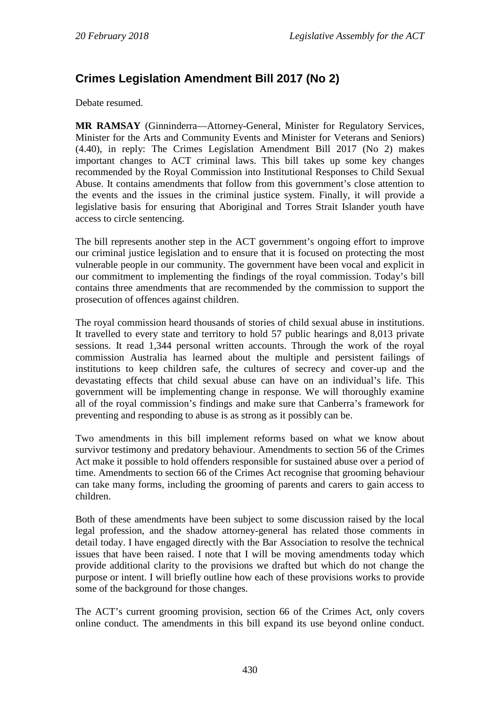# **Crimes Legislation Amendment Bill 2017 (No 2)**

Debate resumed.

**MR RAMSAY** (Ginninderra—Attorney-General, Minister for Regulatory Services, Minister for the Arts and Community Events and Minister for Veterans and Seniors) (4.40), in reply: The Crimes Legislation Amendment Bill 2017 (No 2) makes important changes to ACT criminal laws. This bill takes up some key changes recommended by the Royal Commission into Institutional Responses to Child Sexual Abuse. It contains amendments that follow from this government's close attention to the events and the issues in the criminal justice system. Finally, it will provide a legislative basis for ensuring that Aboriginal and Torres Strait Islander youth have access to circle sentencing.

The bill represents another step in the ACT government's ongoing effort to improve our criminal justice legislation and to ensure that it is focused on protecting the most vulnerable people in our community. The government have been vocal and explicit in our commitment to implementing the findings of the royal commission. Today's bill contains three amendments that are recommended by the commission to support the prosecution of offences against children.

The royal commission heard thousands of stories of child sexual abuse in institutions. It travelled to every state and territory to hold 57 public hearings and 8,013 private sessions. It read 1,344 personal written accounts. Through the work of the royal commission Australia has learned about the multiple and persistent failings of institutions to keep children safe, the cultures of secrecy and cover-up and the devastating effects that child sexual abuse can have on an individual's life. This government will be implementing change in response. We will thoroughly examine all of the royal commission's findings and make sure that Canberra's framework for preventing and responding to abuse is as strong as it possibly can be.

Two amendments in this bill implement reforms based on what we know about survivor testimony and predatory behaviour. Amendments to section 56 of the Crimes Act make it possible to hold offenders responsible for sustained abuse over a period of time. Amendments to section 66 of the Crimes Act recognise that grooming behaviour can take many forms, including the grooming of parents and carers to gain access to children.

Both of these amendments have been subject to some discussion raised by the local legal profession, and the shadow attorney-general has related those comments in detail today. I have engaged directly with the Bar Association to resolve the technical issues that have been raised. I note that I will be moving amendments today which provide additional clarity to the provisions we drafted but which do not change the purpose or intent. I will briefly outline how each of these provisions works to provide some of the background for those changes.

The ACT's current grooming provision, section 66 of the Crimes Act, only covers online conduct. The amendments in this bill expand its use beyond online conduct.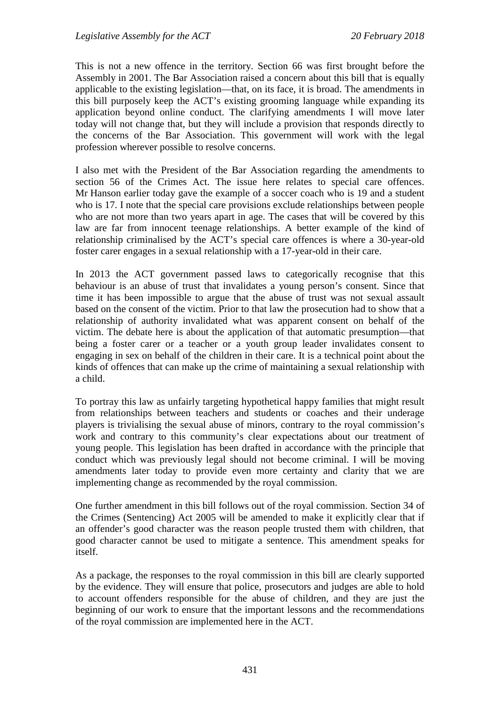This is not a new offence in the territory. Section 66 was first brought before the Assembly in 2001. The Bar Association raised a concern about this bill that is equally applicable to the existing legislation—that, on its face, it is broad. The amendments in this bill purposely keep the ACT's existing grooming language while expanding its application beyond online conduct. The clarifying amendments I will move later today will not change that, but they will include a provision that responds directly to the concerns of the Bar Association. This government will work with the legal profession wherever possible to resolve concerns.

I also met with the President of the Bar Association regarding the amendments to section 56 of the Crimes Act. The issue here relates to special care offences. Mr Hanson earlier today gave the example of a soccer coach who is 19 and a student who is 17. I note that the special care provisions exclude relationships between people who are not more than two years apart in age. The cases that will be covered by this law are far from innocent teenage relationships. A better example of the kind of relationship criminalised by the ACT's special care offences is where a 30-year-old foster carer engages in a sexual relationship with a 17-year-old in their care.

In 2013 the ACT government passed laws to categorically recognise that this behaviour is an abuse of trust that invalidates a young person's consent. Since that time it has been impossible to argue that the abuse of trust was not sexual assault based on the consent of the victim. Prior to that law the prosecution had to show that a relationship of authority invalidated what was apparent consent on behalf of the victim. The debate here is about the application of that automatic presumption—that being a foster carer or a teacher or a youth group leader invalidates consent to engaging in sex on behalf of the children in their care. It is a technical point about the kinds of offences that can make up the crime of maintaining a sexual relationship with a child.

To portray this law as unfairly targeting hypothetical happy families that might result from relationships between teachers and students or coaches and their underage players is trivialising the sexual abuse of minors, contrary to the royal commission's work and contrary to this community's clear expectations about our treatment of young people. This legislation has been drafted in accordance with the principle that conduct which was previously legal should not become criminal. I will be moving amendments later today to provide even more certainty and clarity that we are implementing change as recommended by the royal commission.

One further amendment in this bill follows out of the royal commission. Section 34 of the Crimes (Sentencing) Act 2005 will be amended to make it explicitly clear that if an offender's good character was the reason people trusted them with children, that good character cannot be used to mitigate a sentence. This amendment speaks for itself.

As a package, the responses to the royal commission in this bill are clearly supported by the evidence. They will ensure that police, prosecutors and judges are able to hold to account offenders responsible for the abuse of children, and they are just the beginning of our work to ensure that the important lessons and the recommendations of the royal commission are implemented here in the ACT.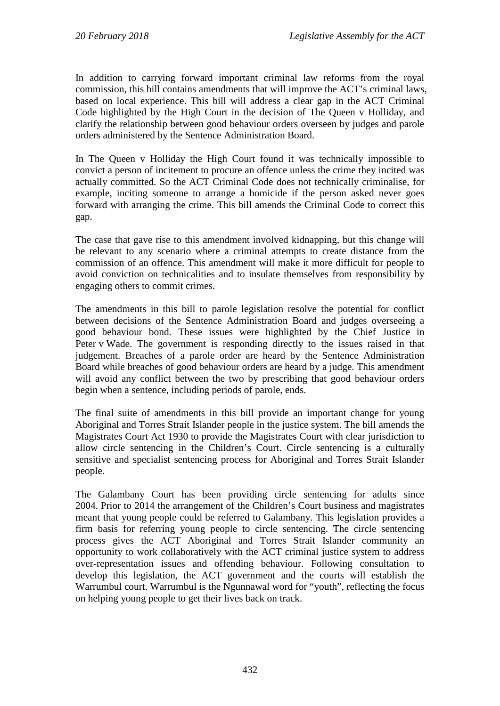In addition to carrying forward important criminal law reforms from the royal commission, this bill contains amendments that will improve the ACT's criminal laws, based on local experience. This bill will address a clear gap in the ACT Criminal Code highlighted by the High Court in the decision of The Queen v Holliday, and clarify the relationship between good behaviour orders overseen by judges and parole orders administered by the Sentence Administration Board.

In The Queen v Holliday the High Court found it was technically impossible to convict a person of incitement to procure an offence unless the crime they incited was actually committed. So the ACT Criminal Code does not technically criminalise, for example, inciting someone to arrange a homicide if the person asked never goes forward with arranging the crime. This bill amends the Criminal Code to correct this gap.

The case that gave rise to this amendment involved kidnapping, but this change will be relevant to any scenario where a criminal attempts to create distance from the commission of an offence. This amendment will make it more difficult for people to avoid conviction on technicalities and to insulate themselves from responsibility by engaging others to commit crimes.

The amendments in this bill to parole legislation resolve the potential for conflict between decisions of the Sentence Administration Board and judges overseeing a good behaviour bond. These issues were highlighted by the Chief Justice in Peter v Wade. The government is responding directly to the issues raised in that judgement. Breaches of a parole order are heard by the Sentence Administration Board while breaches of good behaviour orders are heard by a judge. This amendment will avoid any conflict between the two by prescribing that good behaviour orders begin when a sentence, including periods of parole, ends.

The final suite of amendments in this bill provide an important change for young Aboriginal and Torres Strait Islander people in the justice system. The bill amends the Magistrates Court Act 1930 to provide the Magistrates Court with clear jurisdiction to allow circle sentencing in the Children's Court. Circle sentencing is a culturally sensitive and specialist sentencing process for Aboriginal and Torres Strait Islander people.

The Galambany Court has been providing circle sentencing for adults since 2004. Prior to 2014 the arrangement of the Children's Court business and magistrates meant that young people could be referred to Galambany. This legislation provides a firm basis for referring young people to circle sentencing. The circle sentencing process gives the ACT Aboriginal and Torres Strait Islander community an opportunity to work collaboratively with the ACT criminal justice system to address over-representation issues and offending behaviour. Following consultation to develop this legislation, the ACT government and the courts will establish the Warrumbul court. Warrumbul is the Ngunnawal word for "youth", reflecting the focus on helping young people to get their lives back on track.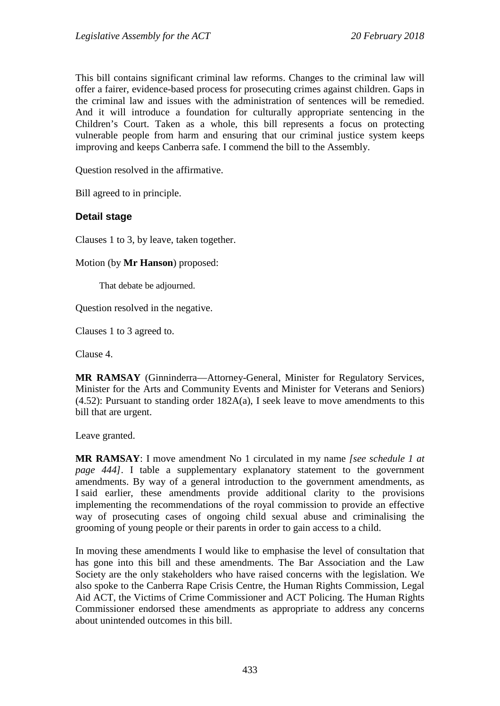This bill contains significant criminal law reforms. Changes to the criminal law will offer a fairer, evidence-based process for prosecuting crimes against children. Gaps in the criminal law and issues with the administration of sentences will be remedied. And it will introduce a foundation for culturally appropriate sentencing in the Children's Court. Taken as a whole, this bill represents a focus on protecting vulnerable people from harm and ensuring that our criminal justice system keeps improving and keeps Canberra safe. I commend the bill to the Assembly.

Question resolved in the affirmative.

Bill agreed to in principle.

### **Detail stage**

Clauses 1 to 3, by leave, taken together.

Motion (by **Mr Hanson**) proposed:

That debate be adjourned.

Question resolved in the negative.

Clauses 1 to 3 agreed to.

Clause 4.

**MR RAMSAY** (Ginninderra—Attorney-General, Minister for Regulatory Services, Minister for the Arts and Community Events and Minister for Veterans and Seniors)  $(4.52)$ : Pursuant to standing order  $182A(a)$ , I seek leave to move amendments to this bill that are urgent.

Leave granted.

**MR RAMSAY**: I move amendment No 1 circulated in my name *[see schedule 1 at page 444]*. I table a supplementary explanatory statement to the government amendments. By way of a general introduction to the government amendments, as I said earlier, these amendments provide additional clarity to the provisions implementing the recommendations of the royal commission to provide an effective way of prosecuting cases of ongoing child sexual abuse and criminalising the grooming of young people or their parents in order to gain access to a child.

In moving these amendments I would like to emphasise the level of consultation that has gone into this bill and these amendments. The Bar Association and the Law Society are the only stakeholders who have raised concerns with the legislation. We also spoke to the Canberra Rape Crisis Centre, the Human Rights Commission, Legal Aid ACT, the Victims of Crime Commissioner and ACT Policing. The Human Rights Commissioner endorsed these amendments as appropriate to address any concerns about unintended outcomes in this bill.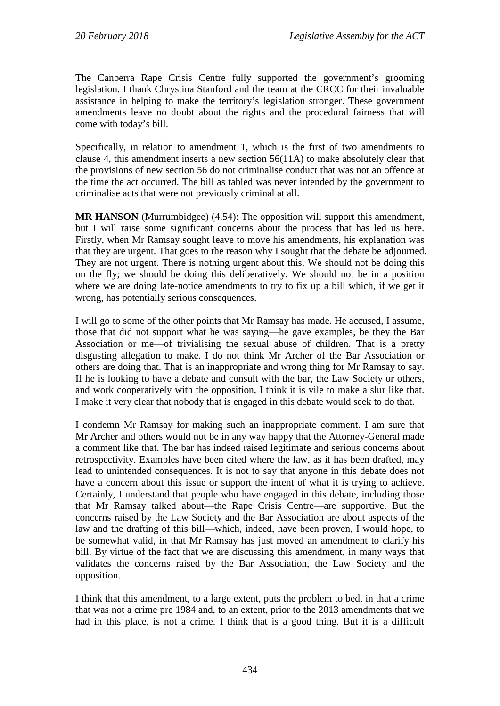The Canberra Rape Crisis Centre fully supported the government's grooming legislation. I thank Chrystina Stanford and the team at the CRCC for their invaluable assistance in helping to make the territory's legislation stronger. These government amendments leave no doubt about the rights and the procedural fairness that will come with today's bill.

Specifically, in relation to amendment 1, which is the first of two amendments to clause 4, this amendment inserts a new section 56(11A) to make absolutely clear that the provisions of new section 56 do not criminalise conduct that was not an offence at the time the act occurred. The bill as tabled was never intended by the government to criminalise acts that were not previously criminal at all.

**MR HANSON** (Murrumbidgee) (4.54): The opposition will support this amendment, but I will raise some significant concerns about the process that has led us here. Firstly, when Mr Ramsay sought leave to move his amendments, his explanation was that they are urgent. That goes to the reason why I sought that the debate be adjourned. They are not urgent. There is nothing urgent about this. We should not be doing this on the fly; we should be doing this deliberatively. We should not be in a position where we are doing late-notice amendments to try to fix up a bill which, if we get it wrong, has potentially serious consequences.

I will go to some of the other points that Mr Ramsay has made. He accused, I assume, those that did not support what he was saying—he gave examples, be they the Bar Association or me—of trivialising the sexual abuse of children. That is a pretty disgusting allegation to make. I do not think Mr Archer of the Bar Association or others are doing that. That is an inappropriate and wrong thing for Mr Ramsay to say. If he is looking to have a debate and consult with the bar, the Law Society or others, and work cooperatively with the opposition, I think it is vile to make a slur like that. I make it very clear that nobody that is engaged in this debate would seek to do that.

I condemn Mr Ramsay for making such an inappropriate comment. I am sure that Mr Archer and others would not be in any way happy that the Attorney-General made a comment like that. The bar has indeed raised legitimate and serious concerns about retrospectivity. Examples have been cited where the law, as it has been drafted, may lead to unintended consequences. It is not to say that anyone in this debate does not have a concern about this issue or support the intent of what it is trying to achieve. Certainly, I understand that people who have engaged in this debate, including those that Mr Ramsay talked about—the Rape Crisis Centre—are supportive. But the concerns raised by the Law Society and the Bar Association are about aspects of the law and the drafting of this bill—which, indeed, have been proven, I would hope, to be somewhat valid, in that Mr Ramsay has just moved an amendment to clarify his bill. By virtue of the fact that we are discussing this amendment, in many ways that validates the concerns raised by the Bar Association, the Law Society and the opposition.

I think that this amendment, to a large extent, puts the problem to bed, in that a crime that was not a crime pre 1984 and, to an extent, prior to the 2013 amendments that we had in this place, is not a crime. I think that is a good thing. But it is a difficult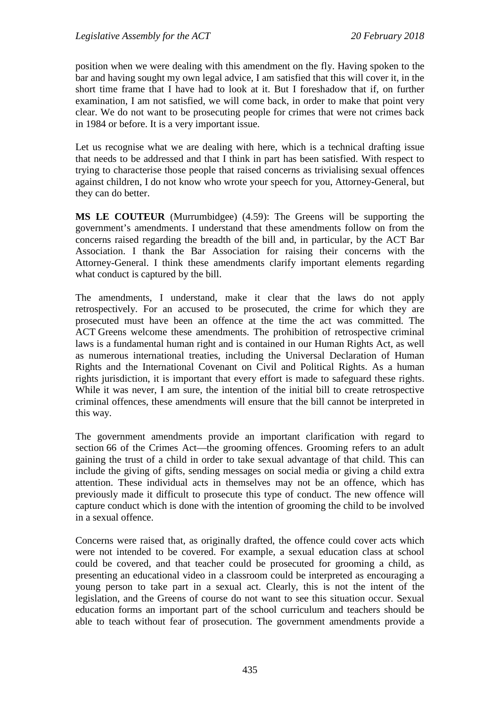position when we were dealing with this amendment on the fly. Having spoken to the bar and having sought my own legal advice, I am satisfied that this will cover it, in the short time frame that I have had to look at it. But I foreshadow that if, on further examination, I am not satisfied, we will come back, in order to make that point very clear. We do not want to be prosecuting people for crimes that were not crimes back in 1984 or before. It is a very important issue.

Let us recognise what we are dealing with here, which is a technical drafting issue that needs to be addressed and that I think in part has been satisfied. With respect to trying to characterise those people that raised concerns as trivialising sexual offences against children, I do not know who wrote your speech for you, Attorney-General, but they can do better.

**MS LE COUTEUR** (Murrumbidgee) (4.59): The Greens will be supporting the government's amendments. I understand that these amendments follow on from the concerns raised regarding the breadth of the bill and, in particular, by the ACT Bar Association. I thank the Bar Association for raising their concerns with the Attorney-General. I think these amendments clarify important elements regarding what conduct is captured by the bill.

The amendments, I understand, make it clear that the laws do not apply retrospectively. For an accused to be prosecuted, the crime for which they are prosecuted must have been an offence at the time the act was committed. The ACT Greens welcome these amendments. The prohibition of retrospective criminal laws is a fundamental human right and is contained in our Human Rights Act, as well as numerous international treaties, including the Universal Declaration of Human Rights and the International Covenant on Civil and Political Rights. As a human rights jurisdiction, it is important that every effort is made to safeguard these rights. While it was never, I am sure, the intention of the initial bill to create retrospective criminal offences, these amendments will ensure that the bill cannot be interpreted in this way.

The government amendments provide an important clarification with regard to section 66 of the Crimes Act—the grooming offences. Grooming refers to an adult gaining the trust of a child in order to take sexual advantage of that child. This can include the giving of gifts, sending messages on social media or giving a child extra attention. These individual acts in themselves may not be an offence, which has previously made it difficult to prosecute this type of conduct. The new offence will capture conduct which is done with the intention of grooming the child to be involved in a sexual offence.

Concerns were raised that, as originally drafted, the offence could cover acts which were not intended to be covered. For example, a sexual education class at school could be covered, and that teacher could be prosecuted for grooming a child, as presenting an educational video in a classroom could be interpreted as encouraging a young person to take part in a sexual act. Clearly, this is not the intent of the legislation, and the Greens of course do not want to see this situation occur. Sexual education forms an important part of the school curriculum and teachers should be able to teach without fear of prosecution. The government amendments provide a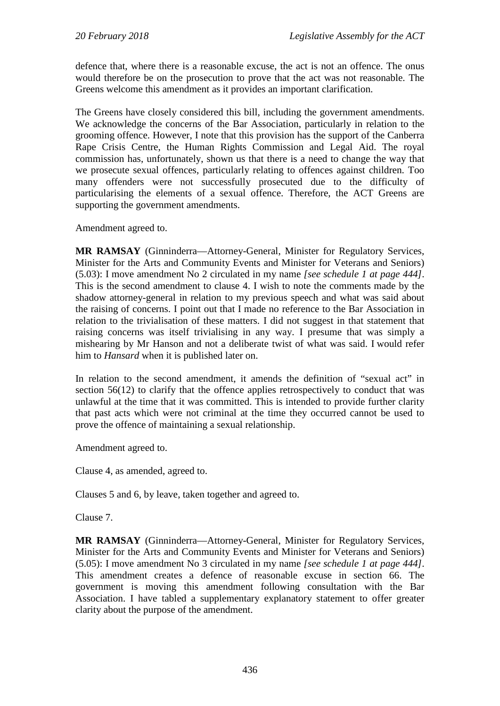defence that, where there is a reasonable excuse, the act is not an offence. The onus would therefore be on the prosecution to prove that the act was not reasonable. The Greens welcome this amendment as it provides an important clarification.

The Greens have closely considered this bill, including the government amendments. We acknowledge the concerns of the Bar Association, particularly in relation to the grooming offence. However, I note that this provision has the support of the Canberra Rape Crisis Centre, the Human Rights Commission and Legal Aid. The royal commission has, unfortunately, shown us that there is a need to change the way that we prosecute sexual offences, particularly relating to offences against children. Too many offenders were not successfully prosecuted due to the difficulty of particularising the elements of a sexual offence. Therefore, the ACT Greens are supporting the government amendments.

Amendment agreed to.

**MR RAMSAY** (Ginninderra—Attorney-General, Minister for Regulatory Services, Minister for the Arts and Community Events and Minister for Veterans and Seniors) (5.03): I move amendment No 2 circulated in my name *[see schedule 1 at page 444]*. This is the second amendment to clause 4. I wish to note the comments made by the shadow attorney-general in relation to my previous speech and what was said about the raising of concerns. I point out that I made no reference to the Bar Association in relation to the trivialisation of these matters. I did not suggest in that statement that raising concerns was itself trivialising in any way. I presume that was simply a mishearing by Mr Hanson and not a deliberate twist of what was said. I would refer him to *Hansard* when it is published later on.

In relation to the second amendment, it amends the definition of "sexual act" in section 56(12) to clarify that the offence applies retrospectively to conduct that was unlawful at the time that it was committed. This is intended to provide further clarity that past acts which were not criminal at the time they occurred cannot be used to prove the offence of maintaining a sexual relationship.

Amendment agreed to.

Clause 4, as amended, agreed to.

Clauses 5 and 6, by leave, taken together and agreed to.

Clause 7.

**MR RAMSAY** (Ginninderra—Attorney-General, Minister for Regulatory Services, Minister for the Arts and Community Events and Minister for Veterans and Seniors) (5.05): I move amendment No 3 circulated in my name *[see schedule 1 at page 444]*. This amendment creates a defence of reasonable excuse in section 66. The government is moving this amendment following consultation with the Bar Association. I have tabled a supplementary explanatory statement to offer greater clarity about the purpose of the amendment.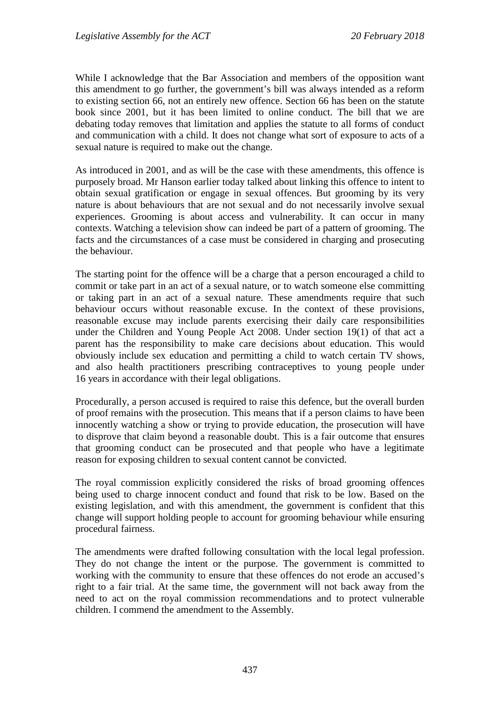While I acknowledge that the Bar Association and members of the opposition want this amendment to go further, the government's bill was always intended as a reform to existing section 66, not an entirely new offence. Section 66 has been on the statute book since 2001, but it has been limited to online conduct. The bill that we are debating today removes that limitation and applies the statute to all forms of conduct and communication with a child. It does not change what sort of exposure to acts of a sexual nature is required to make out the change.

As introduced in 2001, and as will be the case with these amendments, this offence is purposely broad. Mr Hanson earlier today talked about linking this offence to intent to obtain sexual gratification or engage in sexual offences. But grooming by its very nature is about behaviours that are not sexual and do not necessarily involve sexual experiences. Grooming is about access and vulnerability. It can occur in many contexts. Watching a television show can indeed be part of a pattern of grooming. The facts and the circumstances of a case must be considered in charging and prosecuting the behaviour.

The starting point for the offence will be a charge that a person encouraged a child to commit or take part in an act of a sexual nature, or to watch someone else committing or taking part in an act of a sexual nature. These amendments require that such behaviour occurs without reasonable excuse. In the context of these provisions, reasonable excuse may include parents exercising their daily care responsibilities under the Children and Young People Act 2008. Under section 19(1) of that act a parent has the responsibility to make care decisions about education. This would obviously include sex education and permitting a child to watch certain TV shows, and also health practitioners prescribing contraceptives to young people under 16 years in accordance with their legal obligations.

Procedurally, a person accused is required to raise this defence, but the overall burden of proof remains with the prosecution. This means that if a person claims to have been innocently watching a show or trying to provide education, the prosecution will have to disprove that claim beyond a reasonable doubt. This is a fair outcome that ensures that grooming conduct can be prosecuted and that people who have a legitimate reason for exposing children to sexual content cannot be convicted.

The royal commission explicitly considered the risks of broad grooming offences being used to charge innocent conduct and found that risk to be low. Based on the existing legislation, and with this amendment, the government is confident that this change will support holding people to account for grooming behaviour while ensuring procedural fairness.

The amendments were drafted following consultation with the local legal profession. They do not change the intent or the purpose. The government is committed to working with the community to ensure that these offences do not erode an accused's right to a fair trial. At the same time, the government will not back away from the need to act on the royal commission recommendations and to protect vulnerable children. I commend the amendment to the Assembly.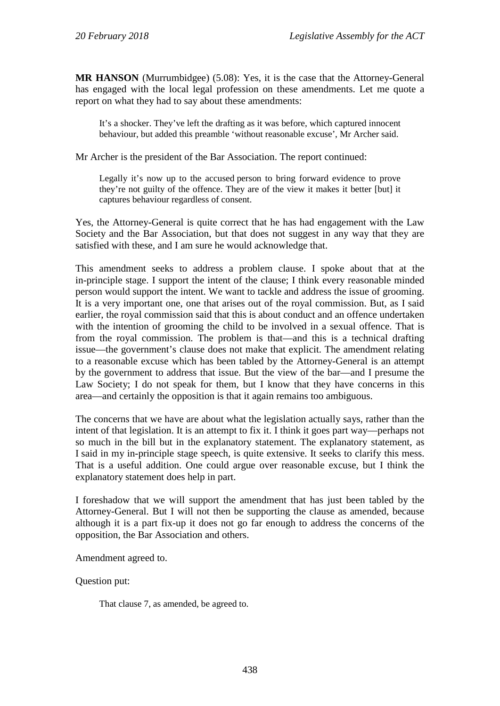**MR HANSON** (Murrumbidgee) (5.08): Yes, it is the case that the Attorney-General has engaged with the local legal profession on these amendments. Let me quote a report on what they had to say about these amendments:

It's a shocker. They've left the drafting as it was before, which captured innocent behaviour, but added this preamble 'without reasonable excuse', Mr Archer said.

Mr Archer is the president of the Bar Association. The report continued:

Legally it's now up to the accused person to bring forward evidence to prove they're not guilty of the offence. They are of the view it makes it better [but] it captures behaviour regardless of consent.

Yes, the Attorney-General is quite correct that he has had engagement with the Law Society and the Bar Association, but that does not suggest in any way that they are satisfied with these, and I am sure he would acknowledge that.

This amendment seeks to address a problem clause. I spoke about that at the in-principle stage. I support the intent of the clause; I think every reasonable minded person would support the intent. We want to tackle and address the issue of grooming. It is a very important one, one that arises out of the royal commission. But, as I said earlier, the royal commission said that this is about conduct and an offence undertaken with the intention of grooming the child to be involved in a sexual offence. That is from the royal commission. The problem is that—and this is a technical drafting issue—the government's clause does not make that explicit. The amendment relating to a reasonable excuse which has been tabled by the Attorney-General is an attempt by the government to address that issue. But the view of the bar—and I presume the Law Society; I do not speak for them, but I know that they have concerns in this area—and certainly the opposition is that it again remains too ambiguous.

The concerns that we have are about what the legislation actually says, rather than the intent of that legislation. It is an attempt to fix it. I think it goes part way—perhaps not so much in the bill but in the explanatory statement. The explanatory statement, as I said in my in-principle stage speech, is quite extensive. It seeks to clarify this mess. That is a useful addition. One could argue over reasonable excuse, but I think the explanatory statement does help in part.

I foreshadow that we will support the amendment that has just been tabled by the Attorney-General. But I will not then be supporting the clause as amended, because although it is a part fix-up it does not go far enough to address the concerns of the opposition, the Bar Association and others.

Amendment agreed to.

Question put:

That clause 7, as amended, be agreed to.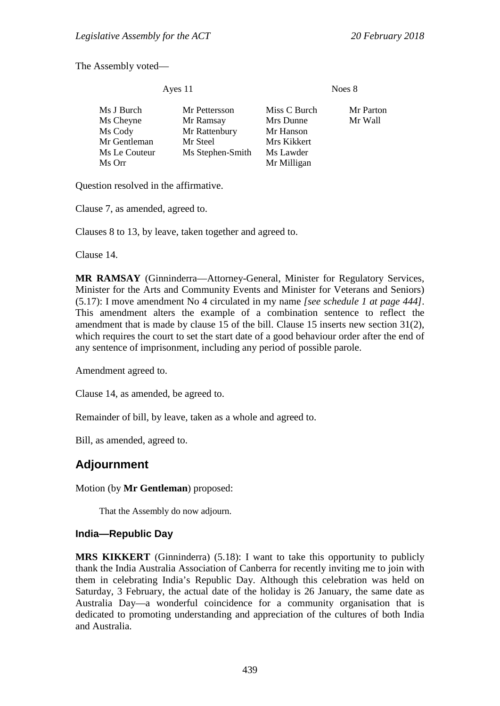The Assembly voted—

| Ayes 11                                                                       |                                                                             | Noes 8                                                                            |                      |
|-------------------------------------------------------------------------------|-----------------------------------------------------------------------------|-----------------------------------------------------------------------------------|----------------------|
| Ms J Burch<br>Ms Cheyne<br>Ms Cody<br>Mr Gentleman<br>Ms Le Couteur<br>Ms Orr | Mr Pettersson<br>Mr Ramsay<br>Mr Rattenbury<br>Mr Steel<br>Ms Stephen-Smith | Miss C Burch<br>Mrs Dunne<br>Mr Hanson<br>Mrs Kikkert<br>Ms Lawder<br>Mr Milligan | Mr Parton<br>Mr Wall |
|                                                                               |                                                                             |                                                                                   |                      |

Question resolved in the affirmative.

Clause 7, as amended, agreed to.

Clauses 8 to 13, by leave, taken together and agreed to.

Clause 14.

**MR RAMSAY** (Ginninderra—Attorney-General, Minister for Regulatory Services, Minister for the Arts and Community Events and Minister for Veterans and Seniors) (5.17): I move amendment No 4 circulated in my name *[see schedule 1 at page 444]*. This amendment alters the example of a combination sentence to reflect the amendment that is made by clause 15 of the bill. Clause 15 inserts new section 31(2), which requires the court to set the start date of a good behaviour order after the end of any sentence of imprisonment, including any period of possible parole.

Amendment agreed to.

Clause 14, as amended, be agreed to.

Remainder of bill, by leave, taken as a whole and agreed to.

Bill, as amended, agreed to.

# **Adjournment**

Motion (by **Mr Gentleman**) proposed:

That the Assembly do now adjourn.

#### **India—Republic Day**

**MRS KIKKERT** (Ginninderra) (5.18): I want to take this opportunity to publicly thank the India Australia Association of Canberra for recently inviting me to join with them in celebrating India's Republic Day. Although this celebration was held on Saturday, 3 February, the actual date of the holiday is 26 January, the same date as Australia Day—a wonderful coincidence for a community organisation that is dedicated to promoting understanding and appreciation of the cultures of both India and Australia.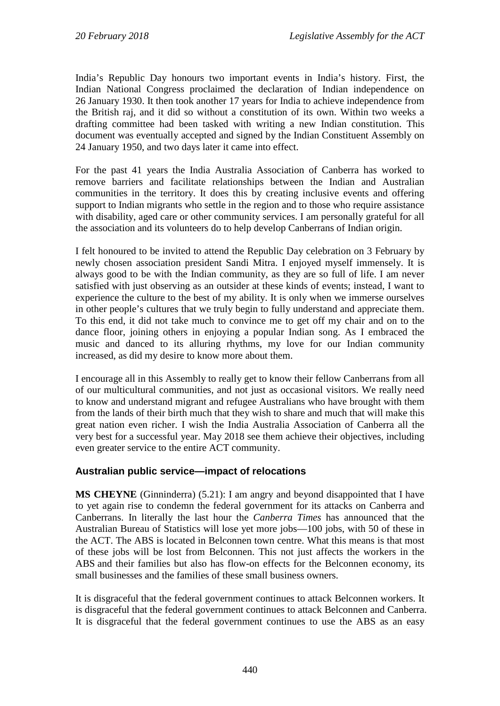India's Republic Day honours two important events in India's history. First, the Indian National Congress proclaimed the declaration of Indian independence on 26 January 1930. It then took another 17 years for India to achieve independence from the British raj, and it did so without a constitution of its own. Within two weeks a drafting committee had been tasked with writing a new Indian constitution. This document was eventually accepted and signed by the Indian Constituent Assembly on 24 January 1950, and two days later it came into effect.

For the past 41 years the India Australia Association of Canberra has worked to remove barriers and facilitate relationships between the Indian and Australian communities in the territory. It does this by creating inclusive events and offering support to Indian migrants who settle in the region and to those who require assistance with disability, aged care or other community services. I am personally grateful for all the association and its volunteers do to help develop Canberrans of Indian origin.

I felt honoured to be invited to attend the Republic Day celebration on 3 February by newly chosen association president Sandi Mitra. I enjoyed myself immensely. It is always good to be with the Indian community, as they are so full of life. I am never satisfied with just observing as an outsider at these kinds of events; instead, I want to experience the culture to the best of my ability. It is only when we immerse ourselves in other people's cultures that we truly begin to fully understand and appreciate them. To this end, it did not take much to convince me to get off my chair and on to the dance floor, joining others in enjoying a popular Indian song. As I embraced the music and danced to its alluring rhythms, my love for our Indian community increased, as did my desire to know more about them.

I encourage all in this Assembly to really get to know their fellow Canberrans from all of our multicultural communities, and not just as occasional visitors. We really need to know and understand migrant and refugee Australians who have brought with them from the lands of their birth much that they wish to share and much that will make this great nation even richer. I wish the India Australia Association of Canberra all the very best for a successful year. May 2018 see them achieve their objectives, including even greater service to the entire ACT community.

# **Australian public service—impact of relocations**

**MS CHEYNE** (Ginninderra) (5.21): I am angry and beyond disappointed that I have to yet again rise to condemn the federal government for its attacks on Canberra and Canberrans. In literally the last hour the *Canberra Times* has announced that the Australian Bureau of Statistics will lose yet more jobs—100 jobs, with 50 of these in the ACT. The ABS is located in Belconnen town centre. What this means is that most of these jobs will be lost from Belconnen. This not just affects the workers in the ABS and their families but also has flow-on effects for the Belconnen economy, its small businesses and the families of these small business owners.

It is disgraceful that the federal government continues to attack Belconnen workers. It is disgraceful that the federal government continues to attack Belconnen and Canberra. It is disgraceful that the federal government continues to use the ABS as an easy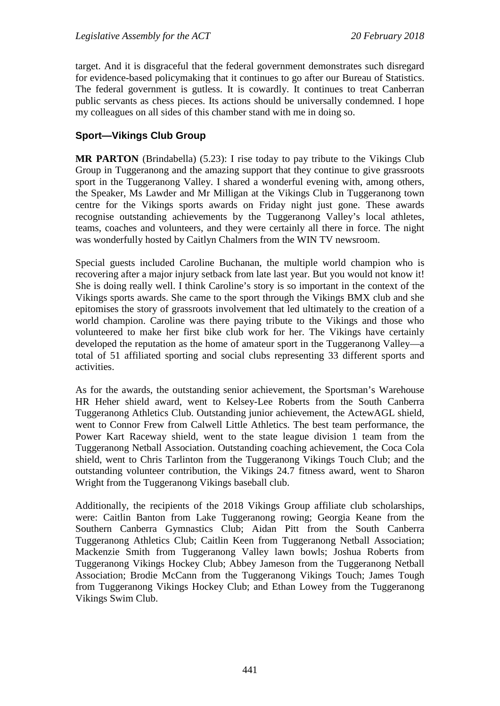target. And it is disgraceful that the federal government demonstrates such disregard for evidence-based policymaking that it continues to go after our Bureau of Statistics. The federal government is gutless. It is cowardly. It continues to treat Canberran public servants as chess pieces. Its actions should be universally condemned. I hope my colleagues on all sides of this chamber stand with me in doing so.

# **Sport—Vikings Club Group**

**MR PARTON** (Brindabella) (5.23): I rise today to pay tribute to the Vikings Club Group in Tuggeranong and the amazing support that they continue to give grassroots sport in the Tuggeranong Valley. I shared a wonderful evening with, among others, the Speaker, Ms Lawder and Mr Milligan at the Vikings Club in Tuggeranong town centre for the Vikings sports awards on Friday night just gone. These awards recognise outstanding achievements by the Tuggeranong Valley's local athletes, teams, coaches and volunteers, and they were certainly all there in force. The night was wonderfully hosted by Caitlyn Chalmers from the WIN TV newsroom.

Special guests included Caroline Buchanan, the multiple world champion who is recovering after a major injury setback from late last year. But you would not know it! She is doing really well. I think Caroline's story is so important in the context of the Vikings sports awards. She came to the sport through the Vikings BMX club and she epitomises the story of grassroots involvement that led ultimately to the creation of a world champion. Caroline was there paying tribute to the Vikings and those who volunteered to make her first bike club work for her. The Vikings have certainly developed the reputation as the home of amateur sport in the Tuggeranong Valley—a total of 51 affiliated sporting and social clubs representing 33 different sports and activities.

As for the awards, the outstanding senior achievement, the Sportsman's Warehouse HR Heher shield award, went to Kelsey-Lee Roberts from the South Canberra Tuggeranong Athletics Club. Outstanding junior achievement, the ActewAGL shield, went to Connor Frew from Calwell Little Athletics. The best team performance, the Power Kart Raceway shield, went to the state league division 1 team from the Tuggeranong Netball Association. Outstanding coaching achievement, the Coca Cola shield, went to Chris Tarlinton from the Tuggeranong Vikings Touch Club; and the outstanding volunteer contribution, the Vikings 24.7 fitness award, went to Sharon Wright from the Tuggeranong Vikings baseball club.

Additionally, the recipients of the 2018 Vikings Group affiliate club scholarships, were: Caitlin Banton from Lake Tuggeranong rowing; Georgia Keane from the Southern Canberra Gymnastics Club; Aidan Pitt from the South Canberra Tuggeranong Athletics Club; Caitlin Keen from Tuggeranong Netball Association; Mackenzie Smith from Tuggeranong Valley lawn bowls; Joshua Roberts from Tuggeranong Vikings Hockey Club; Abbey Jameson from the Tuggeranong Netball Association; Brodie McCann from the Tuggeranong Vikings Touch; James Tough from Tuggeranong Vikings Hockey Club; and Ethan Lowey from the Tuggeranong Vikings Swim Club.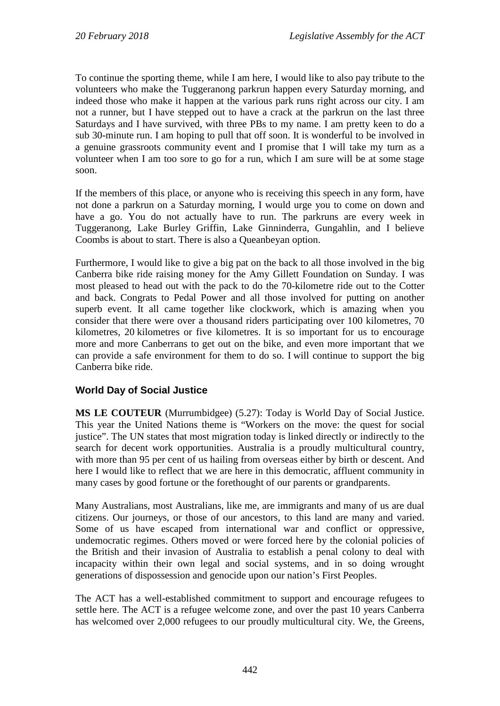To continue the sporting theme, while I am here, I would like to also pay tribute to the volunteers who make the Tuggeranong parkrun happen every Saturday morning, and indeed those who make it happen at the various park runs right across our city. I am not a runner, but I have stepped out to have a crack at the parkrun on the last three Saturdays and I have survived, with three PBs to my name. I am pretty keen to do a sub 30-minute run. I am hoping to pull that off soon. It is wonderful to be involved in a genuine grassroots community event and I promise that I will take my turn as a volunteer when I am too sore to go for a run, which I am sure will be at some stage soon.

If the members of this place, or anyone who is receiving this speech in any form, have not done a parkrun on a Saturday morning, I would urge you to come on down and have a go. You do not actually have to run. The parkruns are every week in Tuggeranong, Lake Burley Griffin, Lake Ginninderra, Gungahlin, and I believe Coombs is about to start. There is also a Queanbeyan option.

Furthermore, I would like to give a big pat on the back to all those involved in the big Canberra bike ride raising money for the Amy Gillett Foundation on Sunday. I was most pleased to head out with the pack to do the 70-kilometre ride out to the Cotter and back. Congrats to Pedal Power and all those involved for putting on another superb event. It all came together like clockwork, which is amazing when you consider that there were over a thousand riders participating over 100 kilometres, 70 kilometres, 20 kilometres or five kilometres. It is so important for us to encourage more and more Canberrans to get out on the bike, and even more important that we can provide a safe environment for them to do so. I will continue to support the big Canberra bike ride.

# **World Day of Social Justice**

**MS LE COUTEUR** (Murrumbidgee) (5.27): Today is World Day of Social Justice. This year the United Nations theme is "Workers on the move: the quest for social justice". The UN states that most migration today is linked directly or indirectly to the search for decent work opportunities. Australia is a proudly multicultural country, with more than 95 per cent of us hailing from overseas either by birth or descent. And here I would like to reflect that we are here in this democratic, affluent community in many cases by good fortune or the forethought of our parents or grandparents.

Many Australians, most Australians, like me, are immigrants and many of us are dual citizens. Our journeys, or those of our ancestors, to this land are many and varied. Some of us have escaped from international war and conflict or oppressive, undemocratic regimes. Others moved or were forced here by the colonial policies of the British and their invasion of Australia to establish a penal colony to deal with incapacity within their own legal and social systems, and in so doing wrought generations of dispossession and genocide upon our nation's First Peoples.

The ACT has a well-established commitment to support and encourage refugees to settle here. The ACT is a refugee welcome zone, and over the past 10 years Canberra has welcomed over 2,000 refugees to our proudly multicultural city. We, the Greens,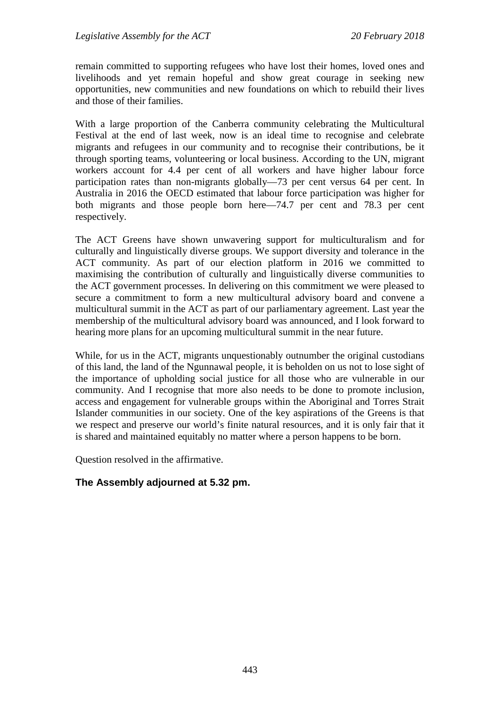remain committed to supporting refugees who have lost their homes, loved ones and livelihoods and yet remain hopeful and show great courage in seeking new opportunities, new communities and new foundations on which to rebuild their lives and those of their families.

With a large proportion of the Canberra community celebrating the Multicultural Festival at the end of last week, now is an ideal time to recognise and celebrate migrants and refugees in our community and to recognise their contributions, be it through sporting teams, volunteering or local business. According to the UN, migrant workers account for 4.4 per cent of all workers and have higher labour force participation rates than non-migrants globally—73 per cent versus 64 per cent. In Australia in 2016 the OECD estimated that labour force participation was higher for both migrants and those people born here—74.7 per cent and 78.3 per cent respectively.

The ACT Greens have shown unwavering support for multiculturalism and for culturally and linguistically diverse groups. We support diversity and tolerance in the ACT community. As part of our election platform in 2016 we committed to maximising the contribution of culturally and linguistically diverse communities to the ACT government processes. In delivering on this commitment we were pleased to secure a commitment to form a new multicultural advisory board and convene a multicultural summit in the ACT as part of our parliamentary agreement. Last year the membership of the multicultural advisory board was announced, and I look forward to hearing more plans for an upcoming multicultural summit in the near future.

While, for us in the ACT, migrants unquestionably outnumber the original custodians of this land, the land of the Ngunnawal people, it is beholden on us not to lose sight of the importance of upholding social justice for all those who are vulnerable in our community. And I recognise that more also needs to be done to promote inclusion, access and engagement for vulnerable groups within the Aboriginal and Torres Strait Islander communities in our society. One of the key aspirations of the Greens is that we respect and preserve our world's finite natural resources, and it is only fair that it is shared and maintained equitably no matter where a person happens to be born.

Question resolved in the affirmative.

# **The Assembly adjourned at 5.32 pm.**